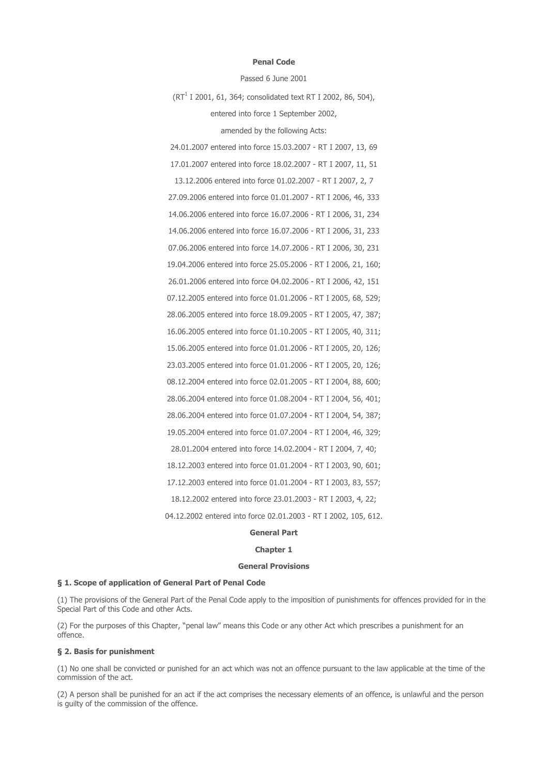#### Penal Code

Passed 6 June 2001

 $(RT<sup>1</sup>$  I 2001, 61, 364; consolidated text RT I 2002, 86, 504), entered into force 1 September 2002, amended by the following Acts:

24.01.2007 entered into force 15.03.2007 - RT I 2007, 13, 69 17.01.2007 entered into force 18.02.2007 - RT I 2007, 11, 51 13.12.2006 entered into force 01.02.2007 - RT I 2007, 2, 7 27.09.2006 entered into force 01.01.2007 - RT I 2006, 46, 333 14.06.2006 entered into force 16.07.2006 - RT I 2006, 31, 234 14.06.2006 entered into force 16.07.2006 - RT I 2006, 31, 233 07.06.2006 entered into force 14.07.2006 - RT I 2006, 30, 231 19.04.2006 entered into force 25.05.2006 - RT I 2006, 21, 160; 26.01.2006 entered into force 04.02.2006 - RT I 2006, 42, 151 07.12.2005 entered into force 01.01.2006 - RT I 2005, 68, 529; 28.06.2005 entered into force 18.09.2005 - RT I 2005, 47, 387; 16.06.2005 entered into force 01.10.2005 - RT I 2005, 40, 311; 15.06.2005 entered into force 01.01.2006 - RT I 2005, 20, 126; 23.03.2005 entered into force 01.01.2006 - RT I 2005, 20, 126; 08.12.2004 entered into force 02.01.2005 - RT I 2004, 88, 600; 28.06.2004 entered into force 01.08.2004 - RT I 2004, 56, 401; 28.06.2004 entered into force 01.07.2004 - RT I 2004, 54, 387; 19.05.2004 entered into force 01.07.2004 - RT I 2004, 46, 329; 28.01.2004 entered into force 14.02.2004 - RT I 2004, 7, 40; 18.12.2003 entered into force 01.01.2004 - RT I 2003, 90, 601; 17.12.2003 entered into force 01.01.2004 - RT I 2003, 83, 557; 18.12.2002 entered into force 23.01.2003 - RT I 2003, 4, 22; 04.12.2002 entered into force 02.01.2003 - RT I 2002, 105, 612.

# General Part

#### Chapter 1

#### General Provisions

#### § 1. Scope of application of General Part of Penal Code

(1) The provisions of the General Part of the Penal Code apply to the imposition of punishments for offences provided for in the Special Part of this Code and other Acts.

(2) For the purposes of this Chapter, "penal law" means this Code or any other Act which prescribes a punishment for an offence.

## § 2. Basis for punishment

(1) No one shall be convicted or punished for an act which was not an offence pursuant to the law applicable at the time of the commission of the act.

(2) A person shall be punished for an act if the act comprises the necessary elements of an offence, is unlawful and the person is guilty of the commission of the offence.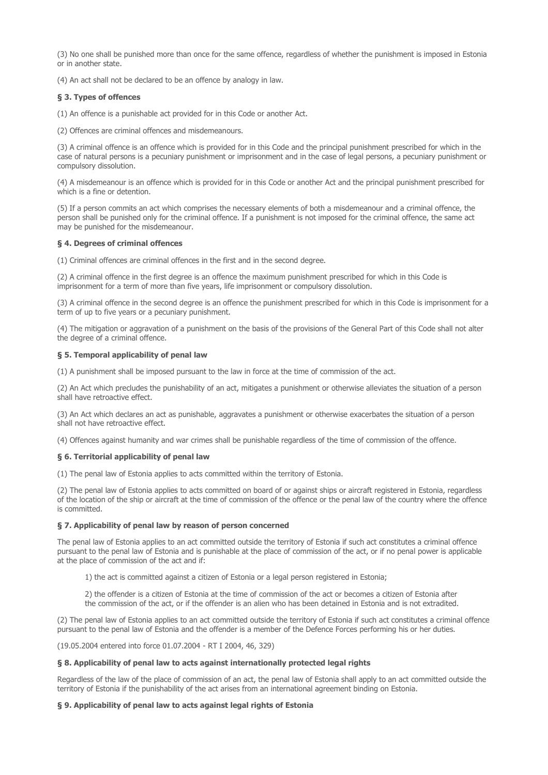(3) No one shall be punished more than once for the same offence, regardless of whether the punishment is imposed in Estonia or in another state.

(4) An act shall not be declared to be an offence by analogy in law.

## § 3. Types of offences

(1) An offence is a punishable act provided for in this Code or another Act.

(2) Offences are criminal offences and misdemeanours.

(3) A criminal offence is an offence which is provided for in this Code and the principal punishment prescribed for which in the case of natural persons is a pecuniary punishment or imprisonment and in the case of legal persons, a pecuniary punishment or compulsory dissolution.

(4) A misdemeanour is an offence which is provided for in this Code or another Act and the principal punishment prescribed for which is a fine or detention.

(5) If a person commits an act which comprises the necessary elements of both a misdemeanour and a criminal offence, the person shall be punished only for the criminal offence. If a punishment is not imposed for the criminal offence, the same act may be punished for the misdemeanour.

## § 4. Degrees of criminal offences

(1) Criminal offences are criminal offences in the first and in the second degree.

(2) A criminal offence in the first degree is an offence the maximum punishment prescribed for which in this Code is imprisonment for a term of more than five years, life imprisonment or compulsory dissolution.

(3) A criminal offence in the second degree is an offence the punishment prescribed for which in this Code is imprisonment for a term of up to five years or a pecuniary punishment.

(4) The mitigation or aggravation of a punishment on the basis of the provisions of the General Part of this Code shall not alter the degree of a criminal offence.

#### § 5. Temporal applicability of penal law

(1) A punishment shall be imposed pursuant to the law in force at the time of commission of the act.

(2) An Act which precludes the punishability of an act, mitigates a punishment or otherwise alleviates the situation of a person shall have retroactive effect.

(3) An Act which declares an act as punishable, aggravates a punishment or otherwise exacerbates the situation of a person shall not have retroactive effect.

(4) Offences against humanity and war crimes shall be punishable regardless of the time of commission of the offence.

### § 6. Territorial applicability of penal law

(1) The penal law of Estonia applies to acts committed within the territory of Estonia.

(2) The penal law of Estonia applies to acts committed on board of or against ships or aircraft registered in Estonia, regardless of the location of the ship or aircraft at the time of commission of the offence or the penal law of the country where the offence is committed.

#### § 7. Applicability of penal law by reason of person concerned

The penal law of Estonia applies to an act committed outside the territory of Estonia if such act constitutes a criminal offence pursuant to the penal law of Estonia and is punishable at the place of commission of the act, or if no penal power is applicable at the place of commission of the act and if:

1) the act is committed against a citizen of Estonia or a legal person registered in Estonia;

2) the offender is a citizen of Estonia at the time of commission of the act or becomes a citizen of Estonia after the commission of the act, or if the offender is an alien who has been detained in Estonia and is not extradited.

(2) The penal law of Estonia applies to an act committed outside the territory of Estonia if such act constitutes a criminal offence pursuant to the penal law of Estonia and the offender is a member of the Defence Forces performing his or her duties.

(19.05.2004 entered into force 01.07.2004 - RT I 2004, 46, 329)

#### § 8. Applicability of penal law to acts against internationally protected legal rights

Regardless of the law of the place of commission of an act, the penal law of Estonia shall apply to an act committed outside the territory of Estonia if the punishability of the act arises from an international agreement binding on Estonia.

## § 9. Applicability of penal law to acts against legal rights of Estonia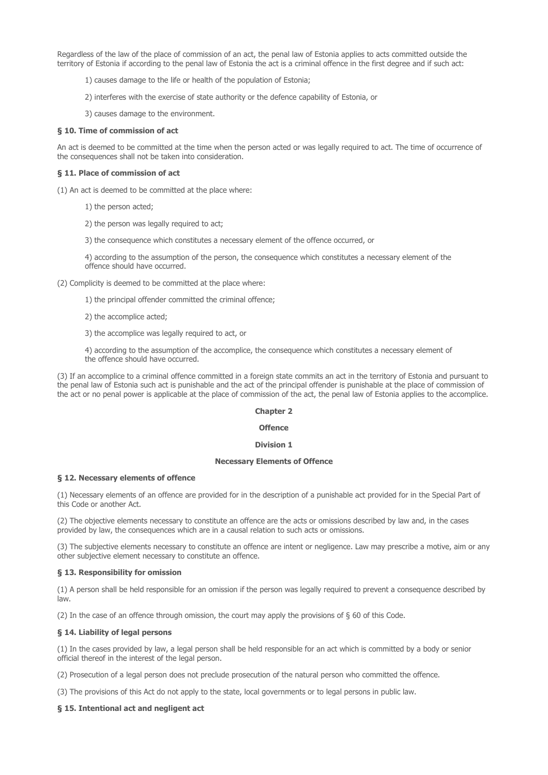Regardless of the law of the place of commission of an act, the penal law of Estonia applies to acts committed outside the territory of Estonia if according to the penal law of Estonia the act is a criminal offence in the first degree and if such act:

- 1) causes damage to the life or health of the population of Estonia;
- 2) interferes with the exercise of state authority or the defence capability of Estonia, or
- 3) causes damage to the environment.

## § 10. Time of commission of act

An act is deemed to be committed at the time when the person acted or was legally required to act. The time of occurrence of the consequences shall not be taken into consideration.

## § 11. Place of commission of act

(1) An act is deemed to be committed at the place where:

- 1) the person acted;
- 2) the person was legally required to act;
- 3) the consequence which constitutes a necessary element of the offence occurred, or

4) according to the assumption of the person, the consequence which constitutes a necessary element of the offence should have occurred.

(2) Complicity is deemed to be committed at the place where:

- 1) the principal offender committed the criminal offence;
- 2) the accomplice acted;

3) the accomplice was legally required to act, or

4) according to the assumption of the accomplice, the consequence which constitutes a necessary element of the offence should have occurred.

(3) If an accomplice to a criminal offence committed in a foreign state commits an act in the territory of Estonia and pursuant to the penal law of Estonia such act is punishable and the act of the principal offender is punishable at the place of commission of the act or no penal power is applicable at the place of commission of the act, the penal law of Estonia applies to the accomplice.

#### Chapter 2

#### **Offence**

### Division 1

#### Necessary Elements of Offence

## § 12. Necessary elements of offence

(1) Necessary elements of an offence are provided for in the description of a punishable act provided for in the Special Part of this Code or another Act.

(2) The objective elements necessary to constitute an offence are the acts or omissions described by law and, in the cases provided by law, the consequences which are in a causal relation to such acts or omissions.

(3) The subjective elements necessary to constitute an offence are intent or negligence. Law may prescribe a motive, aim or any other subjective element necessary to constitute an offence.

#### § 13. Responsibility for omission

(1) A person shall be held responsible for an omission if the person was legally required to prevent a consequence described by law.

(2) In the case of an offence through omission, the court may apply the provisions of  $\S$  60 of this Code.

#### § 14. Liability of legal persons

(1) In the cases provided by law, a legal person shall be held responsible for an act which is committed by a body or senior official thereof in the interest of the legal person.

(2) Prosecution of a legal person does not preclude prosecution of the natural person who committed the offence.

(3) The provisions of this Act do not apply to the state, local governments or to legal persons in public law.

### § 15. Intentional act and negligent act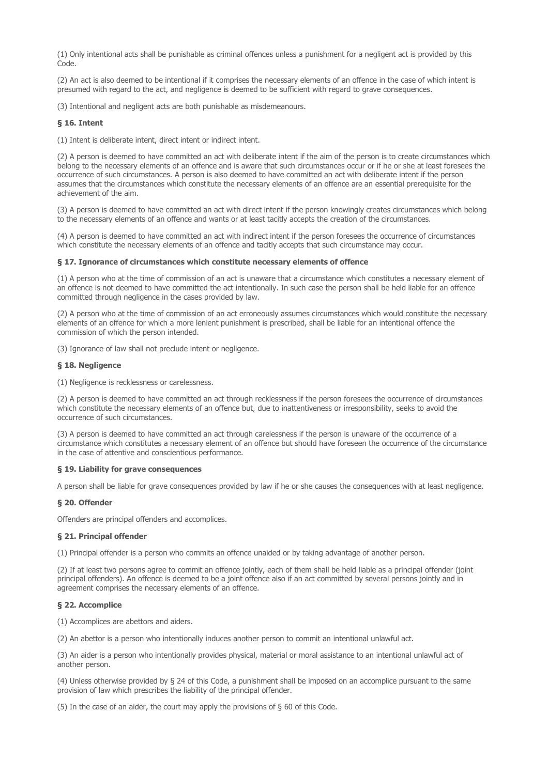(1) Only intentional acts shall be punishable as criminal offences unless a punishment for a negligent act is provided by this Code.

(2) An act is also deemed to be intentional if it comprises the necessary elements of an offence in the case of which intent is presumed with regard to the act, and negligence is deemed to be sufficient with regard to grave consequences.

(3) Intentional and negligent acts are both punishable as misdemeanours.

# § 16. Intent

(1) Intent is deliberate intent, direct intent or indirect intent.

(2) A person is deemed to have committed an act with deliberate intent if the aim of the person is to create circumstances which belong to the necessary elements of an offence and is aware that such circumstances occur or if he or she at least foresees the occurrence of such circumstances. A person is also deemed to have committed an act with deliberate intent if the person assumes that the circumstances which constitute the necessary elements of an offence are an essential prerequisite for the achievement of the aim.

(3) A person is deemed to have committed an act with direct intent if the person knowingly creates circumstances which belong to the necessary elements of an offence and wants or at least tacitly accepts the creation of the circumstances.

(4) A person is deemed to have committed an act with indirect intent if the person foresees the occurrence of circumstances which constitute the necessary elements of an offence and tacitly accepts that such circumstance may occur.

## § 17. Ignorance of circumstances which constitute necessary elements of offence

(1) A person who at the time of commission of an act is unaware that a circumstance which constitutes a necessary element of an offence is not deemed to have committed the act intentionally. In such case the person shall be held liable for an offence committed through negligence in the cases provided by law.

(2) A person who at the time of commission of an act erroneously assumes circumstances which would constitute the necessary elements of an offence for which a more lenient punishment is prescribed, shall be liable for an intentional offence the commission of which the person intended.

(3) Ignorance of law shall not preclude intent or negligence.

## § 18. Negligence

(1) Negligence is recklessness or carelessness.

(2) A person is deemed to have committed an act through recklessness if the person foresees the occurrence of circumstances which constitute the necessary elements of an offence but, due to inattentiveness or irresponsibility, seeks to avoid the occurrence of such circumstances.

(3) A person is deemed to have committed an act through carelessness if the person is unaware of the occurrence of a circumstance which constitutes a necessary element of an offence but should have foreseen the occurrence of the circumstance in the case of attentive and conscientious performance.

#### § 19. Liability for grave consequences

A person shall be liable for grave consequences provided by law if he or she causes the consequences with at least negligence.

## § 20. Offender

Offenders are principal offenders and accomplices.

## § 21. Principal offender

(1) Principal offender is a person who commits an offence unaided or by taking advantage of another person.

(2) If at least two persons agree to commit an offence jointly, each of them shall be held liable as a principal offender (joint principal offenders). An offence is deemed to be a joint offence also if an act committed by several persons jointly and in agreement comprises the necessary elements of an offence.

## § 22. Accomplice

(1) Accomplices are abettors and aiders.

(2) An abettor is a person who intentionally induces another person to commit an intentional unlawful act.

(3) An aider is a person who intentionally provides physical, material or moral assistance to an intentional unlawful act of another person.

(4) Unless otherwise provided by § 24 of this Code, a punishment shall be imposed on an accomplice pursuant to the same provision of law which prescribes the liability of the principal offender.

(5) In the case of an aider, the court may apply the provisions of § 60 of this Code.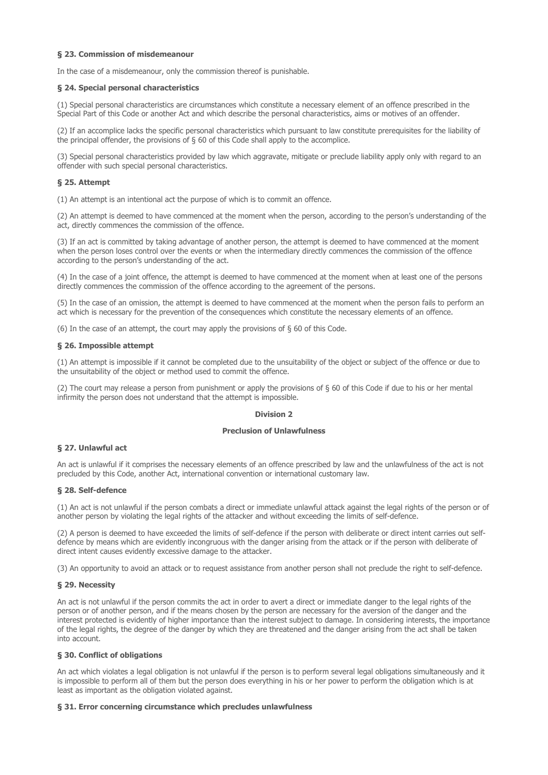# § 23. Commission of misdemeanour

In the case of a misdemeanour, only the commission thereof is punishable.

## § 24. Special personal characteristics

(1) Special personal characteristics are circumstances which constitute a necessary element of an offence prescribed in the Special Part of this Code or another Act and which describe the personal characteristics, aims or motives of an offender.

(2) If an accomplice lacks the specific personal characteristics which pursuant to law constitute prerequisites for the liability of the principal offender, the provisions of § 60 of this Code shall apply to the accomplice.

(3) Special personal characteristics provided by law which aggravate, mitigate or preclude liability apply only with regard to an offender with such special personal characteristics.

## § 25. Attempt

(1) An attempt is an intentional act the purpose of which is to commit an offence.

(2) An attempt is deemed to have commenced at the moment when the person, according to the person's understanding of the act, directly commences the commission of the offence.

(3) If an act is committed by taking advantage of another person, the attempt is deemed to have commenced at the moment when the person loses control over the events or when the intermediary directly commences the commission of the offence according to the person's understanding of the act.

(4) In the case of a joint offence, the attempt is deemed to have commenced at the moment when at least one of the persons directly commences the commission of the offence according to the agreement of the persons.

(5) In the case of an omission, the attempt is deemed to have commenced at the moment when the person fails to perform an act which is necessary for the prevention of the consequences which constitute the necessary elements of an offence.

(6) In the case of an attempt, the court may apply the provisions of § 60 of this Code.

## § 26. Impossible attempt

(1) An attempt is impossible if it cannot be completed due to the unsuitability of the object or subject of the offence or due to the unsuitability of the object or method used to commit the offence.

(2) The court may release a person from punishment or apply the provisions of  $\S$  60 of this Code if due to his or her mental infirmity the person does not understand that the attempt is impossible.

## Division 2

#### Preclusion of Unlawfulness

# § 27. Unlawful act

An act is unlawful if it comprises the necessary elements of an offence prescribed by law and the unlawfulness of the act is not precluded by this Code, another Act, international convention or international customary law.

## § 28. Self-defence

(1) An act is not unlawful if the person combats a direct or immediate unlawful attack against the legal rights of the person or of another person by violating the legal rights of the attacker and without exceeding the limits of self-defence.

(2) A person is deemed to have exceeded the limits of self-defence if the person with deliberate or direct intent carries out selfdefence by means which are evidently incongruous with the danger arising from the attack or if the person with deliberate of direct intent causes evidently excessive damage to the attacker.

(3) An opportunity to avoid an attack or to request assistance from another person shall not preclude the right to self-defence.

## § 29. Necessity

An act is not unlawful if the person commits the act in order to avert a direct or immediate danger to the legal rights of the person or of another person, and if the means chosen by the person are necessary for the aversion of the danger and the interest protected is evidently of higher importance than the interest subject to damage. In considering interests, the importance of the legal rights, the degree of the danger by which they are threatened and the danger arising from the act shall be taken into account.

## § 30. Conflict of obligations

An act which violates a legal obligation is not unlawful if the person is to perform several legal obligations simultaneously and it is impossible to perform all of them but the person does everything in his or her power to perform the obligation which is at least as important as the obligation violated against.

#### § 31. Error concerning circumstance which precludes unlawfulness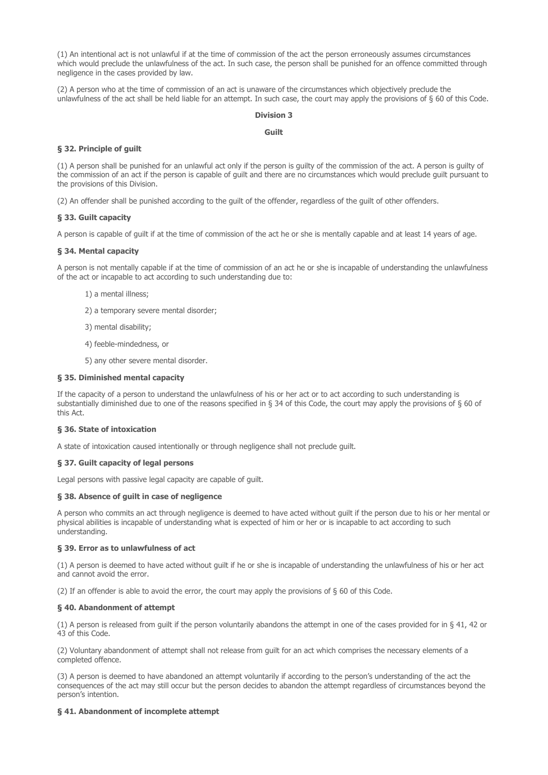(1) An intentional act is not unlawful if at the time of commission of the act the person erroneously assumes circumstances which would preclude the unlawfulness of the act. In such case, the person shall be punished for an offence committed through negligence in the cases provided by law.

(2) A person who at the time of commission of an act is unaware of the circumstances which objectively preclude the unlawfulness of the act shall be held liable for an attempt. In such case, the court may apply the provisions of § 60 of this Code.

## Division 3

## Guilt

# § 32. Principle of guilt

(1) A person shall be punished for an unlawful act only if the person is guilty of the commission of the act. A person is guilty of the commission of an act if the person is capable of guilt and there are no circumstances which would preclude guilt pursuant to the provisions of this Division.

(2) An offender shall be punished according to the guilt of the offender, regardless of the guilt of other offenders.

## § 33. Guilt capacity

A person is capable of guilt if at the time of commission of the act he or she is mentally capable and at least 14 years of age.

## § 34. Mental capacity

A person is not mentally capable if at the time of commission of an act he or she is incapable of understanding the unlawfulness of the act or incapable to act according to such understanding due to:

- 1) a mental illness;
- 2) a temporary severe mental disorder;
- 3) mental disability;
- 4) feeble-mindedness, or
- 5) any other severe mental disorder.

## § 35. Diminished mental capacity

If the capacity of a person to understand the unlawfulness of his or her act or to act according to such understanding is substantially diminished due to one of the reasons specified in § 34 of this Code, the court may apply the provisions of § 60 of this Act.

### § 36. State of intoxication

A state of intoxication caused intentionally or through negligence shall not preclude guilt.

## § 37. Guilt capacity of legal persons

Legal persons with passive legal capacity are capable of guilt.

#### § 38. Absence of guilt in case of negligence

A person who commits an act through negligence is deemed to have acted without guilt if the person due to his or her mental or physical abilities is incapable of understanding what is expected of him or her or is incapable to act according to such understanding.

# § 39. Error as to unlawfulness of act

(1) A person is deemed to have acted without guilt if he or she is incapable of understanding the unlawfulness of his or her act and cannot avoid the error.

(2) If an offender is able to avoid the error, the court may apply the provisions of § 60 of this Code.

#### § 40. Abandonment of attempt

(1) A person is released from guilt if the person voluntarily abandons the attempt in one of the cases provided for in § 41, 42 or 43 of this Code.

(2) Voluntary abandonment of attempt shall not release from guilt for an act which comprises the necessary elements of a completed offence.

(3) A person is deemed to have abandoned an attempt voluntarily if according to the person's understanding of the act the consequences of the act may still occur but the person decides to abandon the attempt regardless of circumstances beyond the person's intention.

### § 41. Abandonment of incomplete attempt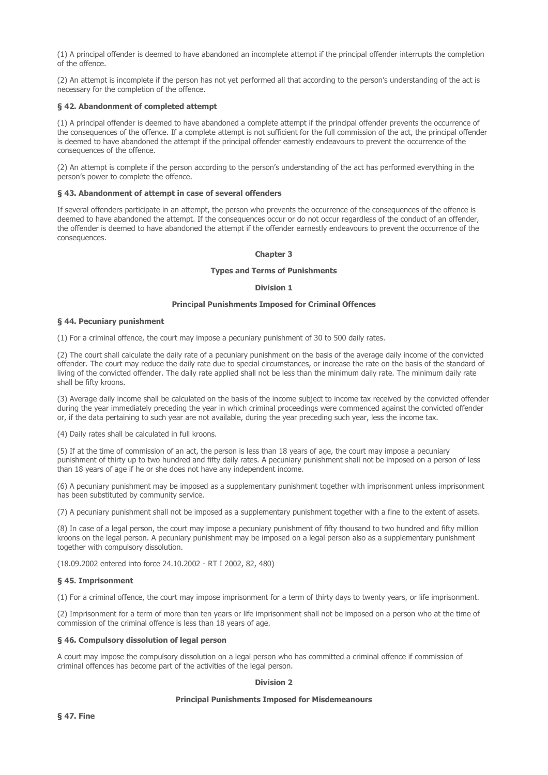(1) A principal offender is deemed to have abandoned an incomplete attempt if the principal offender interrupts the completion of the offence.

(2) An attempt is incomplete if the person has not yet performed all that according to the person's understanding of the act is necessary for the completion of the offence.

## § 42. Abandonment of completed attempt

(1) A principal offender is deemed to have abandoned a complete attempt if the principal offender prevents the occurrence of the consequences of the offence. If a complete attempt is not sufficient for the full commission of the act, the principal offender is deemed to have abandoned the attempt if the principal offender earnestly endeavours to prevent the occurrence of the consequences of the offence.

(2) An attempt is complete if the person according to the person's understanding of the act has performed everything in the person's power to complete the offence.

#### § 43. Abandonment of attempt in case of several offenders

If several offenders participate in an attempt, the person who prevents the occurrence of the consequences of the offence is deemed to have abandoned the attempt. If the consequences occur or do not occur regardless of the conduct of an offender, the offender is deemed to have abandoned the attempt if the offender earnestly endeavours to prevent the occurrence of the consequences.

## Chapter 3

#### Types and Terms of Punishments

## Division 1

## Principal Punishments Imposed for Criminal Offences

## § 44. Pecuniary punishment

(1) For a criminal offence, the court may impose a pecuniary punishment of 30 to 500 daily rates.

(2) The court shall calculate the daily rate of a pecuniary punishment on the basis of the average daily income of the convicted offender. The court may reduce the daily rate due to special circumstances, or increase the rate on the basis of the standard of living of the convicted offender. The daily rate applied shall not be less than the minimum daily rate. The minimum daily rate shall be fifty kroons.

(3) Average daily income shall be calculated on the basis of the income subject to income tax received by the convicted offender during the year immediately preceding the year in which criminal proceedings were commenced against the convicted offender or, if the data pertaining to such year are not available, during the year preceding such year, less the income tax.

(4) Daily rates shall be calculated in full kroons.

(5) If at the time of commission of an act, the person is less than 18 years of age, the court may impose a pecuniary punishment of thirty up to two hundred and fifty daily rates. A pecuniary punishment shall not be imposed on a person of less than 18 years of age if he or she does not have any independent income.

(6) A pecuniary punishment may be imposed as a supplementary punishment together with imprisonment unless imprisonment has been substituted by community service.

(7) A pecuniary punishment shall not be imposed as a supplementary punishment together with a fine to the extent of assets.

(8) In case of a legal person, the court may impose a pecuniary punishment of fifty thousand to two hundred and fifty million kroons on the legal person. A pecuniary punishment may be imposed on a legal person also as a supplementary punishment together with compulsory dissolution.

(18.09.2002 entered into force 24.10.2002 - RT I 2002, 82, 480)

#### § 45. Imprisonment

(1) For a criminal offence, the court may impose imprisonment for a term of thirty days to twenty years, or life imprisonment.

(2) Imprisonment for a term of more than ten years or life imprisonment shall not be imposed on a person who at the time of commission of the criminal offence is less than 18 years of age.

#### § 46. Compulsory dissolution of legal person

A court may impose the compulsory dissolution on a legal person who has committed a criminal offence if commission of criminal offences has become part of the activities of the legal person.

#### Division 2

### Principal Punishments Imposed for Misdemeanours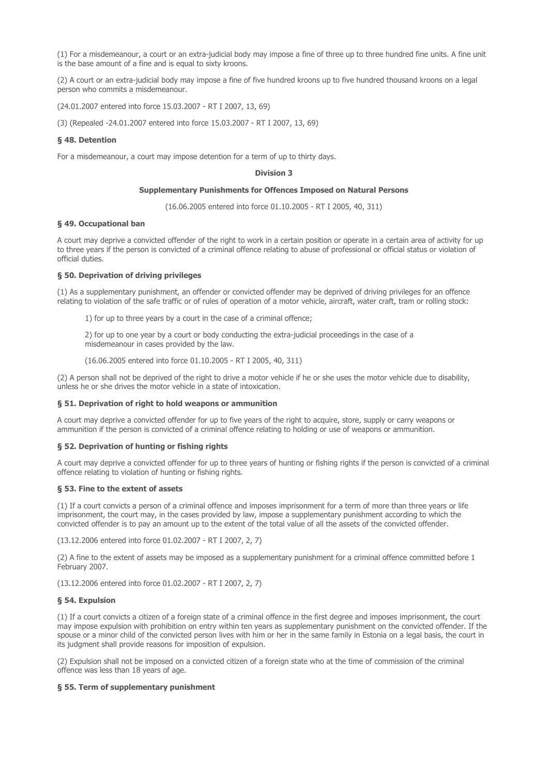(1) For a misdemeanour, a court or an extra-judicial body may impose a fine of three up to three hundred fine units. A fine unit is the base amount of a fine and is equal to sixty kroons.

(2) A court or an extra-judicial body may impose a fine of five hundred kroons up to five hundred thousand kroons on a legal person who commits a misdemeanour.

(24.01.2007 entered into force 15.03.2007 - RT I 2007, 13, 69)

(3) (Repealed -24.01.2007 entered into force 15.03.2007 - RT I 2007, 13, 69)

## § 48. Detention

For a misdemeanour, a court may impose detention for a term of up to thirty days.

#### Division 3

#### Supplementary Punishments for Offences Imposed on Natural Persons

(16.06.2005 entered into force 01.10.2005 - RT I 2005, 40, 311)

#### § 49. Occupational ban

A court may deprive a convicted offender of the right to work in a certain position or operate in a certain area of activity for up to three years if the person is convicted of a criminal offence relating to abuse of professional or official status or violation of official duties.

### § 50. Deprivation of driving privileges

(1) As a supplementary punishment, an offender or convicted offender may be deprived of driving privileges for an offence relating to violation of the safe traffic or of rules of operation of a motor vehicle, aircraft, water craft, tram or rolling stock:

1) for up to three years by a court in the case of a criminal offence;

2) for up to one year by a court or body conducting the extra-judicial proceedings in the case of a misdemeanour in cases provided by the law.

(16.06.2005 entered into force 01.10.2005 - RT I 2005, 40, 311)

(2) A person shall not be deprived of the right to drive a motor vehicle if he or she uses the motor vehicle due to disability, unless he or she drives the motor vehicle in a state of intoxication.

## § 51. Deprivation of right to hold weapons or ammunition

A court may deprive a convicted offender for up to five years of the right to acquire, store, supply or carry weapons or ammunition if the person is convicted of a criminal offence relating to holding or use of weapons or ammunition.

## § 52. Deprivation of hunting or fishing rights

A court may deprive a convicted offender for up to three years of hunting or fishing rights if the person is convicted of a criminal offence relating to violation of hunting or fishing rights.

## § 53. Fine to the extent of assets

(1) If a court convicts a person of a criminal offence and imposes imprisonment for a term of more than three years or life imprisonment, the court may, in the cases provided by law, impose a supplementary punishment according to which the convicted offender is to pay an amount up to the extent of the total value of all the assets of the convicted offender.

(13.12.2006 entered into force 01.02.2007 - RT I 2007, 2, 7)

(2) A fine to the extent of assets may be imposed as a supplementary punishment for a criminal offence committed before 1 February 2007.

(13.12.2006 entered into force 01.02.2007 - RT I 2007, 2, 7)

## § 54. Expulsion

(1) If a court convicts a citizen of a foreign state of a criminal offence in the first degree and imposes imprisonment, the court may impose expulsion with prohibition on entry within ten years as supplementary punishment on the convicted offender. If the spouse or a minor child of the convicted person lives with him or her in the same family in Estonia on a legal basis, the court in its judgment shall provide reasons for imposition of expulsion.

(2) Expulsion shall not be imposed on a convicted citizen of a foreign state who at the time of commission of the criminal offence was less than 18 years of age.

## § 55. Term of supplementary punishment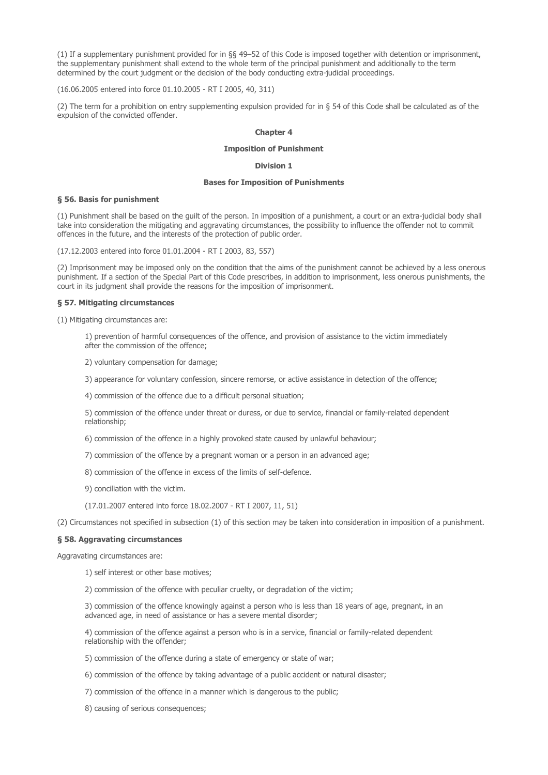(1) If a supplementary punishment provided for in §§ 49–52 of this Code is imposed together with detention or imprisonment, the supplementary punishment shall extend to the whole term of the principal punishment and additionally to the term determined by the court judgment or the decision of the body conducting extra-judicial proceedings.

(16.06.2005 entered into force 01.10.2005 - RT I 2005, 40, 311)

(2) The term for a prohibition on entry supplementing expulsion provided for in § 54 of this Code shall be calculated as of the expulsion of the convicted offender.

## Chapter 4

## Imposition of Punishment

# Division 1

### Bases for Imposition of Punishments

## § 56. Basis for punishment

(1) Punishment shall be based on the guilt of the person. In imposition of a punishment, a court or an extra-judicial body shall take into consideration the mitigating and aggravating circumstances, the possibility to influence the offender not to commit offences in the future, and the interests of the protection of public order.

(17.12.2003 entered into force 01.01.2004 - RT I 2003, 83, 557)

(2) Imprisonment may be imposed only on the condition that the aims of the punishment cannot be achieved by a less onerous punishment. If a section of the Special Part of this Code prescribes, in addition to imprisonment, less onerous punishments, the court in its judgment shall provide the reasons for the imposition of imprisonment.

## § 57. Mitigating circumstances

(1) Mitigating circumstances are:

1) prevention of harmful consequences of the offence, and provision of assistance to the victim immediately after the commission of the offence;

2) voluntary compensation for damage;

3) appearance for voluntary confession, sincere remorse, or active assistance in detection of the offence;

4) commission of the offence due to a difficult personal situation;

5) commission of the offence under threat or duress, or due to service, financial or family-related dependent relationship;

6) commission of the offence in a highly provoked state caused by unlawful behaviour;

7) commission of the offence by a pregnant woman or a person in an advanced age;

8) commission of the offence in excess of the limits of self-defence.

9) conciliation with the victim.

(17.01.2007 entered into force 18.02.2007 - RT I 2007, 11, 51)

(2) Circumstances not specified in subsection (1) of this section may be taken into consideration in imposition of a punishment.

## § 58. Aggravating circumstances

Aggravating circumstances are:

1) self interest or other base motives;

2) commission of the offence with peculiar cruelty, or degradation of the victim;

3) commission of the offence knowingly against a person who is less than 18 years of age, pregnant, in an advanced age, in need of assistance or has a severe mental disorder;

4) commission of the offence against a person who is in a service, financial or family-related dependent relationship with the offender;

5) commission of the offence during a state of emergency or state of war;

6) commission of the offence by taking advantage of a public accident or natural disaster;

7) commission of the offence in a manner which is dangerous to the public;

8) causing of serious consequences;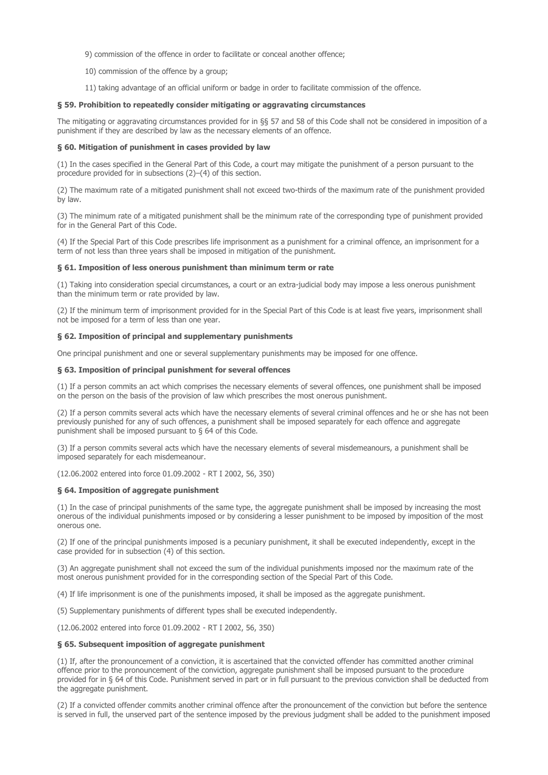9) commission of the offence in order to facilitate or conceal another offence;

- 10) commission of the offence by a group;
- 11) taking advantage of an official uniform or badge in order to facilitate commission of the offence.

## § 59. Prohibition to repeatedly consider mitigating or aggravating circumstances

The mitigating or aggravating circumstances provided for in §§ 57 and 58 of this Code shall not be considered in imposition of a punishment if they are described by law as the necessary elements of an offence.

## § 60. Mitigation of punishment in cases provided by law

(1) In the cases specified in the General Part of this Code, a court may mitigate the punishment of a person pursuant to the procedure provided for in subsections (2)–(4) of this section.

(2) The maximum rate of a mitigated punishment shall not exceed two-thirds of the maximum rate of the punishment provided by law.

(3) The minimum rate of a mitigated punishment shall be the minimum rate of the corresponding type of punishment provided for in the General Part of this Code.

(4) If the Special Part of this Code prescribes life imprisonment as a punishment for a criminal offence, an imprisonment for a term of not less than three years shall be imposed in mitigation of the punishment.

#### § 61. Imposition of less onerous punishment than minimum term or rate

(1) Taking into consideration special circumstances, a court or an extra-judicial body may impose a less onerous punishment than the minimum term or rate provided by law.

(2) If the minimum term of imprisonment provided for in the Special Part of this Code is at least five years, imprisonment shall not be imposed for a term of less than one year.

# § 62. Imposition of principal and supplementary punishments

One principal punishment and one or several supplementary punishments may be imposed for one offence.

## § 63. Imposition of principal punishment for several offences

(1) If a person commits an act which comprises the necessary elements of several offences, one punishment shall be imposed on the person on the basis of the provision of law which prescribes the most onerous punishment.

(2) If a person commits several acts which have the necessary elements of several criminal offences and he or she has not been previously punished for any of such offences, a punishment shall be imposed separately for each offence and aggregate punishment shall be imposed pursuant to § 64 of this Code.

(3) If a person commits several acts which have the necessary elements of several misdemeanours, a punishment shall be imposed separately for each misdemeanour.

(12.06.2002 entered into force 01.09.2002 - RT I 2002, 56, 350)

## § 64. Imposition of aggregate punishment

(1) In the case of principal punishments of the same type, the aggregate punishment shall be imposed by increasing the most onerous of the individual punishments imposed or by considering a lesser punishment to be imposed by imposition of the most onerous one.

(2) If one of the principal punishments imposed is a pecuniary punishment, it shall be executed independently, except in the case provided for in subsection (4) of this section.

(3) An aggregate punishment shall not exceed the sum of the individual punishments imposed nor the maximum rate of the most onerous punishment provided for in the corresponding section of the Special Part of this Code.

(4) If life imprisonment is one of the punishments imposed, it shall be imposed as the aggregate punishment.

(5) Supplementary punishments of different types shall be executed independently.

(12.06.2002 entered into force 01.09.2002 - RT I 2002, 56, 350)

## § 65. Subsequent imposition of aggregate punishment

(1) If, after the pronouncement of a conviction, it is ascertained that the convicted offender has committed another criminal offence prior to the pronouncement of the conviction, aggregate punishment shall be imposed pursuant to the procedure provided for in § 64 of this Code. Punishment served in part or in full pursuant to the previous conviction shall be deducted from the aggregate punishment.

(2) If a convicted offender commits another criminal offence after the pronouncement of the conviction but before the sentence is served in full, the unserved part of the sentence imposed by the previous judgment shall be added to the punishment imposed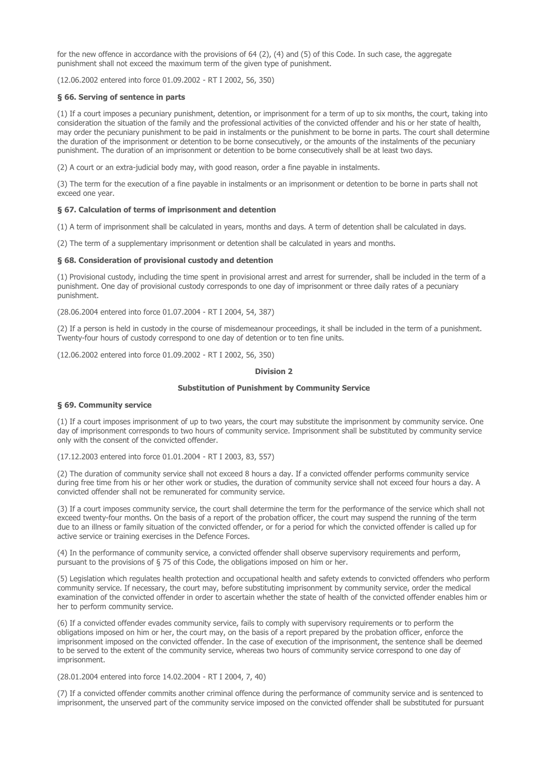for the new offence in accordance with the provisions of 64 (2), (4) and (5) of this Code. In such case, the aggregate punishment shall not exceed the maximum term of the given type of punishment.

(12.06.2002 entered into force 01.09.2002 - RT I 2002, 56, 350)

### § 66. Serving of sentence in parts

(1) If a court imposes a pecuniary punishment, detention, or imprisonment for a term of up to six months, the court, taking into consideration the situation of the family and the professional activities of the convicted offender and his or her state of health, may order the pecuniary punishment to be paid in instalments or the punishment to be borne in parts. The court shall determine the duration of the imprisonment or detention to be borne consecutively, or the amounts of the instalments of the pecuniary punishment. The duration of an imprisonment or detention to be borne consecutively shall be at least two days.

(2) A court or an extra-judicial body may, with good reason, order a fine payable in instalments.

(3) The term for the execution of a fine payable in instalments or an imprisonment or detention to be borne in parts shall not exceed one year.

## § 67. Calculation of terms of imprisonment and detention

(1) A term of imprisonment shall be calculated in years, months and days. A term of detention shall be calculated in days.

(2) The term of a supplementary imprisonment or detention shall be calculated in years and months.

#### § 68. Consideration of provisional custody and detention

(1) Provisional custody, including the time spent in provisional arrest and arrest for surrender, shall be included in the term of a punishment. One day of provisional custody corresponds to one day of imprisonment or three daily rates of a pecuniary punishment.

(28.06.2004 entered into force 01.07.2004 - RT I 2004, 54, 387)

(2) If a person is held in custody in the course of misdemeanour proceedings, it shall be included in the term of a punishment. Twenty-four hours of custody correspond to one day of detention or to ten fine units.

(12.06.2002 entered into force 01.09.2002 - RT I 2002, 56, 350)

### Division 2

# Substitution of Punishment by Community Service

#### § 69. Community service

(1) If a court imposes imprisonment of up to two years, the court may substitute the imprisonment by community service. One day of imprisonment corresponds to two hours of community service. Imprisonment shall be substituted by community service only with the consent of the convicted offender.

(17.12.2003 entered into force 01.01.2004 - RT I 2003, 83, 557)

(2) The duration of community service shall not exceed 8 hours a day. If a convicted offender performs community service during free time from his or her other work or studies, the duration of community service shall not exceed four hours a day. A convicted offender shall not be remunerated for community service.

(3) If a court imposes community service, the court shall determine the term for the performance of the service which shall not exceed twenty-four months. On the basis of a report of the probation officer, the court may suspend the running of the term due to an illness or family situation of the convicted offender, or for a period for which the convicted offender is called up for active service or training exercises in the Defence Forces.

(4) In the performance of community service, a convicted offender shall observe supervisory requirements and perform, pursuant to the provisions of § 75 of this Code, the obligations imposed on him or her.

(5) Legislation which regulates health protection and occupational health and safety extends to convicted offenders who perform community service. If necessary, the court may, before substituting imprisonment by community service, order the medical examination of the convicted offender in order to ascertain whether the state of health of the convicted offender enables him or her to perform community service.

(6) If a convicted offender evades community service, fails to comply with supervisory requirements or to perform the obligations imposed on him or her, the court may, on the basis of a report prepared by the probation officer, enforce the imprisonment imposed on the convicted offender. In the case of execution of the imprisonment, the sentence shall be deemed to be served to the extent of the community service, whereas two hours of community service correspond to one day of imprisonment.

(28.01.2004 entered into force 14.02.2004 - RT I 2004, 7, 40)

(7) If a convicted offender commits another criminal offence during the performance of community service and is sentenced to imprisonment, the unserved part of the community service imposed on the convicted offender shall be substituted for pursuant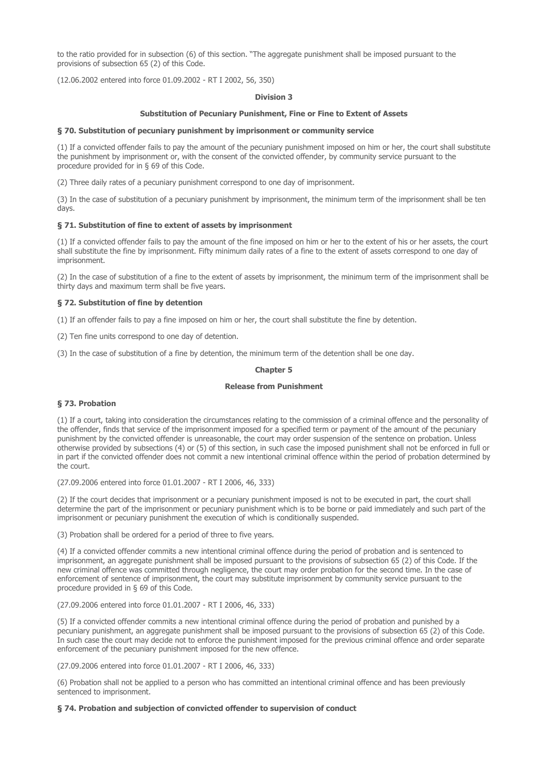to the ratio provided for in subsection (6) of this section. "The aggregate punishment shall be imposed pursuant to the provisions of subsection 65 (2) of this Code.

(12.06.2002 entered into force 01.09.2002 - RT I 2002, 56, 350)

### Division 3

## Substitution of Pecuniary Punishment, Fine or Fine to Extent of Assets

### § 70. Substitution of pecuniary punishment by imprisonment or community service

(1) If a convicted offender fails to pay the amount of the pecuniary punishment imposed on him or her, the court shall substitute the punishment by imprisonment or, with the consent of the convicted offender, by community service pursuant to the procedure provided for in § 69 of this Code.

(2) Three daily rates of a pecuniary punishment correspond to one day of imprisonment.

(3) In the case of substitution of a pecuniary punishment by imprisonment, the minimum term of the imprisonment shall be ten days.

## § 71. Substitution of fine to extent of assets by imprisonment

(1) If a convicted offender fails to pay the amount of the fine imposed on him or her to the extent of his or her assets, the court shall substitute the fine by imprisonment. Fifty minimum daily rates of a fine to the extent of assets correspond to one day of imprisonment.

(2) In the case of substitution of a fine to the extent of assets by imprisonment, the minimum term of the imprisonment shall be thirty days and maximum term shall be five years.

## § 72. Substitution of fine by detention

(1) If an offender fails to pay a fine imposed on him or her, the court shall substitute the fine by detention.

(2) Ten fine units correspond to one day of detention.

(3) In the case of substitution of a fine by detention, the minimum term of the detention shall be one day.

## Chapter 5

## Release from Punishment

## § 73. Probation

(1) If a court, taking into consideration the circumstances relating to the commission of a criminal offence and the personality of the offender, finds that service of the imprisonment imposed for a specified term or payment of the amount of the pecuniary punishment by the convicted offender is unreasonable, the court may order suspension of the sentence on probation. Unless otherwise provided by subsections (4) or (5) of this section, in such case the imposed punishment shall not be enforced in full or in part if the convicted offender does not commit a new intentional criminal offence within the period of probation determined by the court.

(27.09.2006 entered into force 01.01.2007 - RT I 2006, 46, 333)

(2) If the court decides that imprisonment or a pecuniary punishment imposed is not to be executed in part, the court shall determine the part of the imprisonment or pecuniary punishment which is to be borne or paid immediately and such part of the imprisonment or pecuniary punishment the execution of which is conditionally suspended.

(3) Probation shall be ordered for a period of three to five years.

(4) If a convicted offender commits a new intentional criminal offence during the period of probation and is sentenced to imprisonment, an aggregate punishment shall be imposed pursuant to the provisions of subsection 65 (2) of this Code. If the new criminal offence was committed through negligence, the court may order probation for the second time. In the case of enforcement of sentence of imprisonment, the court may substitute imprisonment by community service pursuant to the procedure provided in § 69 of this Code.

(27.09.2006 entered into force 01.01.2007 - RT I 2006, 46, 333)

(5) If a convicted offender commits a new intentional criminal offence during the period of probation and punished by a pecuniary punishment, an aggregate punishment shall be imposed pursuant to the provisions of subsection 65 (2) of this Code. In such case the court may decide not to enforce the punishment imposed for the previous criminal offence and order separate enforcement of the pecuniary punishment imposed for the new offence.

(27.09.2006 entered into force 01.01.2007 - RT I 2006, 46, 333)

(6) Probation shall not be applied to a person who has committed an intentional criminal offence and has been previously sentenced to imprisonment.

## § 74. Probation and subjection of convicted offender to supervision of conduct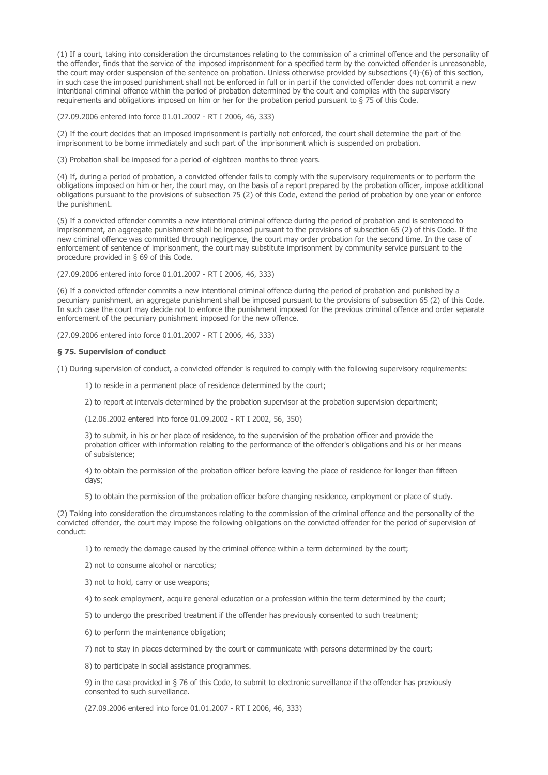(1) If a court, taking into consideration the circumstances relating to the commission of a criminal offence and the personality of the offender, finds that the service of the imposed imprisonment for a specified term by the convicted offender is unreasonable, the court may order suspension of the sentence on probation. Unless otherwise provided by subsections (4)-(6) of this section, in such case the imposed punishment shall not be enforced in full or in part if the convicted offender does not commit a new intentional criminal offence within the period of probation determined by the court and complies with the supervisory requirements and obligations imposed on him or her for the probation period pursuant to § 75 of this Code.

(27.09.2006 entered into force 01.01.2007 - RT I 2006, 46, 333)

(2) If the court decides that an imposed imprisonment is partially not enforced, the court shall determine the part of the imprisonment to be borne immediately and such part of the imprisonment which is suspended on probation.

(3) Probation shall be imposed for a period of eighteen months to three years.

(4) If, during a period of probation, a convicted offender fails to comply with the supervisory requirements or to perform the obligations imposed on him or her, the court may, on the basis of a report prepared by the probation officer, impose additional obligations pursuant to the provisions of subsection 75 (2) of this Code, extend the period of probation by one year or enforce the punishment.

(5) If a convicted offender commits a new intentional criminal offence during the period of probation and is sentenced to imprisonment, an aggregate punishment shall be imposed pursuant to the provisions of subsection 65 (2) of this Code. If the new criminal offence was committed through negligence, the court may order probation for the second time. In the case of enforcement of sentence of imprisonment, the court may substitute imprisonment by community service pursuant to the procedure provided in § 69 of this Code.

(27.09.2006 entered into force 01.01.2007 - RT I 2006, 46, 333)

(6) If a convicted offender commits a new intentional criminal offence during the period of probation and punished by a pecuniary punishment, an aggregate punishment shall be imposed pursuant to the provisions of subsection 65 (2) of this Code. In such case the court may decide not to enforce the punishment imposed for the previous criminal offence and order separate enforcement of the pecuniary punishment imposed for the new offence.

(27.09.2006 entered into force 01.01.2007 - RT I 2006, 46, 333)

## § 75. Supervision of conduct

(1) During supervision of conduct, a convicted offender is required to comply with the following supervisory requirements:

- 1) to reside in a permanent place of residence determined by the court;
- 2) to report at intervals determined by the probation supervisor at the probation supervision department;

(12.06.2002 entered into force 01.09.2002 - RT I 2002, 56, 350)

3) to submit, in his or her place of residence, to the supervision of the probation officer and provide the probation officer with information relating to the performance of the offender's obligations and his or her means of subsistence;

4) to obtain the permission of the probation officer before leaving the place of residence for longer than fifteen days;

5) to obtain the permission of the probation officer before changing residence, employment or place of study.

(2) Taking into consideration the circumstances relating to the commission of the criminal offence and the personality of the convicted offender, the court may impose the following obligations on the convicted offender for the period of supervision of conduct:

1) to remedy the damage caused by the criminal offence within a term determined by the court;

2) not to consume alcohol or narcotics;

3) not to hold, carry or use weapons;

4) to seek employment, acquire general education or a profession within the term determined by the court;

5) to undergo the prescribed treatment if the offender has previously consented to such treatment;

6) to perform the maintenance obligation;

7) not to stay in places determined by the court or communicate with persons determined by the court;

8) to participate in social assistance programmes.

9) in the case provided in § 76 of this Code, to submit to electronic surveillance if the offender has previously consented to such surveillance.

(27.09.2006 entered into force 01.01.2007 - RT I 2006, 46, 333)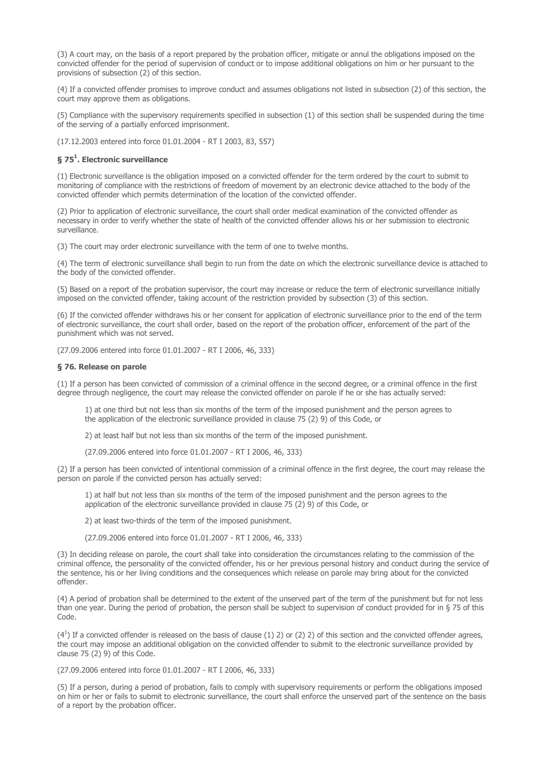(3) A court may, on the basis of a report prepared by the probation officer, mitigate or annul the obligations imposed on the convicted offender for the period of supervision of conduct or to impose additional obligations on him or her pursuant to the provisions of subsection (2) of this section.

(4) If a convicted offender promises to improve conduct and assumes obligations not listed in subsection (2) of this section, the court may approve them as obligations.

(5) Compliance with the supervisory requirements specified in subsection (1) of this section shall be suspended during the time of the serving of a partially enforced imprisonment.

(17.12.2003 entered into force 01.01.2004 - RT I 2003, 83, 557)

## § 75<sup>1</sup>. Electronic surveillance

(1) Electronic surveillance is the obligation imposed on a convicted offender for the term ordered by the court to submit to monitoring of compliance with the restrictions of freedom of movement by an electronic device attached to the body of the convicted offender which permits determination of the location of the convicted offender.

(2) Prior to application of electronic surveillance, the court shall order medical examination of the convicted offender as necessary in order to verify whether the state of health of the convicted offender allows his or her submission to electronic surveillance.

(3) The court may order electronic surveillance with the term of one to twelve months.

(4) The term of electronic surveillance shall begin to run from the date on which the electronic surveillance device is attached to the body of the convicted offender.

(5) Based on a report of the probation supervisor, the court may increase or reduce the term of electronic surveillance initially imposed on the convicted offender, taking account of the restriction provided by subsection (3) of this section.

(6) If the convicted offender withdraws his or her consent for application of electronic surveillance prior to the end of the term of electronic surveillance, the court shall order, based on the report of the probation officer, enforcement of the part of the punishment which was not served.

(27.09.2006 entered into force 01.01.2007 - RT I 2006, 46, 333)

## § 76. Release on parole

(1) If a person has been convicted of commission of a criminal offence in the second degree, or a criminal offence in the first degree through negligence, the court may release the convicted offender on parole if he or she has actually served:

1) at one third but not less than six months of the term of the imposed punishment and the person agrees to the application of the electronic surveillance provided in clause 75 (2) 9) of this Code, or

2) at least half but not less than six months of the term of the imposed punishment.

(27.09.2006 entered into force 01.01.2007 - RT I 2006, 46, 333)

(2) If a person has been convicted of intentional commission of a criminal offence in the first degree, the court may release the person on parole if the convicted person has actually served:

1) at half but not less than six months of the term of the imposed punishment and the person agrees to the application of the electronic surveillance provided in clause 75 (2) 9) of this Code, or

2) at least two-thirds of the term of the imposed punishment.

(27.09.2006 entered into force 01.01.2007 - RT I 2006, 46, 333)

(3) In deciding release on parole, the court shall take into consideration the circumstances relating to the commission of the criminal offence, the personality of the convicted offender, his or her previous personal history and conduct during the service of the sentence, his or her living conditions and the consequences which release on parole may bring about for the convicted offender.

(4) A period of probation shall be determined to the extent of the unserved part of the term of the punishment but for not less than one year. During the period of probation, the person shall be subject to supervision of conduct provided for in § 75 of this Code.

 $(4<sup>1</sup>)$  If a convicted offender is released on the basis of clause (1) 2) or (2) 2) of this section and the convicted offender agrees, the court may impose an additional obligation on the convicted offender to submit to the electronic surveillance provided by clause  $75(2)9$  of this Code.

(27.09.2006 entered into force 01.01.2007 - RT I 2006, 46, 333)

(5) If a person, during a period of probation, fails to comply with supervisory requirements or perform the obligations imposed on him or her or fails to submit to electronic surveillance, the court shall enforce the unserved part of the sentence on the basis of a report by the probation officer.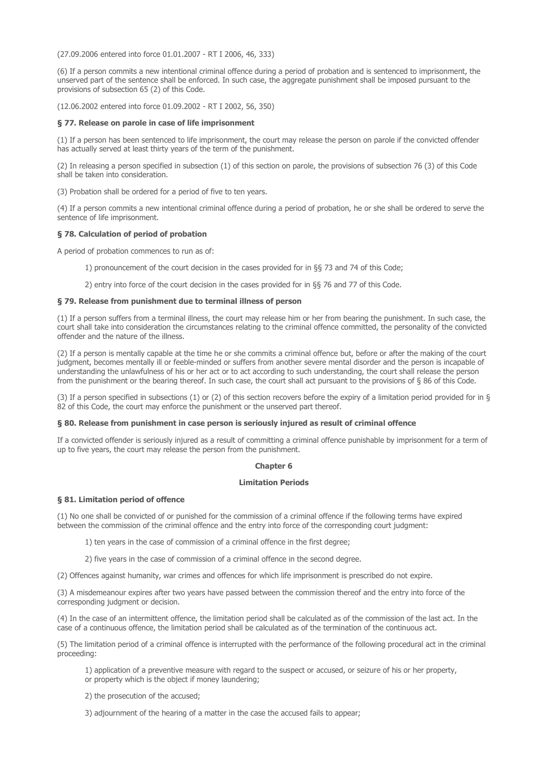(27.09.2006 entered into force 01.01.2007 - RT I 2006, 46, 333)

(6) If a person commits a new intentional criminal offence during a period of probation and is sentenced to imprisonment, the unserved part of the sentence shall be enforced. In such case, the aggregate punishment shall be imposed pursuant to the provisions of subsection 65 (2) of this Code.

(12.06.2002 entered into force 01.09.2002 - RT I 2002, 56, 350)

## § 77. Release on parole in case of life imprisonment

(1) If a person has been sentenced to life imprisonment, the court may release the person on parole if the convicted offender has actually served at least thirty years of the term of the punishment.

(2) In releasing a person specified in subsection (1) of this section on parole, the provisions of subsection 76 (3) of this Code shall be taken into consideration.

(3) Probation shall be ordered for a period of five to ten years.

(4) If a person commits a new intentional criminal offence during a period of probation, he or she shall be ordered to serve the sentence of life imprisonment.

## § 78. Calculation of period of probation

A period of probation commences to run as of:

1) pronouncement of the court decision in the cases provided for in §§ 73 and 74 of this Code;

2) entry into force of the court decision in the cases provided for in §§ 76 and 77 of this Code.

## § 79. Release from punishment due to terminal illness of person

(1) If a person suffers from a terminal illness, the court may release him or her from bearing the punishment. In such case, the court shall take into consideration the circumstances relating to the criminal offence committed, the personality of the convicted offender and the nature of the illness.

(2) If a person is mentally capable at the time he or she commits a criminal offence but, before or after the making of the court judgment, becomes mentally ill or feeble-minded or suffers from another severe mental disorder and the person is incapable of understanding the unlawfulness of his or her act or to act according to such understanding, the court shall release the person from the punishment or the bearing thereof. In such case, the court shall act pursuant to the provisions of § 86 of this Code.

(3) If a person specified in subsections (1) or (2) of this section recovers before the expiry of a limitation period provided for in § 82 of this Code, the court may enforce the punishment or the unserved part thereof.

#### § 80. Release from punishment in case person is seriously injured as result of criminal offence

If a convicted offender is seriously injured as a result of committing a criminal offence punishable by imprisonment for a term of up to five years, the court may release the person from the punishment.

## Chapter 6

## Limitation Periods

### § 81. Limitation period of offence

(1) No one shall be convicted of or punished for the commission of a criminal offence if the following terms have expired between the commission of the criminal offence and the entry into force of the corresponding court judgment:

1) ten years in the case of commission of a criminal offence in the first degree;

2) five years in the case of commission of a criminal offence in the second degree.

(2) Offences against humanity, war crimes and offences for which life imprisonment is prescribed do not expire.

(3) A misdemeanour expires after two years have passed between the commission thereof and the entry into force of the corresponding judgment or decision.

(4) In the case of an intermittent offence, the limitation period shall be calculated as of the commission of the last act. In the case of a continuous offence, the limitation period shall be calculated as of the termination of the continuous act.

(5) The limitation period of a criminal offence is interrupted with the performance of the following procedural act in the criminal proceeding:

1) application of a preventive measure with regard to the suspect or accused, or seizure of his or her property, or property which is the object if money laundering;

2) the prosecution of the accused;

3) adjournment of the hearing of a matter in the case the accused fails to appear;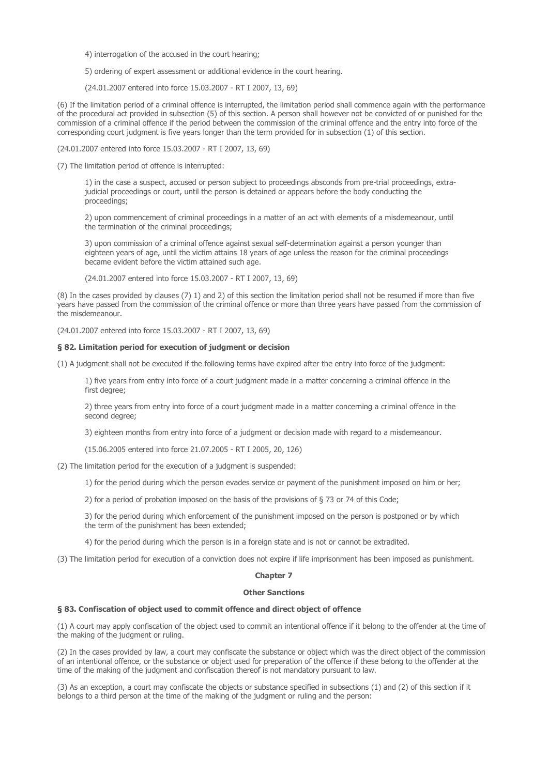4) interrogation of the accused in the court hearing;

5) ordering of expert assessment or additional evidence in the court hearing.

(24.01.2007 entered into force 15.03.2007 - RT I 2007, 13, 69)

(6) If the limitation period of a criminal offence is interrupted, the limitation period shall commence again with the performance of the procedural act provided in subsection (5) of this section. A person shall however not be convicted of or punished for the commission of a criminal offence if the period between the commission of the criminal offence and the entry into force of the corresponding court judgment is five years longer than the term provided for in subsection (1) of this section.

(24.01.2007 entered into force 15.03.2007 - RT I 2007, 13, 69)

(7) The limitation period of offence is interrupted:

1) in the case a suspect, accused or person subject to proceedings absconds from pre-trial proceedings, extrajudicial proceedings or court, until the person is detained or appears before the body conducting the proceedings;

2) upon commencement of criminal proceedings in a matter of an act with elements of a misdemeanour, until the termination of the criminal proceedings;

3) upon commission of a criminal offence against sexual self-determination against a person younger than eighteen years of age, until the victim attains 18 years of age unless the reason for the criminal proceedings became evident before the victim attained such age.

(24.01.2007 entered into force 15.03.2007 - RT I 2007, 13, 69)

(8) In the cases provided by clauses (7) 1) and 2) of this section the limitation period shall not be resumed if more than five years have passed from the commission of the criminal offence or more than three years have passed from the commission of the misdemeanour.

(24.01.2007 entered into force 15.03.2007 - RT I 2007, 13, 69)

### § 82. Limitation period for execution of judgment or decision

(1) A judgment shall not be executed if the following terms have expired after the entry into force of the judgment:

1) five years from entry into force of a court judgment made in a matter concerning a criminal offence in the first degree;

2) three years from entry into force of a court judgment made in a matter concerning a criminal offence in the second degree;

3) eighteen months from entry into force of a judgment or decision made with regard to a misdemeanour.

(15.06.2005 entered into force 21.07.2005 - RT I 2005, 20, 126)

(2) The limitation period for the execution of a judgment is suspended:

1) for the period during which the person evades service or payment of the punishment imposed on him or her;

2) for a period of probation imposed on the basis of the provisions of § 73 or 74 of this Code;

3) for the period during which enforcement of the punishment imposed on the person is postponed or by which the term of the punishment has been extended;

4) for the period during which the person is in a foreign state and is not or cannot be extradited.

(3) The limitation period for execution of a conviction does not expire if life imprisonment has been imposed as punishment.

#### Chapter 7

#### Other Sanctions

## § 83. Confiscation of object used to commit offence and direct object of offence

(1) A court may apply confiscation of the object used to commit an intentional offence if it belong to the offender at the time of the making of the judgment or ruling.

(2) In the cases provided by law, a court may confiscate the substance or object which was the direct object of the commission of an intentional offence, or the substance or object used for preparation of the offence if these belong to the offender at the time of the making of the judgment and confiscation thereof is not mandatory pursuant to law.

(3) As an exception, a court may confiscate the objects or substance specified in subsections (1) and (2) of this section if it belongs to a third person at the time of the making of the judgment or ruling and the person: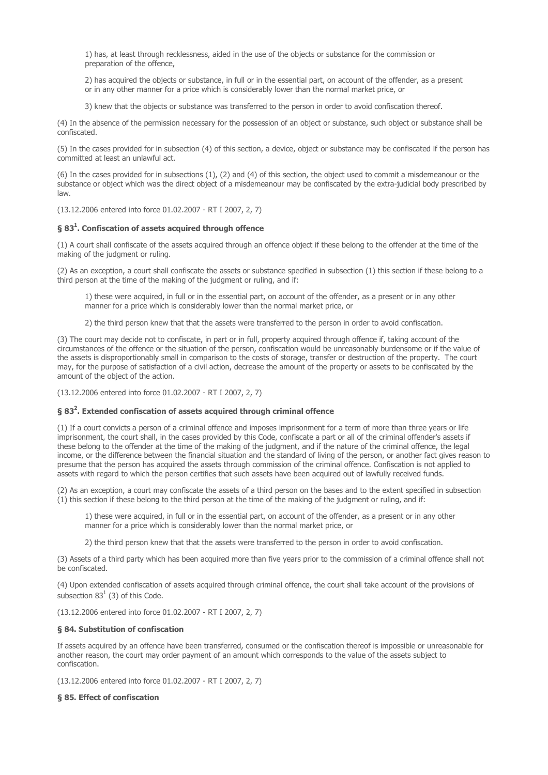1) has, at least through recklessness, aided in the use of the objects or substance for the commission or preparation of the offence,

2) has acquired the objects or substance, in full or in the essential part, on account of the offender, as a present or in any other manner for a price which is considerably lower than the normal market price, or

3) knew that the objects or substance was transferred to the person in order to avoid confiscation thereof.

(4) In the absence of the permission necessary for the possession of an object or substance, such object or substance shall be confiscated.

(5) In the cases provided for in subsection (4) of this section, a device, object or substance may be confiscated if the person has committed at least an unlawful act.

(6) In the cases provided for in subsections (1), (2) and (4) of this section, the object used to commit a misdemeanour or the substance or object which was the direct object of a misdemeanour may be confiscated by the extra-judicial body prescribed by law.

(13.12.2006 entered into force 01.02.2007 - RT I 2007, 2, 7)

## § 83<sup>1</sup>. Confiscation of assets acquired through offence

(1) A court shall confiscate of the assets acquired through an offence object if these belong to the offender at the time of the making of the judgment or ruling.

(2) As an exception, a court shall confiscate the assets or substance specified in subsection (1) this section if these belong to a third person at the time of the making of the judgment or ruling, and if:

1) these were acquired, in full or in the essential part, on account of the offender, as a present or in any other manner for a price which is considerably lower than the normal market price, or

2) the third person knew that that the assets were transferred to the person in order to avoid confiscation.

(3) The court may decide not to confiscate, in part or in full, property acquired through offence if, taking account of the circumstances of the offence or the situation of the person, confiscation would be unreasonably burdensome or if the value of the assets is disproportionably small in comparison to the costs of storage, transfer or destruction of the property. The court may, for the purpose of satisfaction of a civil action, decrease the amount of the property or assets to be confiscated by the amount of the object of the action.

(13.12.2006 entered into force 01.02.2007 - RT I 2007, 2, 7)

## § 83<sup>2</sup>. Extended confiscation of assets acquired through criminal offence

(1) If a court convicts a person of a criminal offence and imposes imprisonment for a term of more than three years or life imprisonment, the court shall, in the cases provided by this Code, confiscate a part or all of the criminal offender's assets if these belong to the offender at the time of the making of the judgment, and if the nature of the criminal offence, the legal income, or the difference between the financial situation and the standard of living of the person, or another fact gives reason to presume that the person has acquired the assets through commission of the criminal offence. Confiscation is not applied to assets with regard to which the person certifies that such assets have been acquired out of lawfully received funds.

(2) As an exception, a court may confiscate the assets of a third person on the bases and to the extent specified in subsection  $(1)$  this section if these belong to the third person at the time of the making of the judgment or ruling, and if:

1) these were acquired, in full or in the essential part, on account of the offender, as a present or in any other manner for a price which is considerably lower than the normal market price, or

2) the third person knew that that the assets were transferred to the person in order to avoid confiscation.

(3) Assets of a third party which has been acquired more than five years prior to the commission of a criminal offence shall not be confiscated.

(4) Upon extended confiscation of assets acquired through criminal offence, the court shall take account of the provisions of subsection  $83<sup>1</sup>$  (3) of this Code.

(13.12.2006 entered into force 01.02.2007 - RT I 2007, 2, 7)

## § 84. Substitution of confiscation

If assets acquired by an offence have been transferred, consumed or the confiscation thereof is impossible or unreasonable for another reason, the court may order payment of an amount which corresponds to the value of the assets subject to confiscation.

(13.12.2006 entered into force 01.02.2007 - RT I 2007, 2, 7)

## § 85. Effect of confiscation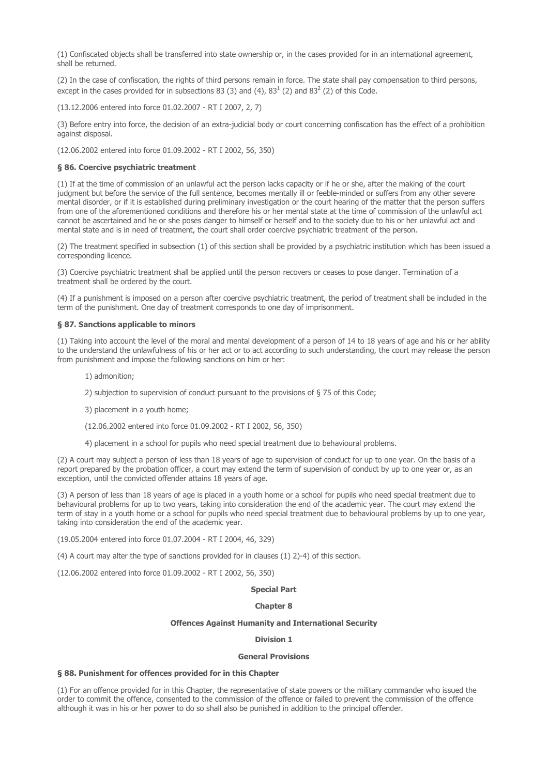(1) Confiscated objects shall be transferred into state ownership or, in the cases provided for in an international agreement, shall be returned.

(2) In the case of confiscation, the rights of third persons remain in force. The state shall pay compensation to third persons, except in the cases provided for in subsections 83 (3) and (4),  $83<sup>1</sup>$  (2) and  $83<sup>2</sup>$  (2) of this Code.

(13.12.2006 entered into force 01.02.2007 - RT I 2007, 2, 7)

(3) Before entry into force, the decision of an extra-judicial body or court concerning confiscation has the effect of a prohibition against disposal.

(12.06.2002 entered into force 01.09.2002 - RT I 2002, 56, 350)

## § 86. Coercive psychiatric treatment

(1) If at the time of commission of an unlawful act the person lacks capacity or if he or she, after the making of the court judgment but before the service of the full sentence, becomes mentally ill or feeble-minded or suffers from any other severe mental disorder, or if it is established during preliminary investigation or the court hearing of the matter that the person suffers from one of the aforementioned conditions and therefore his or her mental state at the time of commission of the unlawful act cannot be ascertained and he or she poses danger to himself or herself and to the society due to his or her unlawful act and mental state and is in need of treatment, the court shall order coercive psychiatric treatment of the person.

(2) The treatment specified in subsection (1) of this section shall be provided by a psychiatric institution which has been issued a corresponding licence.

(3) Coercive psychiatric treatment shall be applied until the person recovers or ceases to pose danger. Termination of a treatment shall be ordered by the court.

(4) If a punishment is imposed on a person after coercive psychiatric treatment, the period of treatment shall be included in the term of the punishment. One day of treatment corresponds to one day of imprisonment.

#### § 87. Sanctions applicable to minors

(1) Taking into account the level of the moral and mental development of a person of 14 to 18 years of age and his or her ability to the understand the unlawfulness of his or her act or to act according to such understanding, the court may release the person from punishment and impose the following sanctions on him or her:

- 1) admonition;
- 2) subjection to supervision of conduct pursuant to the provisions of § 75 of this Code;
- 3) placement in a youth home;
- (12.06.2002 entered into force 01.09.2002 RT I 2002, 56, 350)
- 4) placement in a school for pupils who need special treatment due to behavioural problems.

(2) A court may subject a person of less than 18 years of age to supervision of conduct for up to one year. On the basis of a report prepared by the probation officer, a court may extend the term of supervision of conduct by up to one year or, as an exception, until the convicted offender attains 18 years of age.

(3) A person of less than 18 years of age is placed in a youth home or a school for pupils who need special treatment due to behavioural problems for up to two years, taking into consideration the end of the academic year. The court may extend the term of stay in a youth home or a school for pupils who need special treatment due to behavioural problems by up to one year, taking into consideration the end of the academic year.

(19.05.2004 entered into force 01.07.2004 - RT I 2004, 46, 329)

(4) A court may alter the type of sanctions provided for in clauses (1) 2)-4) of this section.

(12.06.2002 entered into force 01.09.2002 - RT I 2002, 56, 350)

## Special Part

## Chapter 8

#### Offences Against Humanity and International Security

# Division 1

### General Provisions

#### § 88. Punishment for offences provided for in this Chapter

(1) For an offence provided for in this Chapter, the representative of state powers or the military commander who issued the order to commit the offence, consented to the commission of the offence or failed to prevent the commission of the offence although it was in his or her power to do so shall also be punished in addition to the principal offender.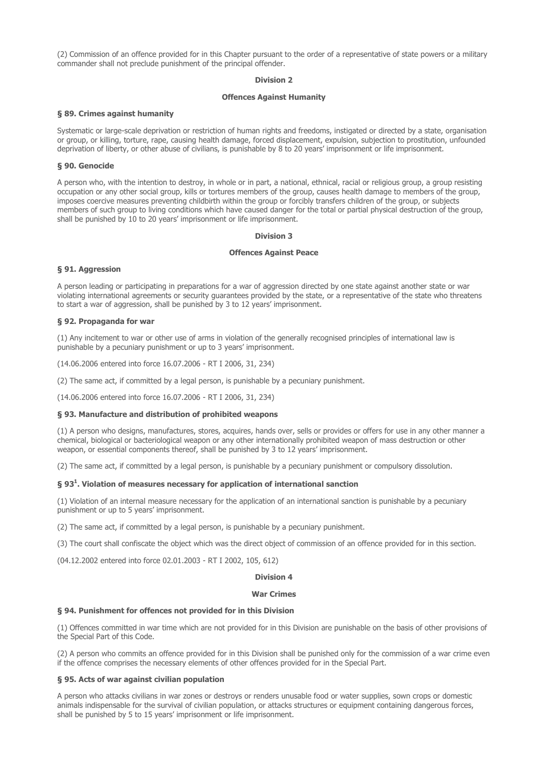(2) Commission of an offence provided for in this Chapter pursuant to the order of a representative of state powers or a military commander shall not preclude punishment of the principal offender.

## Division 2

## Offences Against Humanity

#### § 89. Crimes against humanity

Systematic or large-scale deprivation or restriction of human rights and freedoms, instigated or directed by a state, organisation or group, or killing, torture, rape, causing health damage, forced displacement, expulsion, subjection to prostitution, unfounded deprivation of liberty, or other abuse of civilians, is punishable by 8 to 20 years' imprisonment or life imprisonment.

### § 90. Genocide

A person who, with the intention to destroy, in whole or in part, a national, ethnical, racial or religious group, a group resisting occupation or any other social group, kills or tortures members of the group, causes health damage to members of the group, imposes coercive measures preventing childbirth within the group or forcibly transfers children of the group, or subjects members of such group to living conditions which have caused danger for the total or partial physical destruction of the group, shall be punished by 10 to 20 years' imprisonment or life imprisonment.

#### Division 3

#### Offences Against Peace

### § 91. Aggression

A person leading or participating in preparations for a war of aggression directed by one state against another state or war violating international agreements or security guarantees provided by the state, or a representative of the state who threatens to start a war of aggression, shall be punished by 3 to 12 years' imprisonment.

#### § 92. Propaganda for war

(1) Any incitement to war or other use of arms in violation of the generally recognised principles of international law is punishable by a pecuniary punishment or up to 3 years' imprisonment.

(14.06.2006 entered into force 16.07.2006 - RT I 2006, 31, 234)

(2) The same act, if committed by a legal person, is punishable by a pecuniary punishment.

(14.06.2006 entered into force 16.07.2006 - RT I 2006, 31, 234)

#### § 93. Manufacture and distribution of prohibited weapons

(1) A person who designs, manufactures, stores, acquires, hands over, sells or provides or offers for use in any other manner a chemical, biological or bacteriological weapon or any other internationally prohibited weapon of mass destruction or other weapon, or essential components thereof, shall be punished by 3 to 12 years' imprisonment.

(2) The same act, if committed by a legal person, is punishable by a pecuniary punishment or compulsory dissolution.

## § 93<sup>1</sup>. Violation of measures necessary for application of international sanction

(1) Violation of an internal measure necessary for the application of an international sanction is punishable by a pecuniary punishment or up to 5 years' imprisonment.

(2) The same act, if committed by a legal person, is punishable by a pecuniary punishment.

(3) The court shall confiscate the object which was the direct object of commission of an offence provided for in this section.

(04.12.2002 entered into force 02.01.2003 - RT I 2002, 105, 612)

### Division 4

#### War Crimes

## § 94. Punishment for offences not provided for in this Division

(1) Offences committed in war time which are not provided for in this Division are punishable on the basis of other provisions of the Special Part of this Code.

(2) A person who commits an offence provided for in this Division shall be punished only for the commission of a war crime even if the offence comprises the necessary elements of other offences provided for in the Special Part.

### § 95. Acts of war against civilian population

A person who attacks civilians in war zones or destroys or renders unusable food or water supplies, sown crops or domestic animals indispensable for the survival of civilian population, or attacks structures or equipment containing dangerous forces, shall be punished by 5 to 15 years' imprisonment or life imprisonment.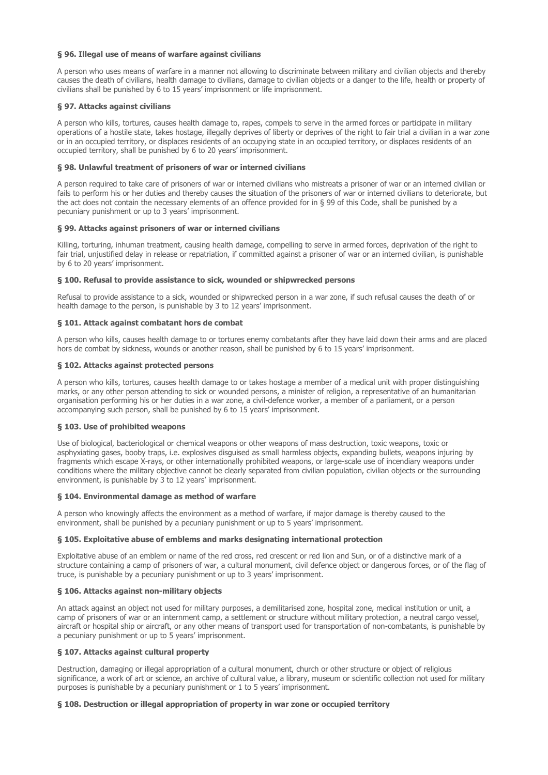## § 96. Illegal use of means of warfare against civilians

A person who uses means of warfare in a manner not allowing to discriminate between military and civilian objects and thereby causes the death of civilians, health damage to civilians, damage to civilian objects or a danger to the life, health or property of civilians shall be punished by 6 to 15 years' imprisonment or life imprisonment.

## § 97. Attacks against civilians

A person who kills, tortures, causes health damage to, rapes, compels to serve in the armed forces or participate in military operations of a hostile state, takes hostage, illegally deprives of liberty or deprives of the right to fair trial a civilian in a war zone or in an occupied territory, or displaces residents of an occupying state in an occupied territory, or displaces residents of an occupied territory, shall be punished by 6 to 20 years' imprisonment.

## § 98. Unlawful treatment of prisoners of war or interned civilians

A person required to take care of prisoners of war or interned civilians who mistreats a prisoner of war or an interned civilian or fails to perform his or her duties and thereby causes the situation of the prisoners of war or interned civilians to deteriorate, but the act does not contain the necessary elements of an offence provided for in § 99 of this Code, shall be punished by a pecuniary punishment or up to 3 years' imprisonment.

## § 99. Attacks against prisoners of war or interned civilians

Killing, torturing, inhuman treatment, causing health damage, compelling to serve in armed forces, deprivation of the right to fair trial, unjustified delay in release or repatriation, if committed against a prisoner of war or an interned civilian, is punishable by 6 to 20 years' imprisonment.

## § 100. Refusal to provide assistance to sick, wounded or shipwrecked persons

Refusal to provide assistance to a sick, wounded or shipwrecked person in a war zone, if such refusal causes the death of or health damage to the person, is punishable by 3 to 12 years' imprisonment.

## § 101. Attack against combatant hors de combat

A person who kills, causes health damage to or tortures enemy combatants after they have laid down their arms and are placed hors de combat by sickness, wounds or another reason, shall be punished by 6 to 15 years' imprisonment.

## § 102. Attacks against protected persons

A person who kills, tortures, causes health damage to or takes hostage a member of a medical unit with proper distinguishing marks, or any other person attending to sick or wounded persons, a minister of religion, a representative of an humanitarian organisation performing his or her duties in a war zone, a civil-defence worker, a member of a parliament, or a person accompanying such person, shall be punished by 6 to 15 years' imprisonment.

## § 103. Use of prohibited weapons

Use of biological, bacteriological or chemical weapons or other weapons of mass destruction, toxic weapons, toxic or asphyxiating gases, booby traps, i.e. explosives disguised as small harmless objects, expanding bullets, weapons injuring by fragments which escape X-rays, or other internationally prohibited weapons, or large-scale use of incendiary weapons under conditions where the military objective cannot be clearly separated from civilian population, civilian objects or the surrounding environment, is punishable by 3 to 12 years' imprisonment.

## § 104. Environmental damage as method of warfare

A person who knowingly affects the environment as a method of warfare, if major damage is thereby caused to the environment, shall be punished by a pecuniary punishment or up to 5 years' imprisonment.

### § 105. Exploitative abuse of emblems and marks designating international protection

Exploitative abuse of an emblem or name of the red cross, red crescent or red lion and Sun, or of a distinctive mark of a structure containing a camp of prisoners of war, a cultural monument, civil defence object or dangerous forces, or of the flag of truce, is punishable by a pecuniary punishment or up to 3 years' imprisonment.

## § 106. Attacks against non-military objects

An attack against an object not used for military purposes, a demilitarised zone, hospital zone, medical institution or unit, a camp of prisoners of war or an internment camp, a settlement or structure without military protection, a neutral cargo vessel, aircraft or hospital ship or aircraft, or any other means of transport used for transportation of non-combatants, is punishable by a pecuniary punishment or up to 5 years' imprisonment.

### § 107. Attacks against cultural property

Destruction, damaging or illegal appropriation of a cultural monument, church or other structure or object of religious significance, a work of art or science, an archive of cultural value, a library, museum or scientific collection not used for military purposes is punishable by a pecuniary punishment or 1 to 5 years' imprisonment.

## § 108. Destruction or illegal appropriation of property in war zone or occupied territory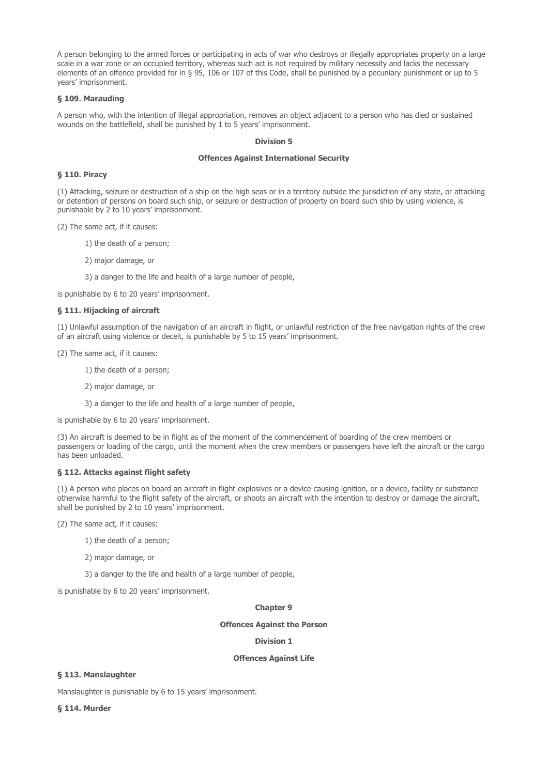A person belonging to the armed forces or participating in acts of war who destroys or illegally appropriates property on a large scale in a war zone or an occupied territory, whereas such act is not required by military necessity and lacks the necessary elements of an offence provided for in § 95, 106 or 107 of this Code, shall be punished by a pecuniary punishment or up to 5 years' imprisonment.

## § 109. Marauding

A person who, with the intention of illegal appropriation, removes an object adjacent to a person who has died or sustained wounds on the battlefield, shall be punished by 1 to 5 years' imprisonment.

## Division 5

## Offences Against International Security

### § 110. Piracy

(1) Attacking, seizure or destruction of a ship on the high seas or in a territory outside the jurisdiction of any state, or attacking or detention of persons on board such ship, or seizure or destruction of property on board such ship by using violence, is punishable by 2 to 10 years' imprisonment.

(2) The same act, if it causes:

1) the death of a person;

2) major damage, or

3) a danger to the life and health of a large number of people,

is punishable by 6 to 20 years' imprisonment.

## § 111. Hijacking of aircraft

(1) Unlawful assumption of the navigation of an aircraft in flight, or unlawful restriction of the free navigation rights of the crew of an aircraft using violence or deceit, is punishable by 5 to 15 years' imprisonment.

(2) The same act, if it causes:

1) the death of a person;

2) major damage, or

3) a danger to the life and health of a large number of people,

is punishable by 6 to 20 years' imprisonment.

(3) An aircraft is deemed to be in flight as of the moment of the commencement of boarding of the crew members or passengers or loading of the cargo, until the moment when the crew members or passengers have left the aircraft or the cargo has been unloaded.

# § 112. Attacks against flight safety

(1) A person who places on board an aircraft in flight explosives or a device causing ignition, or a device, facility or substance otherwise harmful to the flight safety of the aircraft, or shoots an aircraft with the intention to destroy or damage the aircraft, shall be punished by 2 to 10 years' imprisonment.

(2) The same act, if it causes:

1) the death of a person;

2) major damage, or

3) a danger to the life and health of a large number of people,

is punishable by 6 to 20 years' imprisonment.

#### Chapter 9

#### Offences Against the Person

# Division 1

#### Offences Against Life

# § 113. Manslaughter

Manslaughter is punishable by 6 to 15 years' imprisonment.

§ 114. Murder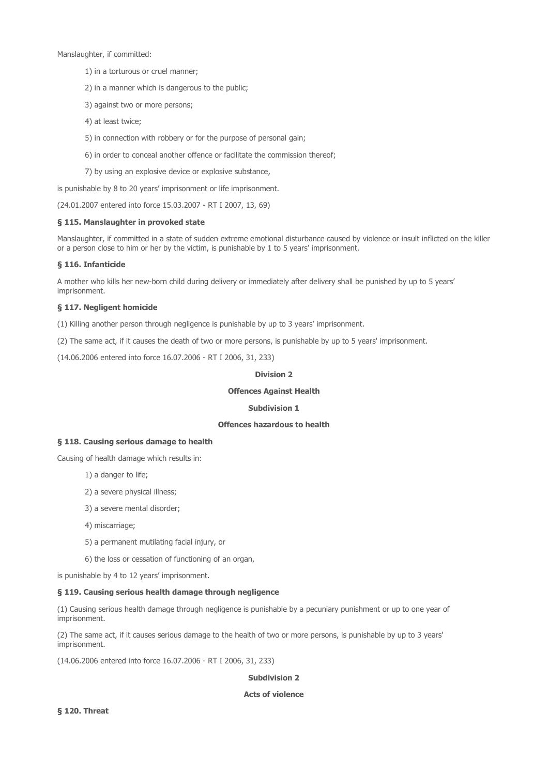Manslaughter, if committed:

- 1) in a torturous or cruel manner;
- 2) in a manner which is dangerous to the public;
- 3) against two or more persons;
- 4) at least twice;
- 5) in connection with robbery or for the purpose of personal gain;
- 6) in order to conceal another offence or facilitate the commission thereof;
- 7) by using an explosive device or explosive substance,

is punishable by 8 to 20 years' imprisonment or life imprisonment.

(24.01.2007 entered into force 15.03.2007 - RT I 2007, 13, 69)

## § 115. Manslaughter in provoked state

Manslaughter, if committed in a state of sudden extreme emotional disturbance caused by violence or insult inflicted on the killer or a person close to him or her by the victim, is punishable by 1 to 5 years' imprisonment.

## § 116. Infanticide

A mother who kills her new-born child during delivery or immediately after delivery shall be punished by up to 5 years' imprisonment.

## § 117. Negligent homicide

(1) Killing another person through negligence is punishable by up to 3 years' imprisonment.

(2) The same act, if it causes the death of two or more persons, is punishable by up to 5 years' imprisonment.

(14.06.2006 entered into force 16.07.2006 - RT I 2006, 31, 233)

## Division 2

# Offences Against Health

## Subdivision 1

### Offences hazardous to health

### § 118. Causing serious damage to health

Causing of health damage which results in:

- 1) a danger to life;
- 2) a severe physical illness;
- 3) a severe mental disorder;
- 4) miscarriage;
- 5) a permanent mutilating facial injury, or
- 6) the loss or cessation of functioning of an organ,

is punishable by 4 to 12 years' imprisonment.

## § 119. Causing serious health damage through negligence

(1) Causing serious health damage through negligence is punishable by a pecuniary punishment or up to one year of imprisonment.

(2) The same act, if it causes serious damage to the health of two or more persons, is punishable by up to 3 years' imprisonment.

(14.06.2006 entered into force 16.07.2006 - RT I 2006, 31, 233)

## Subdivision 2

## Acts of violence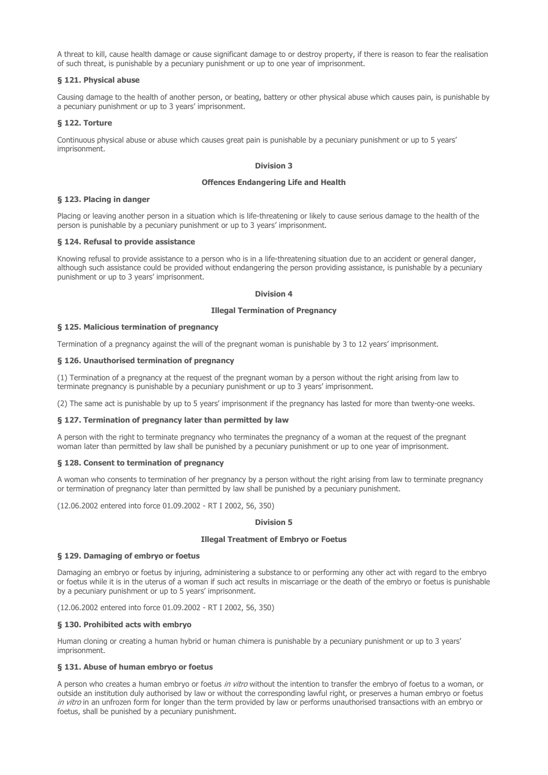A threat to kill, cause health damage or cause significant damage to or destroy property, if there is reason to fear the realisation of such threat, is punishable by a pecuniary punishment or up to one year of imprisonment.

## § 121. Physical abuse

Causing damage to the health of another person, or beating, battery or other physical abuse which causes pain, is punishable by a pecuniary punishment or up to 3 years' imprisonment.

## § 122. Torture

Continuous physical abuse or abuse which causes great pain is punishable by a pecuniary punishment or up to 5 years' imprisonment.

## Division 3

### Offences Endangering Life and Health

## § 123. Placing in danger

Placing or leaving another person in a situation which is life-threatening or likely to cause serious damage to the health of the person is punishable by a pecuniary punishment or up to 3 years' imprisonment.

#### § 124. Refusal to provide assistance

Knowing refusal to provide assistance to a person who is in a life-threatening situation due to an accident or general danger, although such assistance could be provided without endangering the person providing assistance, is punishable by a pecuniary punishment or up to 3 years' imprisonment.

## Division 4

## Illegal Termination of Pregnancy

## § 125. Malicious termination of pregnancy

Termination of a pregnancy against the will of the pregnant woman is punishable by 3 to 12 years' imprisonment.

## § 126. Unauthorised termination of pregnancy

(1) Termination of a pregnancy at the request of the pregnant woman by a person without the right arising from law to terminate pregnancy is punishable by a pecuniary punishment or up to 3 years' imprisonment.

(2) The same act is punishable by up to 5 years' imprisonment if the pregnancy has lasted for more than twenty-one weeks.

#### § 127. Termination of pregnancy later than permitted by law

A person with the right to terminate pregnancy who terminates the pregnancy of a woman at the request of the pregnant woman later than permitted by law shall be punished by a pecuniary punishment or up to one year of imprisonment.

## § 128. Consent to termination of pregnancy

A woman who consents to termination of her pregnancy by a person without the right arising from law to terminate pregnancy or termination of pregnancy later than permitted by law shall be punished by a pecuniary punishment.

(12.06.2002 entered into force 01.09.2002 - RT I 2002, 56, 350)

## Division 5

### Illegal Treatment of Embryo or Foetus

#### § 129. Damaging of embryo or foetus

Damaging an embryo or foetus by injuring, administering a substance to or performing any other act with regard to the embryo or foetus while it is in the uterus of a woman if such act results in miscarriage or the death of the embryo or foetus is punishable by a pecuniary punishment or up to 5 years' imprisonment.

(12.06.2002 entered into force 01.09.2002 - RT I 2002, 56, 350)

## § 130. Prohibited acts with embryo

Human cloning or creating a human hybrid or human chimera is punishable by a pecuniary punishment or up to 3 years' imprisonment.

# § 131. Abuse of human embryo or foetus

A person who creates a human embryo or foetus in vitro without the intention to transfer the embryo of foetus to a woman, or outside an institution duly authorised by law or without the corresponding lawful right, or preserves a human embryo or foetus in vitro in an unfrozen form for longer than the term provided by law or performs unauthorised transactions with an embryo or foetus, shall be punished by a pecuniary punishment.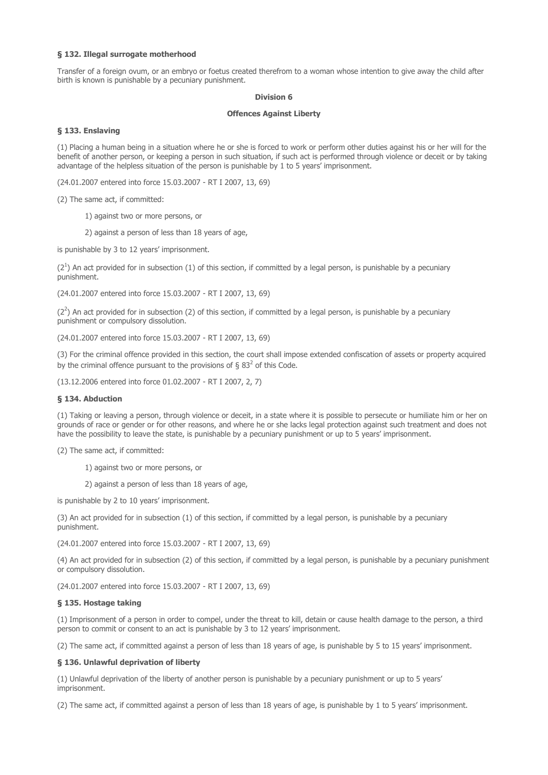## § 132. Illegal surrogate motherhood

Transfer of a foreign ovum, or an embryo or foetus created therefrom to a woman whose intention to give away the child after birth is known is punishable by a pecuniary punishment.

#### Division 6

### Offences Against Liberty

## § 133. Enslaving

(1) Placing a human being in a situation where he or she is forced to work or perform other duties against his or her will for the benefit of another person, or keeping a person in such situation, if such act is performed through violence or deceit or by taking advantage of the helpless situation of the person is punishable by 1 to 5 years' imprisonment.

(24.01.2007 entered into force 15.03.2007 - RT I 2007, 13, 69)

(2) The same act, if committed:

1) against two or more persons, or

2) against a person of less than 18 years of age,

is punishable by 3 to 12 years' imprisonment.

 $(2^1)$  An act provided for in subsection (1) of this section, if committed by a legal person, is punishable by a pecuniary punishment.

(24.01.2007 entered into force 15.03.2007 - RT I 2007, 13, 69)

 $(2^2)$  An act provided for in subsection (2) of this section, if committed by a legal person, is punishable by a pecuniary punishment or compulsory dissolution.

(24.01.2007 entered into force 15.03.2007 - RT I 2007, 13, 69)

(3) For the criminal offence provided in this section, the court shall impose extended confiscation of assets or property acquired by the criminal offence pursuant to the provisions of § 83<sup>2</sup> of this Code.

(13.12.2006 entered into force 01.02.2007 - RT I 2007, 2, 7)

### § 134. Abduction

(1) Taking or leaving a person, through violence or deceit, in a state where it is possible to persecute or humiliate him or her on grounds of race or gender or for other reasons, and where he or she lacks legal protection against such treatment and does not have the possibility to leave the state, is punishable by a pecuniary punishment or up to 5 years' imprisonment.

(2) The same act, if committed:

1) against two or more persons, or

2) against a person of less than 18 years of age,

is punishable by 2 to 10 years' imprisonment.

(3) An act provided for in subsection (1) of this section, if committed by a legal person, is punishable by a pecuniary punishment.

(24.01.2007 entered into force 15.03.2007 - RT I 2007, 13, 69)

(4) An act provided for in subsection (2) of this section, if committed by a legal person, is punishable by a pecuniary punishment or compulsory dissolution.

(24.01.2007 entered into force 15.03.2007 - RT I 2007, 13, 69)

#### § 135. Hostage taking

(1) Imprisonment of a person in order to compel, under the threat to kill, detain or cause health damage to the person, a third person to commit or consent to an act is punishable by 3 to 12 years' imprisonment.

(2) The same act, if committed against a person of less than 18 years of age, is punishable by 5 to 15 years' imprisonment.

#### § 136. Unlawful deprivation of liberty

(1) Unlawful deprivation of the liberty of another person is punishable by a pecuniary punishment or up to 5 years' imprisonment.

(2) The same act, if committed against a person of less than 18 years of age, is punishable by 1 to 5 years' imprisonment.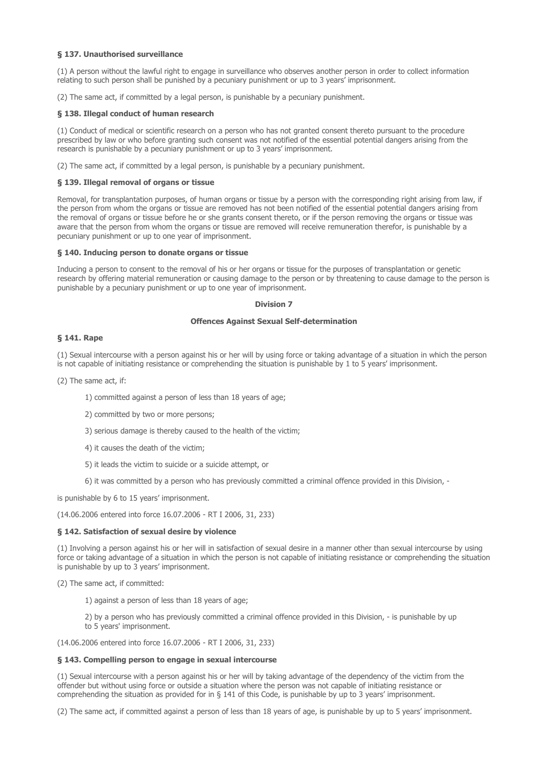## § 137. Unauthorised surveillance

(1) A person without the lawful right to engage in surveillance who observes another person in order to collect information relating to such person shall be punished by a pecuniary punishment or up to 3 years' imprisonment.

(2) The same act, if committed by a legal person, is punishable by a pecuniary punishment.

### § 138. Illegal conduct of human research

(1) Conduct of medical or scientific research on a person who has not granted consent thereto pursuant to the procedure prescribed by law or who before granting such consent was not notified of the essential potential dangers arising from the research is punishable by a pecuniary punishment or up to 3 years' imprisonment.

(2) The same act, if committed by a legal person, is punishable by a pecuniary punishment.

#### § 139. Illegal removal of organs or tissue

Removal, for transplantation purposes, of human organs or tissue by a person with the corresponding right arising from law, if the person from whom the organs or tissue are removed has not been notified of the essential potential dangers arising from the removal of organs or tissue before he or she grants consent thereto, or if the person removing the organs or tissue was aware that the person from whom the organs or tissue are removed will receive remuneration therefor, is punishable by a pecuniary punishment or up to one year of imprisonment.

#### § 140. Inducing person to donate organs or tissue

Inducing a person to consent to the removal of his or her organs or tissue for the purposes of transplantation or genetic research by offering material remuneration or causing damage to the person or by threatening to cause damage to the person is punishable by a pecuniary punishment or up to one year of imprisonment.

#### Division 7

# Offences Against Sexual Self-determination

## § 141. Rape

(1) Sexual intercourse with a person against his or her will by using force or taking advantage of a situation in which the person is not capable of initiating resistance or comprehending the situation is punishable by 1 to 5 years' imprisonment.

(2) The same act, if:

1) committed against a person of less than 18 years of age;

- 2) committed by two or more persons;
- 3) serious damage is thereby caused to the health of the victim;
- 4) it causes the death of the victim;
- 5) it leads the victim to suicide or a suicide attempt, or
- 6) it was committed by a person who has previously committed a criminal offence provided in this Division, -

is punishable by 6 to 15 years' imprisonment.

(14.06.2006 entered into force 16.07.2006 - RT I 2006, 31, 233)

#### § 142. Satisfaction of sexual desire by violence

(1) Involving a person against his or her will in satisfaction of sexual desire in a manner other than sexual intercourse by using force or taking advantage of a situation in which the person is not capable of initiating resistance or comprehending the situation is punishable by up to 3 years' imprisonment.

(2) The same act, if committed:

1) against a person of less than 18 years of age;

2) by a person who has previously committed a criminal offence provided in this Division, - is punishable by up to 5 years' imprisonment.

(14.06.2006 entered into force 16.07.2006 - RT I 2006, 31, 233)

## § 143. Compelling person to engage in sexual intercourse

(1) Sexual intercourse with a person against his or her will by taking advantage of the dependency of the victim from the offender but without using force or outside a situation where the person was not capable of initiating resistance or comprehending the situation as provided for in § 141 of this Code, is punishable by up to 3 years' imprisonment.

(2) The same act, if committed against a person of less than 18 years of age, is punishable by up to 5 years' imprisonment.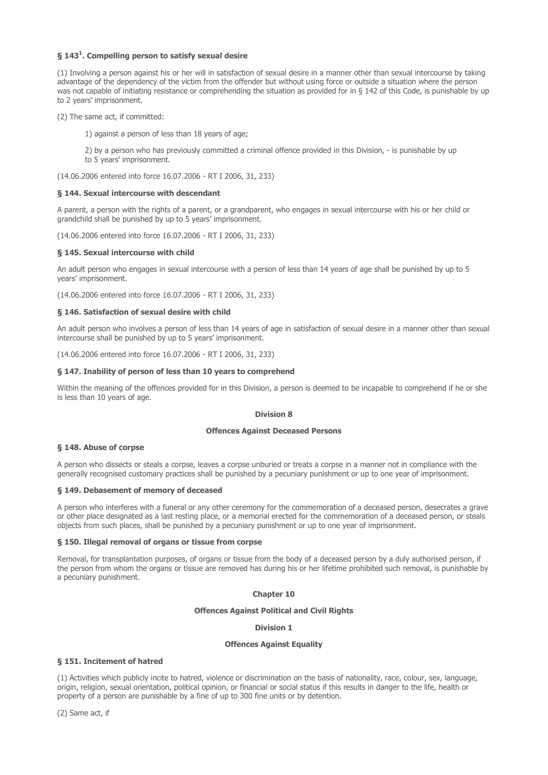## § 143<sup>1</sup>. Compelling person to satisfy sexual desire

(1) Involving a person against his or her will in satisfaction of sexual desire in a manner other than sexual intercourse by taking advantage of the dependency of the victim from the offender but without using force or outside a situation where the person was not capable of initiating resistance or comprehending the situation as provided for in § 142 of this Code, is punishable by up to 2 years' imprisonment.

(2) The same act, if committed:

1) against a person of less than 18 years of age;

2) by a person who has previously committed a criminal offence provided in this Division, - is punishable by up to 5 years' imprisonment.

(14.06.2006 entered into force 16.07.2006 - RT I 2006, 31, 233)

#### § 144. Sexual intercourse with descendant

A parent, a person with the rights of a parent, or a grandparent, who engages in sexual intercourse with his or her child or grandchild shall be punished by up to 5 years' imprisonment.

(14.06.2006 entered into force 16.07.2006 - RT I 2006, 31, 233)

## § 145. Sexual intercourse with child

An adult person who engages in sexual intercourse with a person of less than 14 years of age shall be punished by up to 5 years' imprisonment.

(14.06.2006 entered into force 16.07.2006 - RT I 2006, 31, 233)

## § 146. Satisfaction of sexual desire with child

An adult person who involves a person of less than 14 years of age in satisfaction of sexual desire in a manner other than sexual intercourse shall be punished by up to 5 years' imprisonment.

(14.06.2006 entered into force 16.07.2006 - RT I 2006, 31, 233)

## § 147. Inability of person of less than 10 years to comprehend

Within the meaning of the offences provided for in this Division, a person is deemed to be incapable to comprehend if he or she is less than 10 years of age.

### Division 8

## Offences Against Deceased Persons

## § 148. Abuse of corpse

A person who dissects or steals a corpse, leaves a corpse unburied or treats a corpse in a manner not in compliance with the generally recognised customary practices shall be punished by a pecuniary punishment or up to one year of imprisonment.

#### § 149. Debasement of memory of deceased

A person who interferes with a funeral or any other ceremony for the commemoration of a deceased person, desecrates a grave or other place designated as a last resting place, or a memorial erected for the commemoration of a deceased person, or steals objects from such places, shall be punished by a pecuniary punishment or up to one year of imprisonment.

### § 150. Illegal removal of organs or tissue from corpse

Removal, for transplantation purposes, of organs or tissue from the body of a deceased person by a duly authorised person, if the person from whom the organs or tissue are removed has during his or her lifetime prohibited such removal, is punishable by a pecuniary punishment.

#### Chapter 10

## Offences Against Political and Civil Rights

#### Division 1

### Offences Against Equality

## § 151. Incitement of hatred

(1) Activities which publicly incite to hatred, violence or discrimination on the basis of nationality, race, colour, sex, language, origin, religion, sexual orientation, political opinion, or financial or social status if this results in danger to the life, health or property of a person are punishable by a fine of up to 300 fine units or by detention.

(2) Same act, if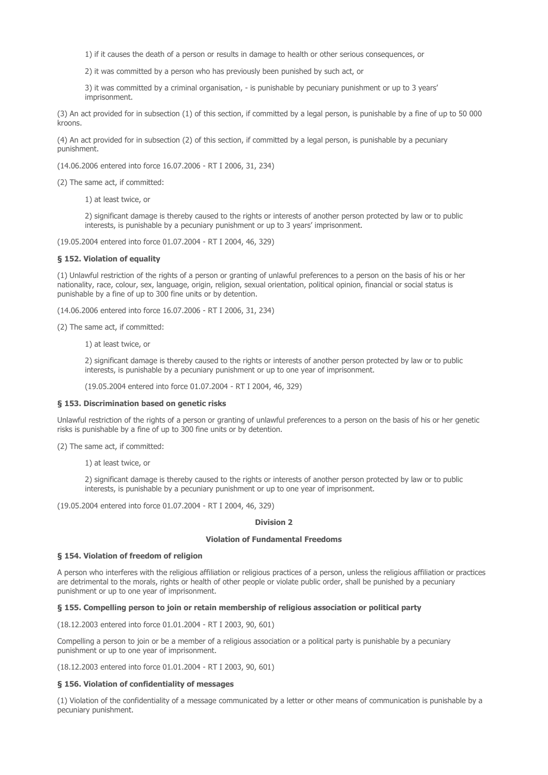1) if it causes the death of a person or results in damage to health or other serious consequences, or

2) it was committed by a person who has previously been punished by such act, or

3) it was committed by a criminal organisation, - is punishable by pecuniary punishment or up to 3 years' imprisonment.

(3) An act provided for in subsection (1) of this section, if committed by a legal person, is punishable by a fine of up to 50 000 kroons

(4) An act provided for in subsection (2) of this section, if committed by a legal person, is punishable by a pecuniary punishment.

(14.06.2006 entered into force 16.07.2006 - RT I 2006, 31, 234)

(2) The same act, if committed:

1) at least twice, or

2) significant damage is thereby caused to the rights or interests of another person protected by law or to public interests, is punishable by a pecuniary punishment or up to 3 years' imprisonment.

(19.05.2004 entered into force 01.07.2004 - RT I 2004, 46, 329)

#### § 152. Violation of equality

(1) Unlawful restriction of the rights of a person or granting of unlawful preferences to a person on the basis of his or her nationality, race, colour, sex, language, origin, religion, sexual orientation, political opinion, financial or social status is punishable by a fine of up to 300 fine units or by detention.

(14.06.2006 entered into force 16.07.2006 - RT I 2006, 31, 234)

(2) The same act, if committed:

1) at least twice, or

2) significant damage is thereby caused to the rights or interests of another person protected by law or to public interests, is punishable by a pecuniary punishment or up to one year of imprisonment.

(19.05.2004 entered into force 01.07.2004 - RT I 2004, 46, 329)

#### § 153. Discrimination based on genetic risks

Unlawful restriction of the rights of a person or granting of unlawful preferences to a person on the basis of his or her genetic risks is punishable by a fine of up to 300 fine units or by detention.

(2) The same act, if committed:

1) at least twice, or

2) significant damage is thereby caused to the rights or interests of another person protected by law or to public interests, is punishable by a pecuniary punishment or up to one year of imprisonment.

(19.05.2004 entered into force 01.07.2004 - RT I 2004, 46, 329)

## Division 2

### Violation of Fundamental Freedoms

#### § 154. Violation of freedom of religion

A person who interferes with the religious affiliation or religious practices of a person, unless the religious affiliation or practices are detrimental to the morals, rights or health of other people or violate public order, shall be punished by a pecuniary punishment or up to one year of imprisonment.

## § 155. Compelling person to join or retain membership of religious association or political party

(18.12.2003 entered into force 01.01.2004 - RT I 2003, 90, 601)

Compelling a person to join or be a member of a religious association or a political party is punishable by a pecuniary punishment or up to one year of imprisonment.

(18.12.2003 entered into force 01.01.2004 - RT I 2003, 90, 601)

#### § 156. Violation of confidentiality of messages

(1) Violation of the confidentiality of a message communicated by a letter or other means of communication is punishable by a pecuniary punishment.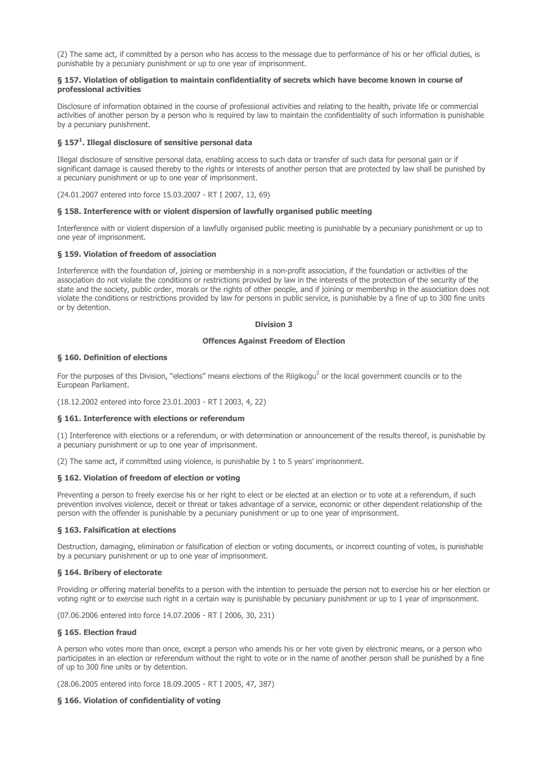(2) The same act, if committed by a person who has access to the message due to performance of his or her official duties, is punishable by a pecuniary punishment or up to one year of imprisonment.

## § 157. Violation of obligation to maintain confidentiality of secrets which have become known in course of professional activities

Disclosure of information obtained in the course of professional activities and relating to the health, private life or commercial activities of another person by a person who is required by law to maintain the confidentiality of such information is punishable by a pecuniary punishment.

## § 157<sup>1</sup>. Illegal disclosure of sensitive personal data

Illegal disclosure of sensitive personal data, enabling access to such data or transfer of such data for personal gain or if significant damage is caused thereby to the rights or interests of another person that are protected by law shall be punished by a pecuniary punishment or up to one year of imprisonment.

(24.01.2007 entered into force 15.03.2007 - RT I 2007, 13, 69)

## § 158. Interference with or violent dispersion of lawfully organised public meeting

Interference with or violent dispersion of a lawfully organised public meeting is punishable by a pecuniary punishment or up to one year of imprisonment.

## § 159. Violation of freedom of association

Interference with the foundation of, joining or membership in a non-profit association, if the foundation or activities of the association do not violate the conditions or restrictions provided by law in the interests of the protection of the security of the state and the society, public order, morals or the rights of other people, and if joining or membership in the association does not violate the conditions or restrictions provided by law for persons in public service, is punishable by a fine of up to 300 fine units or by detention.

#### Division 3

## Offences Against Freedom of Election

## § 160. Definition of elections

For the purposes of this Division, "elections" means elections of the Riigikogu<sup>2</sup> or the local government councils or to the European Parliament.

(18.12.2002 entered into force 23.01.2003 - RT I 2003, 4, 22)

### § 161. Interference with elections or referendum

(1) Interference with elections or a referendum, or with determination or announcement of the results thereof, is punishable by a pecuniary punishment or up to one year of imprisonment.

(2) The same act, if committed using violence, is punishable by 1 to 5 years' imprisonment.

## § 162. Violation of freedom of election or voting

Preventing a person to freely exercise his or her right to elect or be elected at an election or to vote at a referendum, if such prevention involves violence, deceit or threat or takes advantage of a service, economic or other dependent relationship of the person with the offender is punishable by a pecuniary punishment or up to one year of imprisonment.

#### § 163. Falsification at elections

Destruction, damaging, elimination or falsification of election or voting documents, or incorrect counting of votes, is punishable by a pecuniary punishment or up to one year of imprisonment.

#### § 164. Bribery of electorate

Providing or offering material benefits to a person with the intention to persuade the person not to exercise his or her election or voting right or to exercise such right in a certain way is punishable by pecuniary punishment or up to 1 year of imprisonment.

(07.06.2006 entered into force 14.07.2006 - RT I 2006, 30, 231)

## § 165. Election fraud

A person who votes more than once, except a person who amends his or her vote given by electronic means, or a person who participates in an election or referendum without the right to vote or in the name of another person shall be punished by a fine of up to 300 fine units or by detention.

(28.06.2005 entered into force 18.09.2005 - RT I 2005, 47, 387)

## § 166. Violation of confidentiality of voting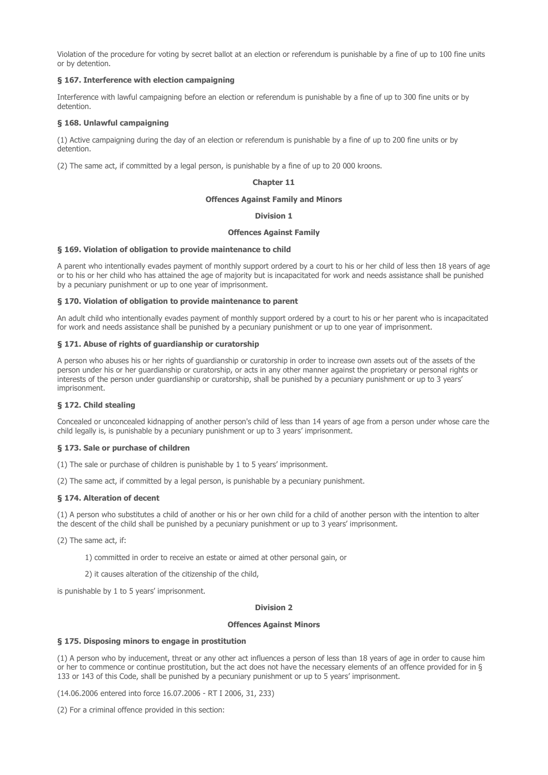Violation of the procedure for voting by secret ballot at an election or referendum is punishable by a fine of up to 100 fine units or by detention.

## § 167. Interference with election campaigning

Interference with lawful campaigning before an election or referendum is punishable by a fine of up to 300 fine units or by detention.

## § 168. Unlawful campaigning

(1) Active campaigning during the day of an election or referendum is punishable by a fine of up to 200 fine units or by detention.

(2) The same act, if committed by a legal person, is punishable by a fine of up to 20 000 kroons.

## Chapter 11

### Offences Against Family and Minors

## Division 1

#### Offences Against Family

#### § 169. Violation of obligation to provide maintenance to child

A parent who intentionally evades payment of monthly support ordered by a court to his or her child of less then 18 years of age or to his or her child who has attained the age of majority but is incapacitated for work and needs assistance shall be punished by a pecuniary punishment or up to one year of imprisonment.

## § 170. Violation of obligation to provide maintenance to parent

An adult child who intentionally evades payment of monthly support ordered by a court to his or her parent who is incapacitated for work and needs assistance shall be punished by a pecuniary punishment or up to one year of imprisonment.

#### § 171. Abuse of rights of guardianship or curatorship

A person who abuses his or her rights of guardianship or curatorship in order to increase own assets out of the assets of the person under his or her guardianship or curatorship, or acts in any other manner against the proprietary or personal rights or interests of the person under guardianship or curatorship, shall be punished by a pecuniary punishment or up to 3 years' imprisonment.

#### § 172. Child stealing

Concealed or unconcealed kidnapping of another person's child of less than 14 years of age from a person under whose care the child legally is, is punishable by a pecuniary punishment or up to 3 years' imprisonment.

## § 173. Sale or purchase of children

- (1) The sale or purchase of children is punishable by 1 to 5 years' imprisonment.
- (2) The same act, if committed by a legal person, is punishable by a pecuniary punishment.

## § 174. Alteration of decent

(1) A person who substitutes a child of another or his or her own child for a child of another person with the intention to alter the descent of the child shall be punished by a pecuniary punishment or up to 3 years' imprisonment.

(2) The same act, if:

1) committed in order to receive an estate or aimed at other personal gain, or

2) it causes alteration of the citizenship of the child,

is punishable by 1 to 5 years' imprisonment.

#### Division 2

#### Offences Against Minors

### § 175. Disposing minors to engage in prostitution

(1) A person who by inducement, threat or any other act influences a person of less than 18 years of age in order to cause him or her to commence or continue prostitution, but the act does not have the necessary elements of an offence provided for in § 133 or 143 of this Code, shall be punished by a pecuniary punishment or up to 5 years' imprisonment.

(14.06.2006 entered into force 16.07.2006 - RT I 2006, 31, 233)

(2) For a criminal offence provided in this section: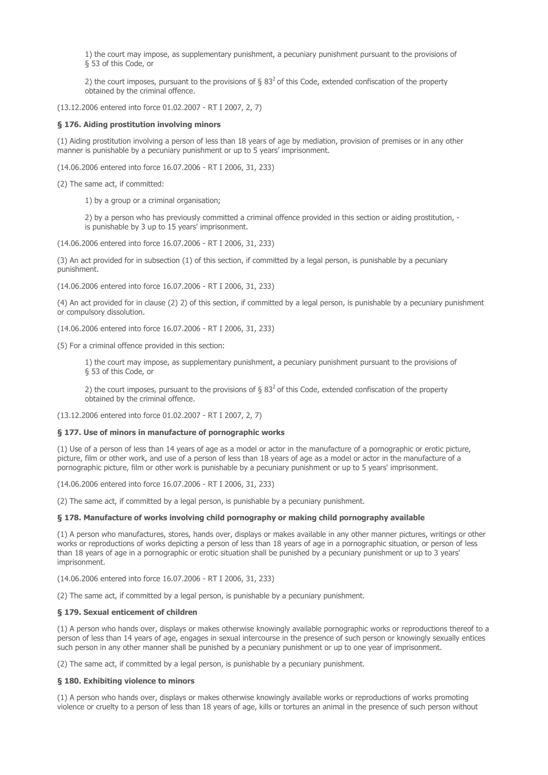1) the court may impose, as supplementary punishment, a pecuniary punishment pursuant to the provisions of § 53 of this Code, or

2) the court imposes, pursuant to the provisions of  $\S 83<sup>2</sup>$  of this Code, extended confiscation of the property obtained by the criminal offence.

(13.12.2006 entered into force 01.02.2007 - RT I 2007, 2, 7)

# § 176. Aiding prostitution involving minors

(1) Aiding prostitution involving a person of less than 18 years of age by mediation, provision of premises or in any other manner is punishable by a pecuniary punishment or up to 5 years' imprisonment.

(14.06.2006 entered into force 16.07.2006 - RT I 2006, 31, 233)

(2) The same act, if committed:

1) by a group or a criminal organisation;

2) by a person who has previously committed a criminal offence provided in this section or aiding prostitution. is punishable by 3 up to 15 years' imprisonment.

(14.06.2006 entered into force 16.07.2006 - RT I 2006, 31, 233)

(3) An act provided for in subsection (1) of this section, if committed by a legal person, is punishable by a pecuniary punishment.

(14.06.2006 entered into force 16.07.2006 - RT I 2006, 31, 233)

(4) An act provided for in clause (2) 2) of this section, if committed by a legal person, is punishable by a pecuniary punishment or compulsory dissolution.

(14.06.2006 entered into force 16.07.2006 - RT I 2006, 31, 233)

(5) For a criminal offence provided in this section:

1) the court may impose, as supplementary punishment, a pecuniary punishment pursuant to the provisions of § 53 of this Code, or

2) the court imposes, pursuant to the provisions of  $\S 83<sup>2</sup>$  of this Code, extended confiscation of the property obtained by the criminal offence.

(13.12.2006 entered into force 01.02.2007 - RT I 2007, 2, 7)

#### § 177. Use of minors in manufacture of pornographic works

(1) Use of a person of less than 14 years of age as a model or actor in the manufacture of a pornographic or erotic picture, picture, film or other work, and use of a person of less than 18 years of age as a model or actor in the manufacture of a pornographic picture, film or other work is punishable by a pecuniary punishment or up to 5 years' imprisonment.

(14.06.2006 entered into force 16.07.2006 - RT I 2006, 31, 233)

(2) The same act, if committed by a legal person, is punishable by a pecuniary punishment.

### § 178. Manufacture of works involving child pornography or making child pornography available

(1) A person who manufactures, stores, hands over, displays or makes available in any other manner pictures, writings or other works or reproductions of works depicting a person of less than 18 years of age in a pornographic situation, or person of less than 18 years of age in a pornographic or erotic situation shall be punished by a pecuniary punishment or up to 3 years' imprisonment.

(14.06.2006 entered into force 16.07.2006 - RT I 2006, 31, 233)

(2) The same act, if committed by a legal person, is punishable by a pecuniary punishment.

#### § 179. Sexual enticement of children

(1) A person who hands over, displays or makes otherwise knowingly available pornographic works or reproductions thereof to a person of less than 14 years of age, engages in sexual intercourse in the presence of such person or knowingly sexually entices such person in any other manner shall be punished by a pecuniary punishment or up to one year of imprisonment.

(2) The same act, if committed by a legal person, is punishable by a pecuniary punishment.

#### § 180. Exhibiting violence to minors

(1) A person who hands over, displays or makes otherwise knowingly available works or reproductions of works promoting violence or cruelty to a person of less than 18 years of age, kills or tortures an animal in the presence of such person without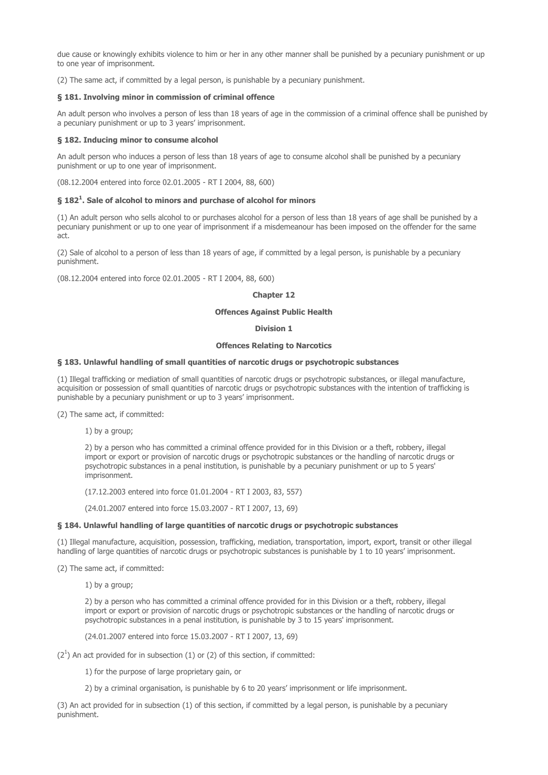due cause or knowingly exhibits violence to him or her in any other manner shall be punished by a pecuniary punishment or up to one year of imprisonment.

(2) The same act, if committed by a legal person, is punishable by a pecuniary punishment.

### § 181. Involving minor in commission of criminal offence

An adult person who involves a person of less than 18 years of age in the commission of a criminal offence shall be punished by a pecuniary punishment or up to 3 years' imprisonment.

## § 182. Inducing minor to consume alcohol

An adult person who induces a person of less than 18 years of age to consume alcohol shall be punished by a pecuniary punishment or up to one year of imprisonment.

(08.12.2004 entered into force 02.01.2005 - RT I 2004, 88, 600)

## § 182<sup>1</sup>. Sale of alcohol to minors and purchase of alcohol for minors

(1) An adult person who sells alcohol to or purchases alcohol for a person of less than 18 years of age shall be punished by a pecuniary punishment or up to one year of imprisonment if a misdemeanour has been imposed on the offender for the same act.

(2) Sale of alcohol to a person of less than 18 years of age, if committed by a legal person, is punishable by a pecuniary punishment.

(08.12.2004 entered into force 02.01.2005 - RT I 2004, 88, 600)

## Chapter 12

## Offences Against Public Health

# Division 1

## Offences Relating to Narcotics

### § 183. Unlawful handling of small quantities of narcotic drugs or psychotropic substances

(1) Illegal trafficking or mediation of small quantities of narcotic drugs or psychotropic substances, or illegal manufacture, acquisition or possession of small quantities of narcotic drugs or psychotropic substances with the intention of trafficking is punishable by a pecuniary punishment or up to 3 years' imprisonment.

(2) The same act, if committed:

1) by a group;

2) by a person who has committed a criminal offence provided for in this Division or a theft, robbery, illegal import or export or provision of narcotic drugs or psychotropic substances or the handling of narcotic drugs or psychotropic substances in a penal institution, is punishable by a pecuniary punishment or up to 5 years' imprisonment.

(17.12.2003 entered into force 01.01.2004 - RT I 2003, 83, 557)

(24.01.2007 entered into force 15.03.2007 - RT I 2007, 13, 69)

#### § 184. Unlawful handling of large quantities of narcotic drugs or psychotropic substances

(1) Illegal manufacture, acquisition, possession, trafficking, mediation, transportation, import, export, transit or other illegal handling of large quantities of narcotic drugs or psychotropic substances is punishable by 1 to 10 years' imprisonment.

(2) The same act, if committed:

1) by a group;

2) by a person who has committed a criminal offence provided for in this Division or a theft, robbery, illegal import or export or provision of narcotic drugs or psychotropic substances or the handling of narcotic drugs or psychotropic substances in a penal institution, is punishable by 3 to 15 years' imprisonment.

(24.01.2007 entered into force 15.03.2007 - RT I 2007, 13, 69)

 $(2^1)$  An act provided for in subsection  $(1)$  or  $(2)$  of this section, if committed:

1) for the purpose of large proprietary gain, or

2) by a criminal organisation, is punishable by 6 to 20 years' imprisonment or life imprisonment.

(3) An act provided for in subsection (1) of this section, if committed by a legal person, is punishable by a pecuniary punishment.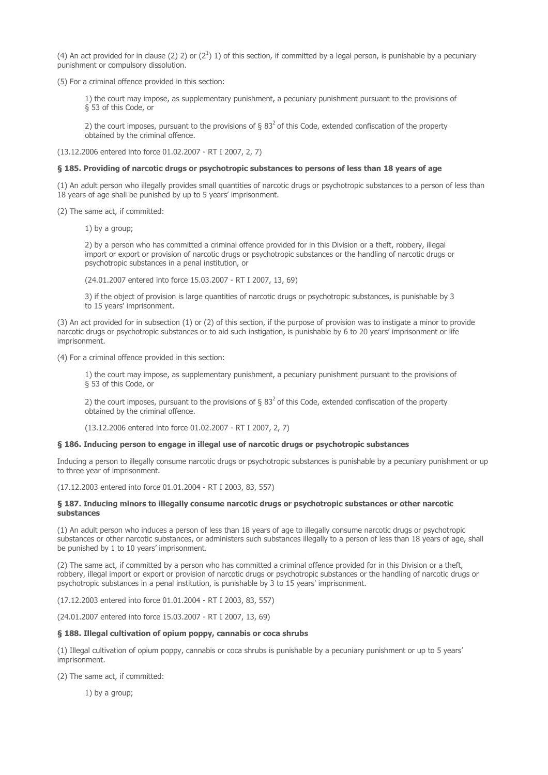(4) An act provided for in clause (2) 2) or ( $2^1$ ) 1) of this section, if committed by a legal person, is punishable by a pecuniary punishment or compulsory dissolution.

(5) For a criminal offence provided in this section:

1) the court may impose, as supplementary punishment, a pecuniary punishment pursuant to the provisions of § 53 of this Code, or

2) the court imposes, pursuant to the provisions of  $\S 83<sup>2</sup>$  of this Code, extended confiscation of the property obtained by the criminal offence.

(13.12.2006 entered into force 01.02.2007 - RT I 2007, 2, 7)

## § 185. Providing of narcotic drugs or psychotropic substances to persons of less than 18 years of age

(1) An adult person who illegally provides small quantities of narcotic drugs or psychotropic substances to a person of less than 18 years of age shall be punished by up to 5 years' imprisonment.

(2) The same act, if committed:

1) by a group;

2) by a person who has committed a criminal offence provided for in this Division or a theft, robbery, illegal import or export or provision of narcotic drugs or psychotropic substances or the handling of narcotic drugs or psychotropic substances in a penal institution, or

(24.01.2007 entered into force 15.03.2007 - RT I 2007, 13, 69)

3) if the object of provision is large quantities of narcotic drugs or psychotropic substances, is punishable by 3 to 15 years' imprisonment.

(3) An act provided for in subsection (1) or (2) of this section, if the purpose of provision was to instigate a minor to provide narcotic drugs or psychotropic substances or to aid such instigation, is punishable by 6 to 20 years' imprisonment or life imprisonment.

(4) For a criminal offence provided in this section:

1) the court may impose, as supplementary punishment, a pecuniary punishment pursuant to the provisions of § 53 of this Code, or

2) the court imposes, pursuant to the provisions of §  $83<sup>2</sup>$  of this Code, extended confiscation of the property obtained by the criminal offence.

(13.12.2006 entered into force 01.02.2007 - RT I 2007, 2, 7)

#### § 186. Inducing person to engage in illegal use of narcotic drugs or psychotropic substances

Inducing a person to illegally consume narcotic drugs or psychotropic substances is punishable by a pecuniary punishment or up to three year of imprisonment.

(17.12.2003 entered into force 01.01.2004 - RT I 2003, 83, 557)

## § 187. Inducing minors to illegally consume narcotic drugs or psychotropic substances or other narcotic substances

(1) An adult person who induces a person of less than 18 years of age to illegally consume narcotic drugs or psychotropic substances or other narcotic substances, or administers such substances illegally to a person of less than 18 years of age, shall be punished by 1 to 10 years' imprisonment.

(2) The same act, if committed by a person who has committed a criminal offence provided for in this Division or a theft, robbery, illegal import or export or provision of narcotic drugs or psychotropic substances or the handling of narcotic drugs or psychotropic substances in a penal institution, is punishable by 3 to 15 years' imprisonment.

(17.12.2003 entered into force 01.01.2004 - RT I 2003, 83, 557)

(24.01.2007 entered into force 15.03.2007 - RT I 2007, 13, 69)

## § 188. Illegal cultivation of opium poppy, cannabis or coca shrubs

(1) Illegal cultivation of opium poppy, cannabis or coca shrubs is punishable by a pecuniary punishment or up to 5 years' imprisonment.

(2) The same act, if committed:

1) by a group;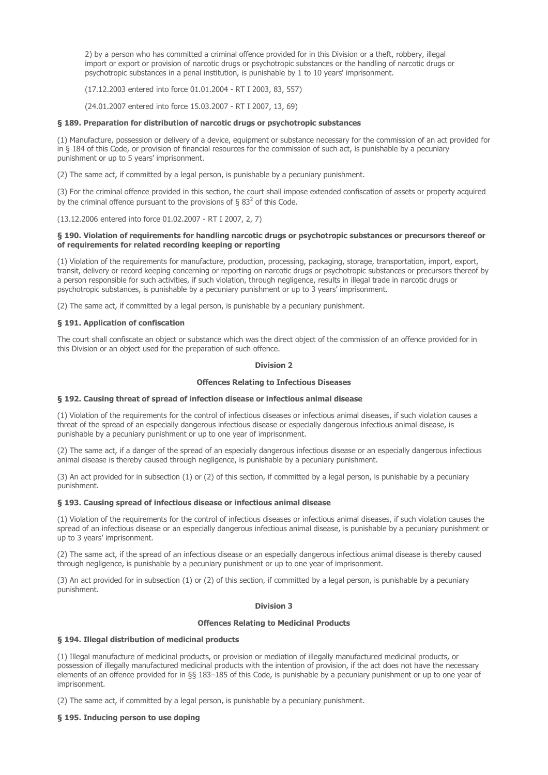2) by a person who has committed a criminal offence provided for in this Division or a theft, robbery, illegal import or export or provision of narcotic drugs or psychotropic substances or the handling of narcotic drugs or psychotropic substances in a penal institution, is punishable by 1 to 10 years' imprisonment.

(17.12.2003 entered into force 01.01.2004 - RT I 2003, 83, 557)

(24.01.2007 entered into force 15.03.2007 - RT I 2007, 13, 69)

### § 189. Preparation for distribution of narcotic drugs or psychotropic substances

(1) Manufacture, possession or delivery of a device, equipment or substance necessary for the commission of an act provided for in § 184 of this Code, or provision of financial resources for the commission of such act, is punishable by a pecuniary punishment or up to 5 years' imprisonment.

(2) The same act, if committed by a legal person, is punishable by a pecuniary punishment.

(3) For the criminal offence provided in this section, the court shall impose extended confiscation of assets or property acquired by the criminal offence pursuant to the provisions of § 83<sup>2</sup> of this Code.

(13.12.2006 entered into force 01.02.2007 - RT I 2007, 2, 7)

### § 190. Violation of requirements for handling narcotic drugs or psychotropic substances or precursors thereof or of requirements for related recording keeping or reporting

(1) Violation of the requirements for manufacture, production, processing, packaging, storage, transportation, import, export, transit, delivery or record keeping concerning or reporting on narcotic drugs or psychotropic substances or precursors thereof by a person responsible for such activities, if such violation, through negligence, results in illegal trade in narcotic drugs or psychotropic substances, is punishable by a pecuniary punishment or up to 3 years' imprisonment.

(2) The same act, if committed by a legal person, is punishable by a pecuniary punishment.

## § 191. Application of confiscation

The court shall confiscate an object or substance which was the direct object of the commission of an offence provided for in this Division or an object used for the preparation of such offence.

## Division 2

## Offences Relating to Infectious Diseases

#### § 192. Causing threat of spread of infection disease or infectious animal disease

(1) Violation of the requirements for the control of infectious diseases or infectious animal diseases, if such violation causes a threat of the spread of an especially dangerous infectious disease or especially dangerous infectious animal disease, is punishable by a pecuniary punishment or up to one year of imprisonment.

(2) The same act, if a danger of the spread of an especially dangerous infectious disease or an especially dangerous infectious animal disease is thereby caused through negligence, is punishable by a pecuniary punishment.

(3) An act provided for in subsection (1) or (2) of this section, if committed by a legal person, is punishable by a pecuniary punishment.

## § 193. Causing spread of infectious disease or infectious animal disease

(1) Violation of the requirements for the control of infectious diseases or infectious animal diseases, if such violation causes the spread of an infectious disease or an especially dangerous infectious animal disease, is punishable by a pecuniary punishment or up to 3 years' imprisonment.

(2) The same act, if the spread of an infectious disease or an especially dangerous infectious animal disease is thereby caused through negligence, is punishable by a pecuniary punishment or up to one year of imprisonment.

(3) An act provided for in subsection (1) or (2) of this section, if committed by a legal person, is punishable by a pecuniary punishment.

## Division 3

#### Offences Relating to Medicinal Products

## § 194. Illegal distribution of medicinal products

(1) Illegal manufacture of medicinal products, or provision or mediation of illegally manufactured medicinal products, or possession of illegally manufactured medicinal products with the intention of provision, if the act does not have the necessary elements of an offence provided for in §§ 183–185 of this Code, is punishable by a pecuniary punishment or up to one year of imprisonment.

(2) The same act, if committed by a legal person, is punishable by a pecuniary punishment.

#### § 195. Inducing person to use doping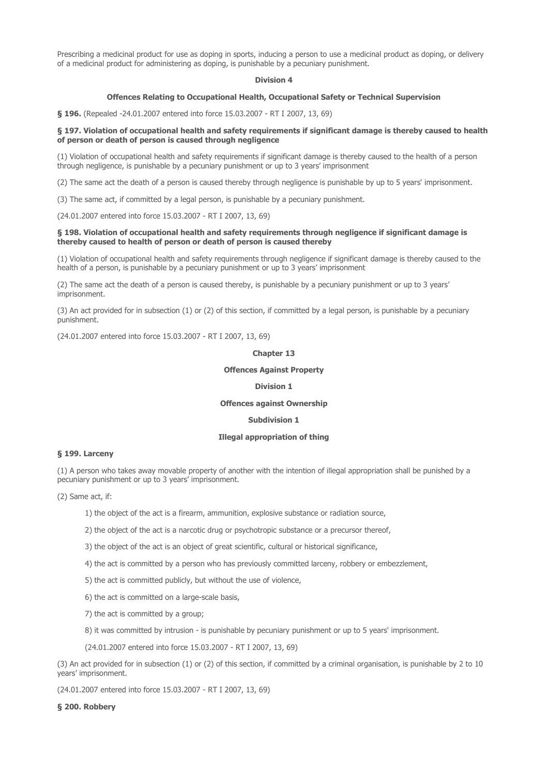Prescribing a medicinal product for use as doping in sports, inducing a person to use a medicinal product as doping, or delivery of a medicinal product for administering as doping, is punishable by a pecuniary punishment.

## Division 4

## Offences Relating to Occupational Health, Occupational Safety or Technical Supervision

§ 196. (Repealed -24.01.2007 entered into force 15.03.2007 - RT I 2007, 13, 69)

## § 197. Violation of occupational health and safety requirements if significant damage is thereby caused to health of person or death of person is caused through negligence

(1) Violation of occupational health and safety requirements if significant damage is thereby caused to the health of a person through negligence, is punishable by a pecuniary punishment or up to 3 years' imprisonment

(2) The same act the death of a person is caused thereby through negligence is punishable by up to 5 years' imprisonment.

(3) The same act, if committed by a legal person, is punishable by a pecuniary punishment.

(24.01.2007 entered into force 15.03.2007 - RT I 2007, 13, 69)

### § 198. Violation of occupational health and safety requirements through negligence if significant damage is thereby caused to health of person or death of person is caused thereby

(1) Violation of occupational health and safety requirements through negligence if significant damage is thereby caused to the health of a person, is punishable by a pecuniary punishment or up to 3 years' imprisonment

(2) The same act the death of a person is caused thereby, is punishable by a pecuniary punishment or up to 3 years' imprisonment.

(3) An act provided for in subsection (1) or (2) of this section, if committed by a legal person, is punishable by a pecuniary punishment.

(24.01.2007 entered into force 15.03.2007 - RT I 2007, 13, 69)

#### Chapter 13

### Offences Against Property

### Division 1

## Offences against Ownership

## Subdivision 1

## Illegal appropriation of thing

#### § 199. Larceny

(1) A person who takes away movable property of another with the intention of illegal appropriation shall be punished by a pecuniary punishment or up to 3 years' imprisonment.

(2) Same act, if:

1) the object of the act is a firearm, ammunition, explosive substance or radiation source,

2) the object of the act is a narcotic drug or psychotropic substance or a precursor thereof,

3) the object of the act is an object of great scientific, cultural or historical significance,

4) the act is committed by a person who has previously committed larceny, robbery or embezzlement,

5) the act is committed publicly, but without the use of violence,

6) the act is committed on a large-scale basis,

7) the act is committed by a group;

8) it was committed by intrusion - is punishable by pecuniary punishment or up to 5 years' imprisonment.

(24.01.2007 entered into force 15.03.2007 - RT I 2007, 13, 69)

(3) An act provided for in subsection (1) or (2) of this section, if committed by a criminal organisation, is punishable by 2 to 10 years' imprisonment.

(24.01.2007 entered into force 15.03.2007 - RT I 2007, 13, 69)

#### § 200. Robbery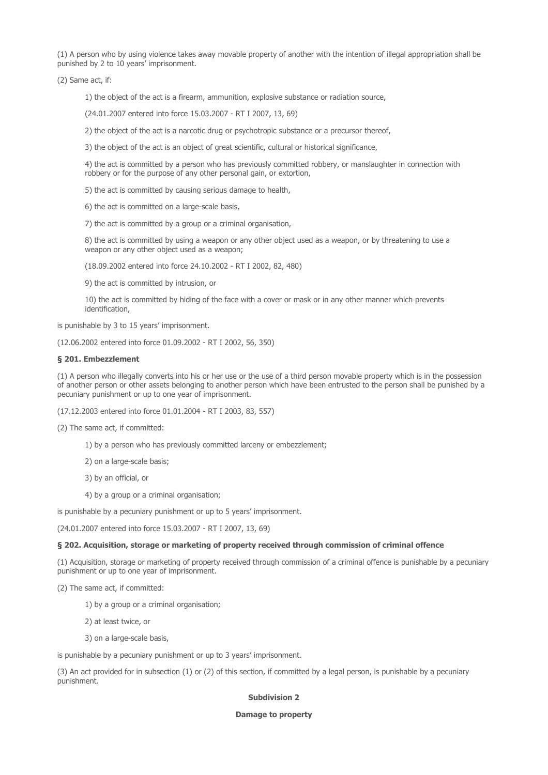(1) A person who by using violence takes away movable property of another with the intention of illegal appropriation shall be punished by 2 to 10 years' imprisonment.

(2) Same act, if:

1) the object of the act is a firearm, ammunition, explosive substance or radiation source,

(24.01.2007 entered into force 15.03.2007 - RT I 2007, 13, 69)

2) the object of the act is a narcotic drug or psychotropic substance or a precursor thereof,

3) the object of the act is an object of great scientific, cultural or historical significance,

4) the act is committed by a person who has previously committed robbery, or manslaughter in connection with robbery or for the purpose of any other personal gain, or extortion,

5) the act is committed by causing serious damage to health,

6) the act is committed on a large-scale basis,

7) the act is committed by a group or a criminal organisation,

8) the act is committed by using a weapon or any other object used as a weapon, or by threatening to use a weapon or any other object used as a weapon;

(18.09.2002 entered into force 24.10.2002 - RT I 2002, 82, 480)

9) the act is committed by intrusion, or

10) the act is committed by hiding of the face with a cover or mask or in any other manner which prevents identification,

is punishable by 3 to 15 years' imprisonment.

(12.06.2002 entered into force 01.09.2002 - RT I 2002, 56, 350)

### § 201. Embezzlement

(1) A person who illegally converts into his or her use or the use of a third person movable property which is in the possession of another person or other assets belonging to another person which have been entrusted to the person shall be punished by a pecuniary punishment or up to one year of imprisonment.

(17.12.2003 entered into force 01.01.2004 - RT I 2003, 83, 557)

(2) The same act, if committed:

1) by a person who has previously committed larceny or embezzlement;

2) on a large-scale basis;

3) by an official, or

4) by a group or a criminal organisation;

is punishable by a pecuniary punishment or up to 5 years' imprisonment.

(24.01.2007 entered into force 15.03.2007 - RT I 2007, 13, 69)

#### § 202. Acquisition, storage or marketing of property received through commission of criminal offence

(1) Acquisition, storage or marketing of property received through commission of a criminal offence is punishable by a pecuniary punishment or up to one year of imprisonment.

(2) The same act, if committed:

1) by a group or a criminal organisation;

2) at least twice, or

3) on a large-scale basis,

is punishable by a pecuniary punishment or up to 3 years' imprisonment.

(3) An act provided for in subsection (1) or (2) of this section, if committed by a legal person, is punishable by a pecuniary punishment.

#### Subdivision 2

Damage to property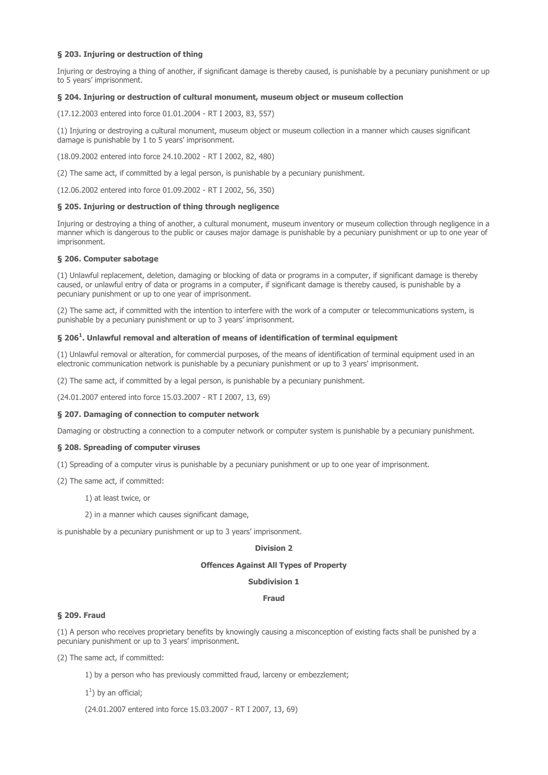## § 203. Injuring or destruction of thing

Injuring or destroying a thing of another, if significant damage is thereby caused, is punishable by a pecuniary punishment or up to 5 years' imprisonment.

#### § 204. Injuring or destruction of cultural monument, museum object or museum collection

(17.12.2003 entered into force 01.01.2004 - RT I 2003, 83, 557)

(1) Injuring or destroying a cultural monument, museum object or museum collection in a manner which causes significant damage is punishable by 1 to 5 years' imprisonment.

(18.09.2002 entered into force 24.10.2002 - RT I 2002, 82, 480)

(2) The same act, if committed by a legal person, is punishable by a pecuniary punishment.

(12.06.2002 entered into force 01.09.2002 - RT I 2002, 56, 350)

### § 205. Injuring or destruction of thing through negligence

Injuring or destroying a thing of another, a cultural monument, museum inventory or museum collection through negligence in a manner which is dangerous to the public or causes major damage is punishable by a pecuniary punishment or up to one year of imprisonment.

### § 206. Computer sabotage

(1) Unlawful replacement, deletion, damaging or blocking of data or programs in a computer, if significant damage is thereby caused, or unlawful entry of data or programs in a computer, if significant damage is thereby caused, is punishable by a pecuniary punishment or up to one year of imprisonment.

(2) The same act, if committed with the intention to interfere with the work of a computer or telecommunications system, is punishable by a pecuniary punishment or up to 3 years' imprisonment.

## $\S$  206<sup>1</sup>. Unlawful removal and alteration of means of identification of terminal equipment

(1) Unlawful removal or alteration, for commercial purposes, of the means of identification of terminal equipment used in an electronic communication network is punishable by a pecuniary punishment or up to 3 years' imprisonment.

(2) The same act, if committed by a legal person, is punishable by a pecuniary punishment.

(24.01.2007 entered into force 15.03.2007 - RT I 2007, 13, 69)

#### § 207. Damaging of connection to computer network

Damaging or obstructing a connection to a computer network or computer system is punishable by a pecuniary punishment.

## § 208. Spreading of computer viruses

(1) Spreading of a computer virus is punishable by a pecuniary punishment or up to one year of imprisonment.

- (2) The same act, if committed:
	- 1) at least twice, or
	- 2) in a manner which causes significant damage,

is punishable by a pecuniary punishment or up to 3 years' imprisonment.

### Division 2

### Offences Against All Types of Property

### Subdivision 1

#### Fraud

#### § 209. Fraud

(1) A person who receives proprietary benefits by knowingly causing a misconception of existing facts shall be punished by a pecuniary punishment or up to 3 years' imprisonment.

(2) The same act, if committed:

1) by a person who has previously committed fraud, larceny or embezzlement;

 $1<sup>1</sup>$ ) by an official;

(24.01.2007 entered into force 15.03.2007 - RT I 2007, 13, 69)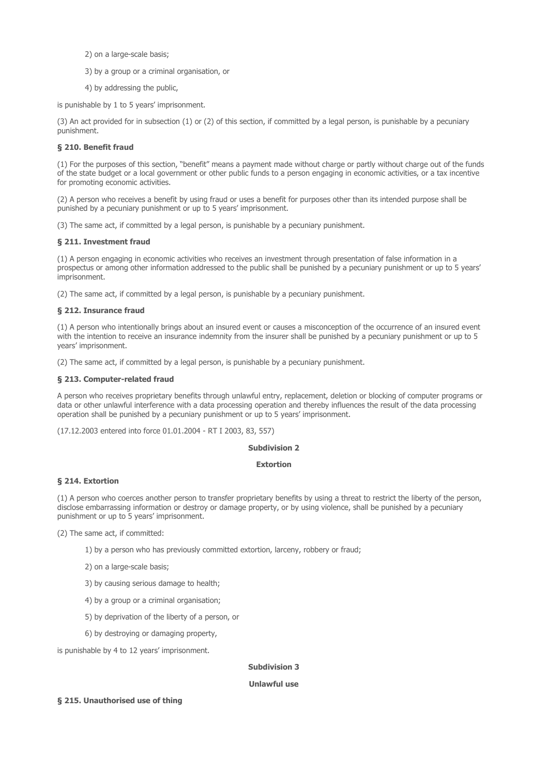2) on a large-scale basis;

- 3) by a group or a criminal organisation, or
- 4) by addressing the public,

is punishable by 1 to 5 years' imprisonment.

(3) An act provided for in subsection (1) or (2) of this section, if committed by a legal person, is punishable by a pecuniary punishment.

# § 210. Benefit fraud

(1) For the purposes of this section, "benefit" means a payment made without charge or partly without charge out of the funds of the state budget or a local government or other public funds to a person engaging in economic activities, or a tax incentive for promoting economic activities.

(2) A person who receives a benefit by using fraud or uses a benefit for purposes other than its intended purpose shall be punished by a pecuniary punishment or up to 5 years' imprisonment.

(3) The same act, if committed by a legal person, is punishable by a pecuniary punishment.

## § 211. Investment fraud

(1) A person engaging in economic activities who receives an investment through presentation of false information in a prospectus or among other information addressed to the public shall be punished by a pecuniary punishment or up to 5 years' imprisonment.

(2) The same act, if committed by a legal person, is punishable by a pecuniary punishment.

## § 212. Insurance fraud

(1) A person who intentionally brings about an insured event or causes a misconception of the occurrence of an insured event with the intention to receive an insurance indemnity from the insurer shall be punished by a pecuniary punishment or up to 5 years' imprisonment.

(2) The same act, if committed by a legal person, is punishable by a pecuniary punishment.

## § 213. Computer-related fraud

A person who receives proprietary benefits through unlawful entry, replacement, deletion or blocking of computer programs or data or other unlawful interference with a data processing operation and thereby influences the result of the data processing operation shall be punished by a pecuniary punishment or up to 5 years' imprisonment.

(17.12.2003 entered into force 01.01.2004 - RT I 2003, 83, 557)

## Subdivision 2

### Extortion

### § 214. Extortion

(1) A person who coerces another person to transfer proprietary benefits by using a threat to restrict the liberty of the person, disclose embarrassing information or destroy or damage property, or by using violence, shall be punished by a pecuniary punishment or up to 5 years' imprisonment.

(2) The same act, if committed:

- 1) by a person who has previously committed extortion, larceny, robbery or fraud;
- 2) on a large-scale basis;
- 3) by causing serious damage to health;
- 4) by a group or a criminal organisation;
- 5) by deprivation of the liberty of a person, or
- 6) by destroying or damaging property,

is punishable by 4 to 12 years' imprisonment.

## Subdivision 3

## Unlawful use

## § 215. Unauthorised use of thing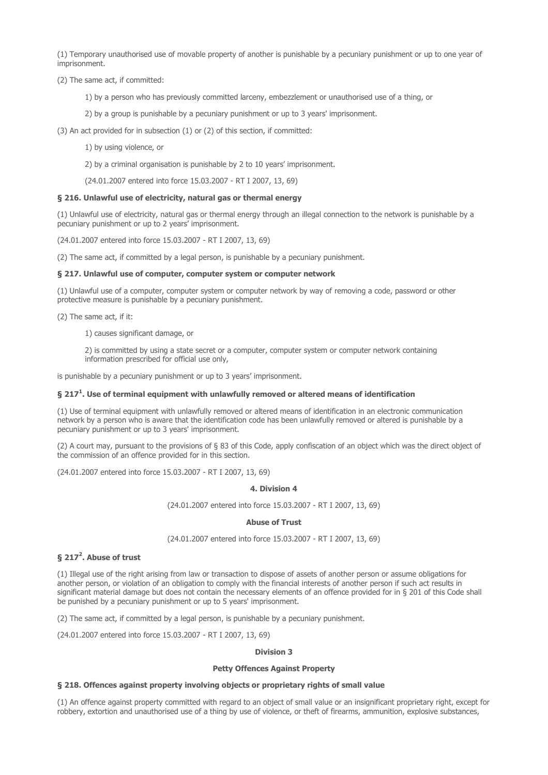(1) Temporary unauthorised use of movable property of another is punishable by a pecuniary punishment or up to one year of imprisonment.

(2) The same act, if committed:

1) by a person who has previously committed larceny, embezzlement or unauthorised use of a thing, or

2) by a group is punishable by a pecuniary punishment or up to 3 years' imprisonment.

(3) An act provided for in subsection (1) or (2) of this section, if committed:

1) by using violence, or

2) by a criminal organisation is punishable by 2 to 10 years' imprisonment.

(24.01.2007 entered into force 15.03.2007 - RT I 2007, 13, 69)

## § 216. Unlawful use of electricity, natural gas or thermal energy

(1) Unlawful use of electricity, natural gas or thermal energy through an illegal connection to the network is punishable by a pecuniary punishment or up to 2 years' imprisonment.

(24.01.2007 entered into force 15.03.2007 - RT I 2007, 13, 69)

(2) The same act, if committed by a legal person, is punishable by a pecuniary punishment.

## § 217. Unlawful use of computer, computer system or computer network

(1) Unlawful use of a computer, computer system or computer network by way of removing a code, password or other protective measure is punishable by a pecuniary punishment.

(2) The same act, if it:

1) causes significant damage, or

2) is committed by using a state secret or a computer, computer system or computer network containing information prescribed for official use only,

is punishable by a pecuniary punishment or up to 3 years' imprisonment.

## § 217<sup>1</sup>. Use of terminal equipment with unlawfully removed or altered means of identification

(1) Use of terminal equipment with unlawfully removed or altered means of identification in an electronic communication network by a person who is aware that the identification code has been unlawfully removed or altered is punishable by a pecuniary punishment or up to 3 years' imprisonment.

(2) A court may, pursuant to the provisions of § 83 of this Code, apply confiscation of an object which was the direct object of the commission of an offence provided for in this section.

(24.01.2007 entered into force 15.03.2007 - RT I 2007, 13, 69)

### 4. Division 4

(24.01.2007 entered into force 15.03.2007 - RT I 2007, 13, 69)

## Abuse of Trust

(24.01.2007 entered into force 15.03.2007 - RT I 2007, 13, 69)

# $\S$  217 $^2$ . Abuse of trust

(1) Illegal use of the right arising from law or transaction to dispose of assets of another person or assume obligations for another person, or violation of an obligation to comply with the financial interests of another person if such act results in significant material damage but does not contain the necessary elements of an offence provided for in § 201 of this Code shall be punished by a pecuniary punishment or up to 5 years' imprisonment.

(2) The same act, if committed by a legal person, is punishable by a pecuniary punishment.

(24.01.2007 entered into force 15.03.2007 - RT I 2007, 13, 69)

## Division 3

### Petty Offences Against Property

## § 218. Offences against property involving objects or proprietary rights of small value

(1) An offence against property committed with regard to an object of small value or an insignificant proprietary right, except for robbery, extortion and unauthorised use of a thing by use of violence, or theft of firearms, ammunition, explosive substances,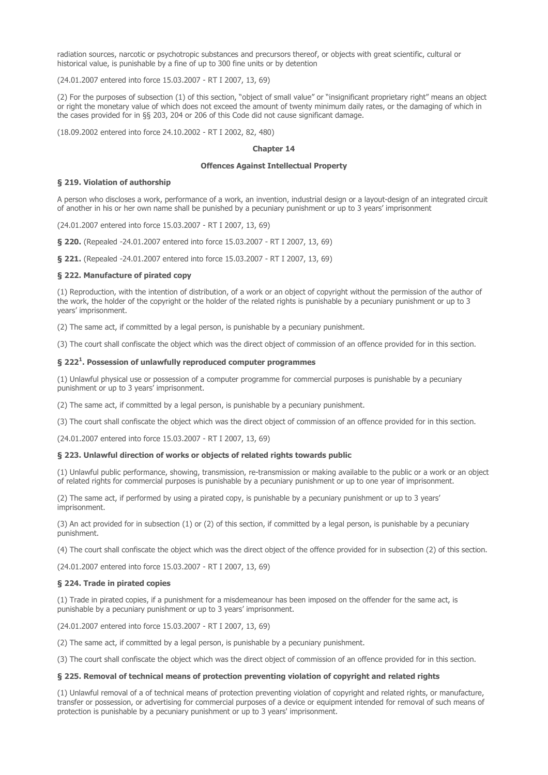radiation sources, narcotic or psychotropic substances and precursors thereof, or objects with great scientific, cultural or historical value, is punishable by a fine of up to 300 fine units or by detention

(24.01.2007 entered into force 15.03.2007 - RT I 2007, 13, 69)

(2) For the purposes of subsection (1) of this section, "object of small value" or "insignificant proprietary right" means an object or right the monetary value of which does not exceed the amount of twenty minimum daily rates, or the damaging of which in the cases provided for in §§ 203, 204 or 206 of this Code did not cause significant damage.

(18.09.2002 entered into force 24.10.2002 - RT I 2002, 82, 480)

### Chapter 14

## Offences Against Intellectual Property

### § 219. Violation of authorship

A person who discloses a work, performance of a work, an invention, industrial design or a layout-design of an integrated circuit of another in his or her own name shall be punished by a pecuniary punishment or up to 3 years' imprisonment

(24.01.2007 entered into force 15.03.2007 - RT I 2007, 13, 69)

§ 220. (Repealed -24.01.2007 entered into force 15.03.2007 - RT I 2007, 13, 69)

§ 221. (Repealed -24.01.2007 entered into force 15.03.2007 - RT I 2007, 13, 69)

### § 222. Manufacture of pirated copy

(1) Reproduction, with the intention of distribution, of a work or an object of copyright without the permission of the author of the work, the holder of the copyright or the holder of the related rights is punishable by a pecuniary punishment or up to 3 years' imprisonment.

(2) The same act, if committed by a legal person, is punishable by a pecuniary punishment.

(3) The court shall confiscate the object which was the direct object of commission of an offence provided for in this section.

## § 222<sup>1</sup>. Possession of unlawfully reproduced computer programmes

(1) Unlawful physical use or possession of a computer programme for commercial purposes is punishable by a pecuniary punishment or up to 3 years' imprisonment.

(2) The same act, if committed by a legal person, is punishable by a pecuniary punishment.

(3) The court shall confiscate the object which was the direct object of commission of an offence provided for in this section.

(24.01.2007 entered into force 15.03.2007 - RT I 2007, 13, 69)

### § 223. Unlawful direction of works or objects of related rights towards public

(1) Unlawful public performance, showing, transmission, re-transmission or making available to the public or a work or an object of related rights for commercial purposes is punishable by a pecuniary punishment or up to one year of imprisonment.

(2) The same act, if performed by using a pirated copy, is punishable by a pecuniary punishment or up to 3 years' imprisonment.

(3) An act provided for in subsection (1) or (2) of this section, if committed by a legal person, is punishable by a pecuniary punishment.

(4) The court shall confiscate the object which was the direct object of the offence provided for in subsection (2) of this section.

(24.01.2007 entered into force 15.03.2007 - RT I 2007, 13, 69)

### § 224. Trade in pirated copies

(1) Trade in pirated copies, if a punishment for a misdemeanour has been imposed on the offender for the same act, is punishable by a pecuniary punishment or up to 3 years' imprisonment.

(24.01.2007 entered into force 15.03.2007 - RT I 2007, 13, 69)

(2) The same act, if committed by a legal person, is punishable by a pecuniary punishment.

(3) The court shall confiscate the object which was the direct object of commission of an offence provided for in this section.

### § 225. Removal of technical means of protection preventing violation of copyright and related rights

(1) Unlawful removal of a of technical means of protection preventing violation of copyright and related rights, or manufacture, transfer or possession, or advertising for commercial purposes of a device or equipment intended for removal of such means of protection is punishable by a pecuniary punishment or up to 3 years' imprisonment.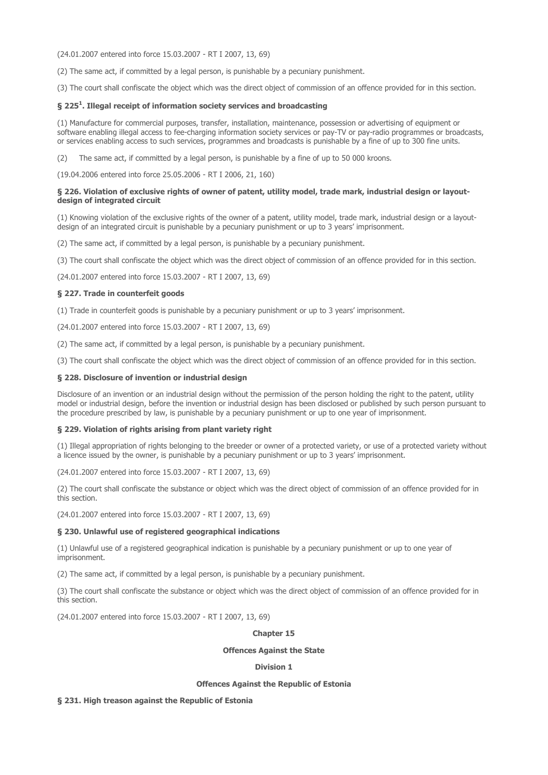(24.01.2007 entered into force 15.03.2007 - RT I 2007, 13, 69)

(2) The same act, if committed by a legal person, is punishable by a pecuniary punishment.

(3) The court shall confiscate the object which was the direct object of commission of an offence provided for in this section.

## § 225 $^{\rm 1}$ . Illegal receipt of information society services and broadcasting

(1) Manufacture for commercial purposes, transfer, installation, maintenance, possession or advertising of equipment or software enabling illegal access to fee-charging information society services or pay-TV or pay-radio programmes or broadcasts, or services enabling access to such services, programmes and broadcasts is punishable by a fine of up to 300 fine units.

(2) The same act, if committed by a legal person, is punishable by a fine of up to 50 000 kroons.

(19.04.2006 entered into force 25.05.2006 - RT I 2006, 21, 160)

## § 226. Violation of exclusive rights of owner of patent, utility model, trade mark, industrial design or layoutdesign of integrated circuit

(1) Knowing violation of the exclusive rights of the owner of a patent, utility model, trade mark, industrial design or a layoutdesign of an integrated circuit is punishable by a pecuniary punishment or up to 3 years' imprisonment.

(2) The same act, if committed by a legal person, is punishable by a pecuniary punishment.

(3) The court shall confiscate the object which was the direct object of commission of an offence provided for in this section.

(24.01.2007 entered into force 15.03.2007 - RT I 2007, 13, 69)

### § 227. Trade in counterfeit goods

(1) Trade in counterfeit goods is punishable by a pecuniary punishment or up to 3 years' imprisonment.

(24.01.2007 entered into force 15.03.2007 - RT I 2007, 13, 69)

(2) The same act, if committed by a legal person, is punishable by a pecuniary punishment.

(3) The court shall confiscate the object which was the direct object of commission of an offence provided for in this section.

### § 228. Disclosure of invention or industrial design

Disclosure of an invention or an industrial design without the permission of the person holding the right to the patent, utility model or industrial design, before the invention or industrial design has been disclosed or published by such person pursuant to the procedure prescribed by law, is punishable by a pecuniary punishment or up to one year of imprisonment.

### § 229. Violation of rights arising from plant variety right

(1) Illegal appropriation of rights belonging to the breeder or owner of a protected variety, or use of a protected variety without a licence issued by the owner, is punishable by a pecuniary punishment or up to 3 years' imprisonment.

(24.01.2007 entered into force 15.03.2007 - RT I 2007, 13, 69)

(2) The court shall confiscate the substance or object which was the direct object of commission of an offence provided for in this section.

(24.01.2007 entered into force 15.03.2007 - RT I 2007, 13, 69)

### § 230. Unlawful use of registered geographical indications

(1) Unlawful use of a registered geographical indication is punishable by a pecuniary punishment or up to one year of imprisonment.

(2) The same act, if committed by a legal person, is punishable by a pecuniary punishment.

(3) The court shall confiscate the substance or object which was the direct object of commission of an offence provided for in this section.

(24.01.2007 entered into force 15.03.2007 - RT I 2007, 13, 69)

# Chapter 15

## Offences Against the State

### Division 1

#### Offences Against the Republic of Estonia

### § 231. High treason against the Republic of Estonia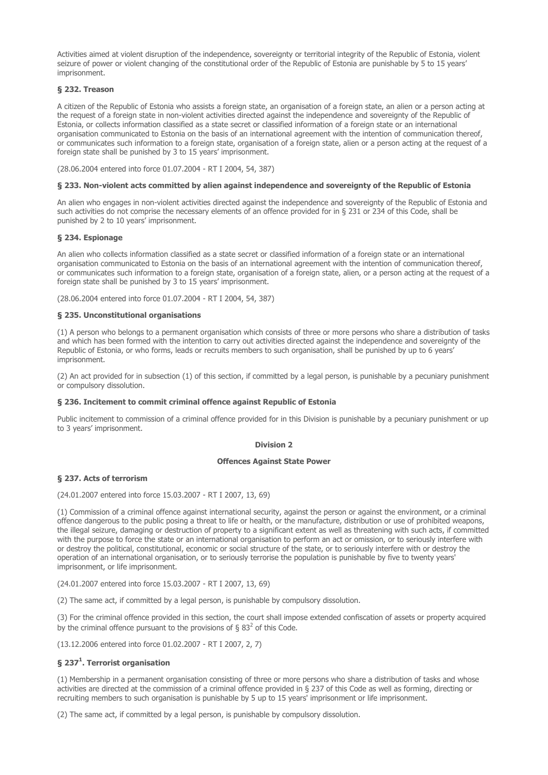Activities aimed at violent disruption of the independence, sovereignty or territorial integrity of the Republic of Estonia, violent seizure of power or violent changing of the constitutional order of the Republic of Estonia are punishable by 5 to 15 years' imprisonment.

# § 232. Treason

A citizen of the Republic of Estonia who assists a foreign state, an organisation of a foreign state, an alien or a person acting at the request of a foreign state in non-violent activities directed against the independence and sovereignty of the Republic of Estonia, or collects information classified as a state secret or classified information of a foreign state or an international organisation communicated to Estonia on the basis of an international agreement with the intention of communication thereof, or communicates such information to a foreign state, organisation of a foreign state, alien or a person acting at the request of a foreign state shall be punished by 3 to 15 years' imprisonment.

(28.06.2004 entered into force 01.07.2004 - RT I 2004, 54, 387)

## § 233. Non-violent acts committed by alien against independence and sovereignty of the Republic of Estonia

An alien who engages in non-violent activities directed against the independence and sovereignty of the Republic of Estonia and such activities do not comprise the necessary elements of an offence provided for in § 231 or 234 of this Code, shall be punished by 2 to 10 years' imprisonment.

## § 234. Espionage

An alien who collects information classified as a state secret or classified information of a foreign state or an international organisation communicated to Estonia on the basis of an international agreement with the intention of communication thereof, or communicates such information to a foreign state, organisation of a foreign state, alien, or a person acting at the request of a foreign state shall be punished by 3 to 15 years' imprisonment.

(28.06.2004 entered into force 01.07.2004 - RT I 2004, 54, 387)

## § 235. Unconstitutional organisations

(1) A person who belongs to a permanent organisation which consists of three or more persons who share a distribution of tasks and which has been formed with the intention to carry out activities directed against the independence and sovereignty of the Republic of Estonia, or who forms, leads or recruits members to such organisation, shall be punished by up to 6 years' imprisonment.

(2) An act provided for in subsection (1) of this section, if committed by a legal person, is punishable by a pecuniary punishment or compulsory dissolution.

## § 236. Incitement to commit criminal offence against Republic of Estonia

Public incitement to commission of a criminal offence provided for in this Division is punishable by a pecuniary punishment or up to 3 years' imprisonment.

## Division 2

### Offences Against State Power

## § 237. Acts of terrorism

(24.01.2007 entered into force 15.03.2007 - RT I 2007, 13, 69)

(1) Commission of a criminal offence against international security, against the person or against the environment, or a criminal offence dangerous to the public posing a threat to life or health, or the manufacture, distribution or use of prohibited weapons, the illegal seizure, damaging or destruction of property to a significant extent as well as threatening with such acts, if committed with the purpose to force the state or an international organisation to perform an act or omission, or to seriously interfere with or destroy the political, constitutional, economic or social structure of the state, or to seriously interfere with or destroy the operation of an international organisation, or to seriously terrorise the population is punishable by five to twenty years' imprisonment, or life imprisonment.

(24.01.2007 entered into force 15.03.2007 - RT I 2007, 13, 69)

(2) The same act, if committed by a legal person, is punishable by compulsory dissolution.

(3) For the criminal offence provided in this section, the court shall impose extended confiscation of assets or property acquired by the criminal offence pursuant to the provisions of § 83<sup>2</sup> of this Code.

(13.12.2006 entered into force 01.02.2007 - RT I 2007, 2, 7)

## § 237 $^{\rm 1}$ . Terrorist organisation

(1) Membership in a permanent organisation consisting of three or more persons who share a distribution of tasks and whose activities are directed at the commission of a criminal offence provided in § 237 of this Code as well as forming, directing or recruiting members to such organisation is punishable by 5 up to 15 years' imprisonment or life imprisonment.

(2) The same act, if committed by a legal person, is punishable by compulsory dissolution.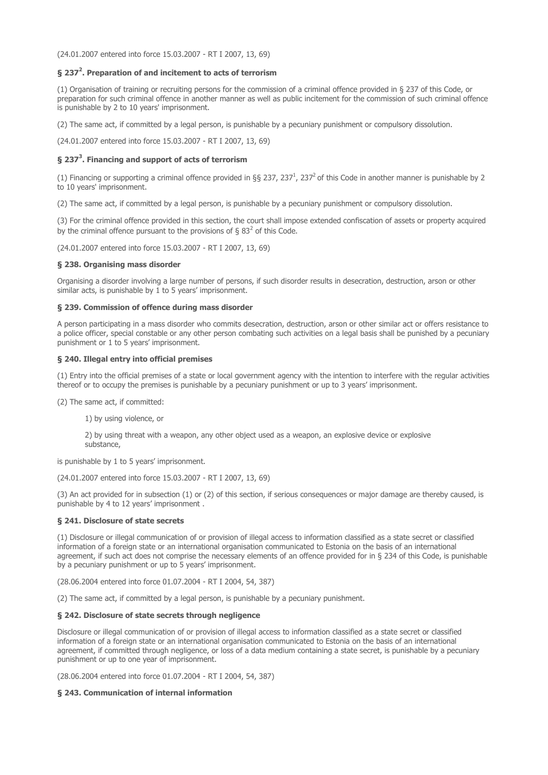(24.01.2007 entered into force 15.03.2007 - RT I 2007, 13, 69)

# § 237<sup>2</sup>. Preparation of and incitement to acts of terrorism

(1) Organisation of training or recruiting persons for the commission of a criminal offence provided in § 237 of this Code, or preparation for such criminal offence in another manner as well as public incitement for the commission of such criminal offence is punishable by 2 to 10 years' imprisonment.

(2) The same act, if committed by a legal person, is punishable by a pecuniary punishment or compulsory dissolution.

(24.01.2007 entered into force 15.03.2007 - RT I 2007, 13, 69)

## § 237<sup>3</sup>. Financing and support of acts of terrorism

(1) Financing or supporting a criminal offence provided in §§ 237, 237<sup>1</sup>, 237<sup>2</sup> of this Code in another manner is punishable by 2 to 10 years' imprisonment.

(2) The same act, if committed by a legal person, is punishable by a pecuniary punishment or compulsory dissolution.

(3) For the criminal offence provided in this section, the court shall impose extended confiscation of assets or property acquired by the criminal offence pursuant to the provisions of § 83<sup>2</sup> of this Code.

(24.01.2007 entered into force 15.03.2007 - RT I 2007, 13, 69)

### § 238. Organising mass disorder

Organising a disorder involving a large number of persons, if such disorder results in desecration, destruction, arson or other similar acts, is punishable by 1 to 5 years' imprisonment.

## § 239. Commission of offence during mass disorder

A person participating in a mass disorder who commits desecration, destruction, arson or other similar act or offers resistance to a police officer, special constable or any other person combating such activities on a legal basis shall be punished by a pecuniary punishment or 1 to 5 years' imprisonment.

### § 240. Illegal entry into official premises

(1) Entry into the official premises of a state or local government agency with the intention to interfere with the regular activities thereof or to occupy the premises is punishable by a pecuniary punishment or up to 3 years' imprisonment.

(2) The same act, if committed:

1) by using violence, or

2) by using threat with a weapon, any other object used as a weapon, an explosive device or explosive substance,

is punishable by 1 to 5 years' imprisonment.

(24.01.2007 entered into force 15.03.2007 - RT I 2007, 13, 69)

(3) An act provided for in subsection (1) or (2) of this section, if serious consequences or major damage are thereby caused, is punishable by 4 to 12 years' imprisonment .

### § 241. Disclosure of state secrets

(1) Disclosure or illegal communication of or provision of illegal access to information classified as a state secret or classified information of a foreign state or an international organisation communicated to Estonia on the basis of an international agreement, if such act does not comprise the necessary elements of an offence provided for in § 234 of this Code, is punishable by a pecuniary punishment or up to 5 years' imprisonment.

(28.06.2004 entered into force 01.07.2004 - RT I 2004, 54, 387)

(2) The same act, if committed by a legal person, is punishable by a pecuniary punishment.

## § 242. Disclosure of state secrets through negligence

Disclosure or illegal communication of or provision of illegal access to information classified as a state secret or classified information of a foreign state or an international organisation communicated to Estonia on the basis of an international agreement, if committed through negligence, or loss of a data medium containing a state secret, is punishable by a pecuniary punishment or up to one year of imprisonment.

(28.06.2004 entered into force 01.07.2004 - RT I 2004, 54, 387)

## § 243. Communication of internal information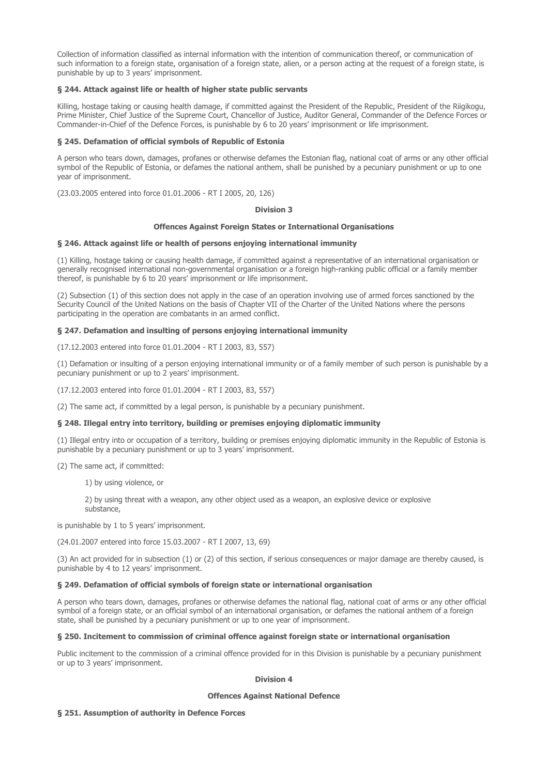Collection of information classified as internal information with the intention of communication thereof, or communication of such information to a foreign state, organisation of a foreign state, alien, or a person acting at the request of a foreign state, is punishable by up to 3 years' imprisonment.

## § 244. Attack against life or health of higher state public servants

Killing, hostage taking or causing health damage, if committed against the President of the Republic, President of the Riigikogu, Prime Minister, Chief Justice of the Supreme Court, Chancellor of Justice, Auditor General, Commander of the Defence Forces or Commander-in-Chief of the Defence Forces, is punishable by 6 to 20 years' imprisonment or life imprisonment.

## § 245. Defamation of official symbols of Republic of Estonia

A person who tears down, damages, profanes or otherwise defames the Estonian flag, national coat of arms or any other official symbol of the Republic of Estonia, or defames the national anthem, shall be punished by a pecuniary punishment or up to one year of imprisonment.

(23.03.2005 entered into force 01.01.2006 - RT I 2005, 20, 126)

### Division 3

## Offences Against Foreign States or International Organisations

## § 246. Attack against life or health of persons enjoying international immunity

(1) Killing, hostage taking or causing health damage, if committed against a representative of an international organisation or generally recognised international non-governmental organisation or a foreign high-ranking public official or a family member thereof, is punishable by 6 to 20 years' imprisonment or life imprisonment.

(2) Subsection (1) of this section does not apply in the case of an operation involving use of armed forces sanctioned by the Security Council of the United Nations on the basis of Chapter VII of the Charter of the United Nations where the persons participating in the operation are combatants in an armed conflict.

## § 247. Defamation and insulting of persons enjoying international immunity

(17.12.2003 entered into force 01.01.2004 - RT I 2003, 83, 557)

(1) Defamation or insulting of a person enjoying international immunity or of a family member of such person is punishable by a pecuniary punishment or up to 2 years' imprisonment.

(17.12.2003 entered into force 01.01.2004 - RT I 2003, 83, 557)

(2) The same act, if committed by a legal person, is punishable by a pecuniary punishment.

## § 248. Illegal entry into territory, building or premises enjoying diplomatic immunity

(1) Illegal entry into or occupation of a territory, building or premises enjoying diplomatic immunity in the Republic of Estonia is punishable by a pecuniary punishment or up to 3 years' imprisonment.

(2) The same act, if committed:

1) by using violence, or

2) by using threat with a weapon, any other object used as a weapon, an explosive device or explosive substance,

is punishable by 1 to 5 years' imprisonment.

(24.01.2007 entered into force 15.03.2007 - RT I 2007, 13, 69)

(3) An act provided for in subsection (1) or (2) of this section, if serious consequences or major damage are thereby caused, is punishable by 4 to 12 years' imprisonment.

### § 249. Defamation of official symbols of foreign state or international organisation

A person who tears down, damages, profanes or otherwise defames the national flag, national coat of arms or any other official symbol of a foreign state, or an official symbol of an international organisation, or defames the national anthem of a foreign state, shall be punished by a pecuniary punishment or up to one year of imprisonment.

### § 250. Incitement to commission of criminal offence against foreign state or international organisation

Public incitement to the commission of a criminal offence provided for in this Division is punishable by a pecuniary punishment or up to 3 years' imprisonment.

## Division 4

### Offences Against National Defence

## § 251. Assumption of authority in Defence Forces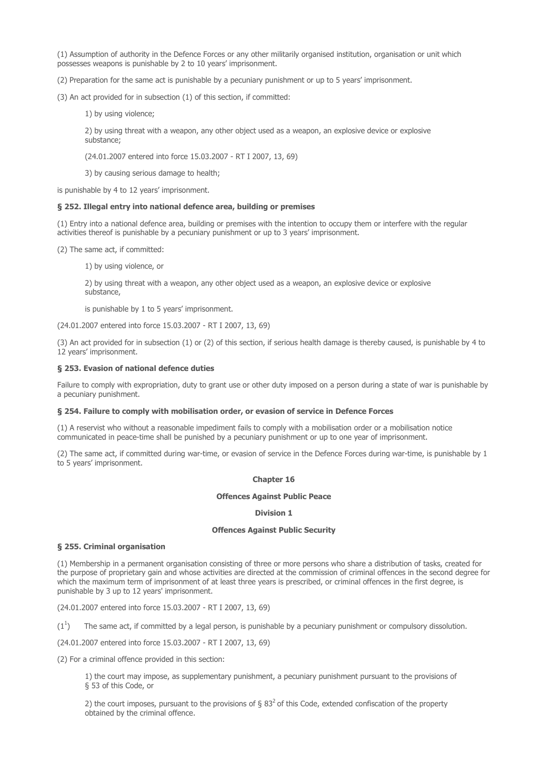(1) Assumption of authority in the Defence Forces or any other militarily organised institution, organisation or unit which possesses weapons is punishable by 2 to 10 years' imprisonment.

(2) Preparation for the same act is punishable by a pecuniary punishment or up to 5 years' imprisonment.

(3) An act provided for in subsection (1) of this section, if committed:

1) by using violence;

2) by using threat with a weapon, any other object used as a weapon, an explosive device or explosive substance;

(24.01.2007 entered into force 15.03.2007 - RT I 2007, 13, 69)

3) by causing serious damage to health;

is punishable by 4 to 12 years' imprisonment.

### § 252. Illegal entry into national defence area, building or premises

(1) Entry into a national defence area, building or premises with the intention to occupy them or interfere with the regular activities thereof is punishable by a pecuniary punishment or up to 3 years' imprisonment.

(2) The same act, if committed:

1) by using violence, or

2) by using threat with a weapon, any other object used as a weapon, an explosive device or explosive substance,

is punishable by 1 to 5 years' imprisonment.

(24.01.2007 entered into force 15.03.2007 - RT I 2007, 13, 69)

(3) An act provided for in subsection (1) or (2) of this section, if serious health damage is thereby caused, is punishable by 4 to 12 years' imprisonment.

### § 253. Evasion of national defence duties

Failure to comply with expropriation, duty to grant use or other duty imposed on a person during a state of war is punishable by a pecuniary punishment.

### § 254. Failure to comply with mobilisation order, or evasion of service in Defence Forces

(1) A reservist who without a reasonable impediment fails to comply with a mobilisation order or a mobilisation notice communicated in peace-time shall be punished by a pecuniary punishment or up to one year of imprisonment.

(2) The same act, if committed during war-time, or evasion of service in the Defence Forces during war-time, is punishable by 1 to 5 years' imprisonment.

### Chapter 16

### Offences Against Public Peace

### Division 1

## Offences Against Public Security

### § 255. Criminal organisation

(1) Membership in a permanent organisation consisting of three or more persons who share a distribution of tasks, created for the purpose of proprietary gain and whose activities are directed at the commission of criminal offences in the second degree for which the maximum term of imprisonment of at least three years is prescribed, or criminal offences in the first degree, is punishable by 3 up to 12 years' imprisonment.

(24.01.2007 entered into force 15.03.2007 - RT I 2007, 13, 69)

 $(1^1)$ ) The same act, if committed by a legal person, is punishable by a pecuniary punishment or compulsory dissolution.

(24.01.2007 entered into force 15.03.2007 - RT I 2007, 13, 69)

(2) For a criminal offence provided in this section:

1) the court may impose, as supplementary punishment, a pecuniary punishment pursuant to the provisions of § 53 of this Code, or

2) the court imposes, pursuant to the provisions of  $\S 83<sup>2</sup>$  of this Code, extended confiscation of the property obtained by the criminal offence.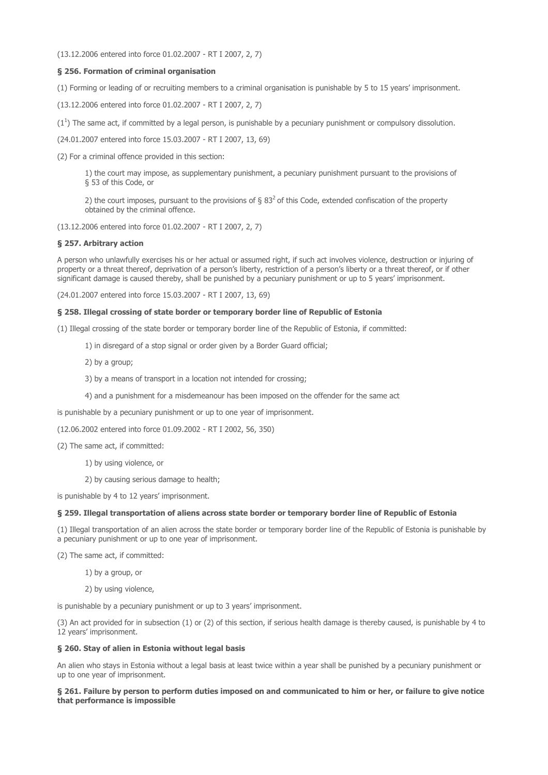(13.12.2006 entered into force 01.02.2007 - RT I 2007, 2, 7)

## § 256. Formation of criminal organisation

(1) Forming or leading of or recruiting members to a criminal organisation is punishable by 5 to 15 years' imprisonment.

(13.12.2006 entered into force 01.02.2007 - RT I 2007, 2, 7)

 $(1^1)$  The same act, if committed by a legal person, is punishable by a pecuniary punishment or compulsory dissolution.

(24.01.2007 entered into force 15.03.2007 - RT I 2007, 13, 69)

(2) For a criminal offence provided in this section:

1) the court may impose, as supplementary punishment, a pecuniary punishment pursuant to the provisions of § 53 of this Code, or

2) the court imposes, pursuant to the provisions of §  $83<sup>2</sup>$  of this Code, extended confiscation of the property obtained by the criminal offence.

(13.12.2006 entered into force 01.02.2007 - RT I 2007, 2, 7)

## § 257. Arbitrary action

A person who unlawfully exercises his or her actual or assumed right, if such act involves violence, destruction or injuring of property or a threat thereof, deprivation of a person's liberty, restriction of a person's liberty or a threat thereof, or if other significant damage is caused thereby, shall be punished by a pecuniary punishment or up to 5 years' imprisonment.

(24.01.2007 entered into force 15.03.2007 - RT I 2007, 13, 69)

## § 258. Illegal crossing of state border or temporary border line of Republic of Estonia

(1) Illegal crossing of the state border or temporary border line of the Republic of Estonia, if committed:

- 1) in disregard of a stop signal or order given by a Border Guard official;
- 2) by a group;
- 3) by a means of transport in a location not intended for crossing;
- 4) and a punishment for a misdemeanour has been imposed on the offender for the same act

is punishable by a pecuniary punishment or up to one year of imprisonment.

(12.06.2002 entered into force 01.09.2002 - RT I 2002, 56, 350)

- (2) The same act, if committed:
	- 1) by using violence, or
	- 2) by causing serious damage to health;

is punishable by 4 to 12 years' imprisonment.

### § 259. Illegal transportation of aliens across state border or temporary border line of Republic of Estonia

(1) Illegal transportation of an alien across the state border or temporary border line of the Republic of Estonia is punishable by a pecuniary punishment or up to one year of imprisonment.

(2) The same act, if committed:

1) by a group, or

2) by using violence,

is punishable by a pecuniary punishment or up to 3 years' imprisonment.

(3) An act provided for in subsection (1) or (2) of this section, if serious health damage is thereby caused, is punishable by 4 to 12 years' imprisonment.

## § 260. Stay of alien in Estonia without legal basis

An alien who stays in Estonia without a legal basis at least twice within a year shall be punished by a pecuniary punishment or up to one year of imprisonment.

## § 261. Failure by person to perform duties imposed on and communicated to him or her, or failure to give notice that performance is impossible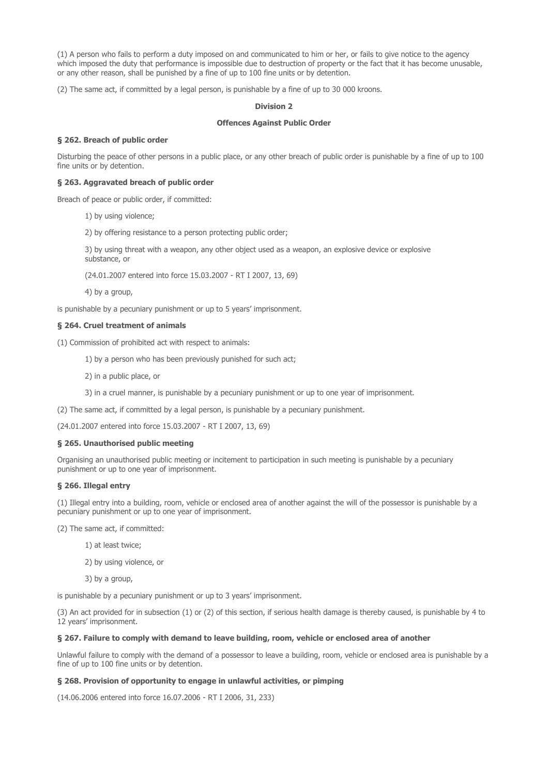(1) A person who fails to perform a duty imposed on and communicated to him or her, or fails to give notice to the agency which imposed the duty that performance is impossible due to destruction of property or the fact that it has become unusable, or any other reason, shall be punished by a fine of up to 100 fine units or by detention.

(2) The same act, if committed by a legal person, is punishable by a fine of up to 30 000 kroons.

## Division 2

# Offences Against Public Order

## § 262. Breach of public order

Disturbing the peace of other persons in a public place, or any other breach of public order is punishable by a fine of up to 100 fine units or by detention.

## § 263. Aggravated breach of public order

Breach of peace or public order, if committed:

1) by using violence;

2) by offering resistance to a person protecting public order;

3) by using threat with a weapon, any other object used as a weapon, an explosive device or explosive substance, or

(24.01.2007 entered into force 15.03.2007 - RT I 2007, 13, 69)

4) by a group,

is punishable by a pecuniary punishment or up to 5 years' imprisonment.

## § 264. Cruel treatment of animals

(1) Commission of prohibited act with respect to animals:

1) by a person who has been previously punished for such act;

2) in a public place, or

3) in a cruel manner, is punishable by a pecuniary punishment or up to one year of imprisonment.

(2) The same act, if committed by a legal person, is punishable by a pecuniary punishment.

(24.01.2007 entered into force 15.03.2007 - RT I 2007, 13, 69)

### § 265. Unauthorised public meeting

Organising an unauthorised public meeting or incitement to participation in such meeting is punishable by a pecuniary punishment or up to one year of imprisonment.

## § 266. Illegal entry

(1) Illegal entry into a building, room, vehicle or enclosed area of another against the will of the possessor is punishable by a pecuniary punishment or up to one year of imprisonment.

(2) The same act, if committed:

- 1) at least twice;
- 2) by using violence, or
- 3) by a group,

is punishable by a pecuniary punishment or up to 3 years' imprisonment.

(3) An act provided for in subsection (1) or (2) of this section, if serious health damage is thereby caused, is punishable by 4 to 12 years' imprisonment.

## § 267. Failure to comply with demand to leave building, room, vehicle or enclosed area of another

Unlawful failure to comply with the demand of a possessor to leave a building, room, vehicle or enclosed area is punishable by a fine of up to 100 fine units or by detention.

## § 268. Provision of opportunity to engage in unlawful activities, or pimping

(14.06.2006 entered into force 16.07.2006 - RT I 2006, 31, 233)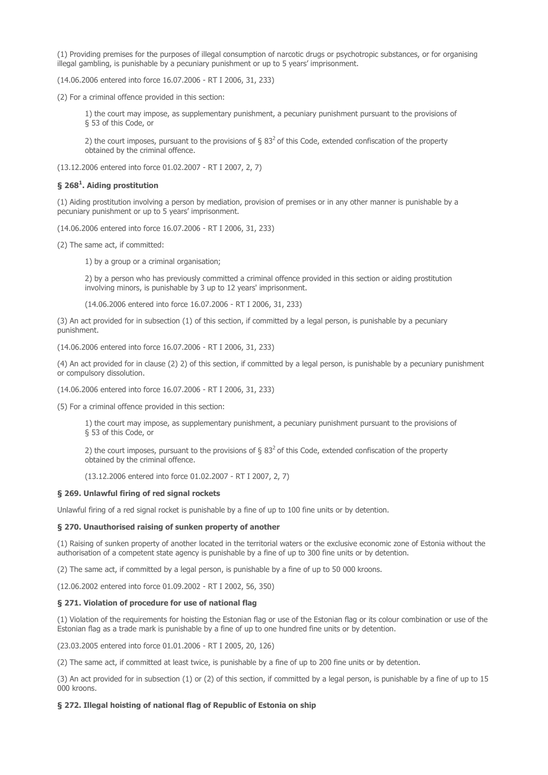(1) Providing premises for the purposes of illegal consumption of narcotic drugs or psychotropic substances, or for organising illegal gambling, is punishable by a pecuniary punishment or up to 5 years' imprisonment.

(14.06.2006 entered into force 16.07.2006 - RT I 2006, 31, 233)

(2) For a criminal offence provided in this section:

1) the court may impose, as supplementary punishment, a pecuniary punishment pursuant to the provisions of § 53 of this Code, or

2) the court imposes, pursuant to the provisions of  $\S 83<sup>2</sup>$  of this Code, extended confiscation of the property obtained by the criminal offence.

(13.12.2006 entered into force 01.02.2007 - RT I 2007, 2, 7)

# § 268 $^{\rm 1}$ . Aiding prostitution

(1) Aiding prostitution involving a person by mediation, provision of premises or in any other manner is punishable by a pecuniary punishment or up to 5 years' imprisonment.

(14.06.2006 entered into force 16.07.2006 - RT I 2006, 31, 233)

(2) The same act, if committed:

1) by a group or a criminal organisation;

2) by a person who has previously committed a criminal offence provided in this section or aiding prostitution involving minors, is punishable by 3 up to 12 years' imprisonment.

(14.06.2006 entered into force 16.07.2006 - RT I 2006, 31, 233)

(3) An act provided for in subsection (1) of this section, if committed by a legal person, is punishable by a pecuniary punishment.

(14.06.2006 entered into force 16.07.2006 - RT I 2006, 31, 233)

(4) An act provided for in clause (2) 2) of this section, if committed by a legal person, is punishable by a pecuniary punishment or compulsory dissolution.

(14.06.2006 entered into force 16.07.2006 - RT I 2006, 31, 233)

(5) For a criminal offence provided in this section:

1) the court may impose, as supplementary punishment, a pecuniary punishment pursuant to the provisions of § 53 of this Code, or

2) the court imposes, pursuant to the provisions of  $\S 83<sup>2</sup>$  of this Code, extended confiscation of the property obtained by the criminal offence.

(13.12.2006 entered into force 01.02.2007 - RT I 2007, 2, 7)

### § 269. Unlawful firing of red signal rockets

Unlawful firing of a red signal rocket is punishable by a fine of up to 100 fine units or by detention.

### § 270. Unauthorised raising of sunken property of another

(1) Raising of sunken property of another located in the territorial waters or the exclusive economic zone of Estonia without the authorisation of a competent state agency is punishable by a fine of up to 300 fine units or by detention.

(2) The same act, if committed by a legal person, is punishable by a fine of up to 50 000 kroons.

(12.06.2002 entered into force 01.09.2002 - RT I 2002, 56, 350)

### § 271. Violation of procedure for use of national flag

(1) Violation of the requirements for hoisting the Estonian flag or use of the Estonian flag or its colour combination or use of the Estonian flag as a trade mark is punishable by a fine of up to one hundred fine units or by detention.

(23.03.2005 entered into force 01.01.2006 - RT I 2005, 20, 126)

(2) The same act, if committed at least twice, is punishable by a fine of up to 200 fine units or by detention.

(3) An act provided for in subsection (1) or (2) of this section, if committed by a legal person, is punishable by a fine of up to 15 000 kroons.

### § 272. Illegal hoisting of national flag of Republic of Estonia on ship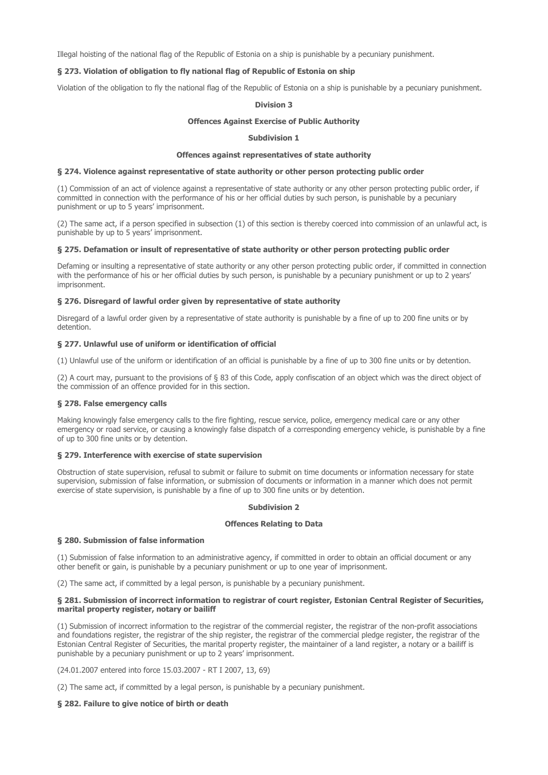Illegal hoisting of the national flag of the Republic of Estonia on a ship is punishable by a pecuniary punishment.

## § 273. Violation of obligation to fly national flag of Republic of Estonia on ship

Violation of the obligation to fly the national flag of the Republic of Estonia on a ship is punishable by a pecuniary punishment.

## Division 3

### Offences Against Exercise of Public Authority

## Subdivision 1

## Offences against representatives of state authority

# § 274. Violence against representative of state authority or other person protecting public order

(1) Commission of an act of violence against a representative of state authority or any other person protecting public order, if committed in connection with the performance of his or her official duties by such person, is punishable by a pecuniary punishment or up to 5 years' imprisonment.

(2) The same act, if a person specified in subsection (1) of this section is thereby coerced into commission of an unlawful act, is punishable by up to 5 years' imprisonment.

### § 275. Defamation or insult of representative of state authority or other person protecting public order

Defaming or insulting a representative of state authority or any other person protecting public order, if committed in connection with the performance of his or her official duties by such person, is punishable by a pecuniary punishment or up to 2 years' imprisonment.

## § 276. Disregard of lawful order given by representative of state authority

Disregard of a lawful order given by a representative of state authority is punishable by a fine of up to 200 fine units or by detention.

## § 277. Unlawful use of uniform or identification of official

(1) Unlawful use of the uniform or identification of an official is punishable by a fine of up to 300 fine units or by detention.

(2) A court may, pursuant to the provisions of § 83 of this Code, apply confiscation of an object which was the direct object of the commission of an offence provided for in this section.

## § 278. False emergency calls

Making knowingly false emergency calls to the fire fighting, rescue service, police, emergency medical care or any other emergency or road service, or causing a knowingly false dispatch of a corresponding emergency vehicle, is punishable by a fine of up to 300 fine units or by detention.

### § 279. Interference with exercise of state supervision

Obstruction of state supervision, refusal to submit or failure to submit on time documents or information necessary for state supervision, submission of false information, or submission of documents or information in a manner which does not permit exercise of state supervision, is punishable by a fine of up to 300 fine units or by detention.

## Subdivision 2

### Offences Relating to Data

### § 280. Submission of false information

(1) Submission of false information to an administrative agency, if committed in order to obtain an official document or any other benefit or gain, is punishable by a pecuniary punishment or up to one year of imprisonment.

(2) The same act, if committed by a legal person, is punishable by a pecuniary punishment.

### § 281. Submission of incorrect information to registrar of court register, Estonian Central Register of Securities, marital property register, notary or bailiff

(1) Submission of incorrect information to the registrar of the commercial register, the registrar of the non-profit associations and foundations register, the registrar of the ship register, the registrar of the commercial pledge register, the registrar of the Estonian Central Register of Securities, the marital property register, the maintainer of a land register, a notary or a bailiff is punishable by a pecuniary punishment or up to 2 years' imprisonment.

(24.01.2007 entered into force 15.03.2007 - RT I 2007, 13, 69)

(2) The same act, if committed by a legal person, is punishable by a pecuniary punishment.

## § 282. Failure to give notice of birth or death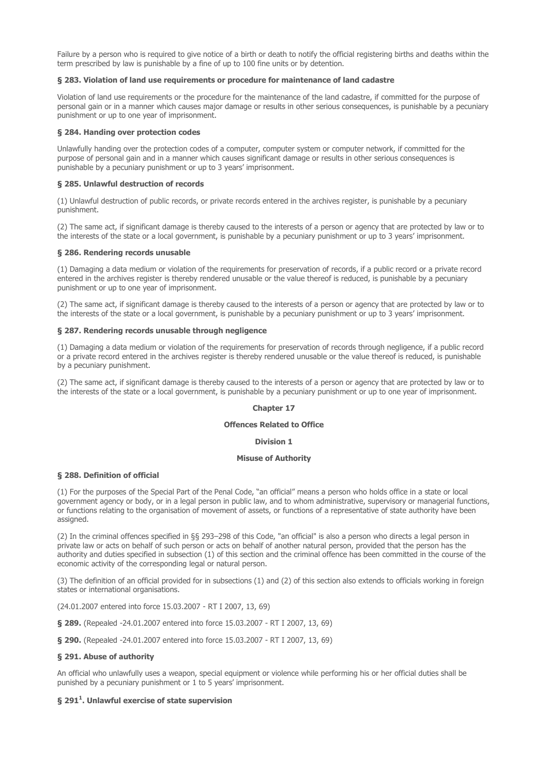Failure by a person who is required to give notice of a birth or death to notify the official registering births and deaths within the term prescribed by law is punishable by a fine of up to 100 fine units or by detention.

## § 283. Violation of land use requirements or procedure for maintenance of land cadastre

Violation of land use requirements or the procedure for the maintenance of the land cadastre, if committed for the purpose of personal gain or in a manner which causes major damage or results in other serious consequences, is punishable by a pecuniary punishment or up to one year of imprisonment.

## § 284. Handing over protection codes

Unlawfully handing over the protection codes of a computer, computer system or computer network, if committed for the purpose of personal gain and in a manner which causes significant damage or results in other serious consequences is punishable by a pecuniary punishment or up to 3 years' imprisonment.

## § 285. Unlawful destruction of records

(1) Unlawful destruction of public records, or private records entered in the archives register, is punishable by a pecuniary punishment.

(2) The same act, if significant damage is thereby caused to the interests of a person or agency that are protected by law or to the interests of the state or a local government, is punishable by a pecuniary punishment or up to 3 years' imprisonment.

### § 286. Rendering records unusable

(1) Damaging a data medium or violation of the requirements for preservation of records, if a public record or a private record entered in the archives register is thereby rendered unusable or the value thereof is reduced, is punishable by a pecuniary punishment or up to one year of imprisonment.

(2) The same act, if significant damage is thereby caused to the interests of a person or agency that are protected by law or to the interests of the state or a local government, is punishable by a pecuniary punishment or up to 3 years' imprisonment.

## § 287. Rendering records unusable through negligence

(1) Damaging a data medium or violation of the requirements for preservation of records through negligence, if a public record or a private record entered in the archives register is thereby rendered unusable or the value thereof is reduced, is punishable by a pecuniary punishment.

(2) The same act, if significant damage is thereby caused to the interests of a person or agency that are protected by law or to the interests of the state or a local government, is punishable by a pecuniary punishment or up to one year of imprisonment.

# Chapter 17

### Offences Related to Office

### Division 1

## Misuse of Authority

## § 288. Definition of official

(1) For the purposes of the Special Part of the Penal Code, "an official" means a person who holds office in a state or local government agency or body, or in a legal person in public law, and to whom administrative, supervisory or managerial functions, or functions relating to the organisation of movement of assets, or functions of a representative of state authority have been assigned.

(2) In the criminal offences specified in §§ 293–298 of this Code, "an official" is also a person who directs a legal person in private law or acts on behalf of such person or acts on behalf of another natural person, provided that the person has the authority and duties specified in subsection (1) of this section and the criminal offence has been committed in the course of the economic activity of the corresponding legal or natural person.

(3) The definition of an official provided for in subsections (1) and (2) of this section also extends to officials working in foreign states or international organisations.

(24.01.2007 entered into force 15.03.2007 - RT I 2007, 13, 69)

§ 289. (Repealed -24.01.2007 entered into force 15.03.2007 - RT I 2007, 13, 69)

§ 290. (Repealed -24.01.2007 entered into force 15.03.2007 - RT I 2007, 13, 69)

## § 291. Abuse of authority

An official who unlawfully uses a weapon, special equipment or violence while performing his or her official duties shall be punished by a pecuniary punishment or 1 to 5 years' imprisonment.

## § 291 $^{\rm 1}$ . Unlawful exercise of state supervision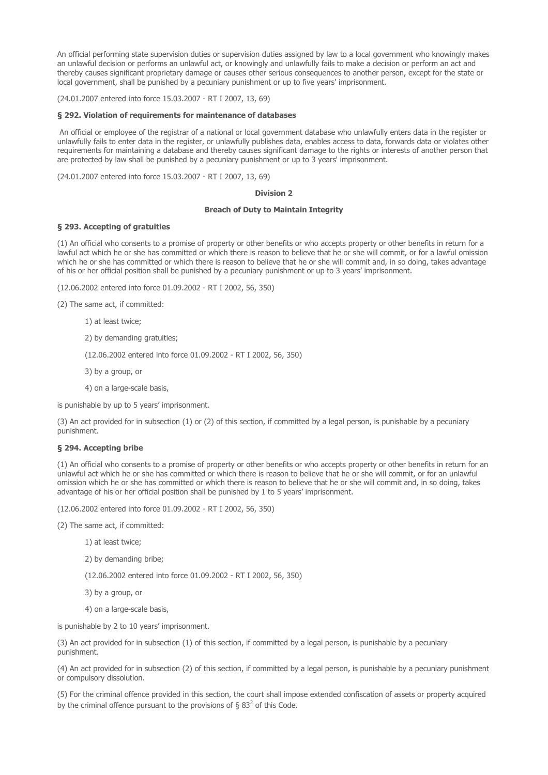An official performing state supervision duties or supervision duties assigned by law to a local government who knowingly makes an unlawful decision or performs an unlawful act, or knowingly and unlawfully fails to make a decision or perform an act and thereby causes significant proprietary damage or causes other serious consequences to another person, except for the state or local government, shall be punished by a pecuniary punishment or up to five years' imprisonment.

(24.01.2007 entered into force 15.03.2007 - RT I 2007, 13, 69)

### § 292. Violation of requirements for maintenance of databases

 An official or employee of the registrar of a national or local government database who unlawfully enters data in the register or unlawfully fails to enter data in the register, or unlawfully publishes data, enables access to data, forwards data or violates other requirements for maintaining a database and thereby causes significant damage to the rights or interests of another person that are protected by law shall be punished by a pecuniary punishment or up to 3 years' imprisonment.

(24.01.2007 entered into force 15.03.2007 - RT I 2007, 13, 69)

# Division 2

## Breach of Duty to Maintain Integrity

## § 293. Accepting of gratuities

(1) An official who consents to a promise of property or other benefits or who accepts property or other benefits in return for a lawful act which he or she has committed or which there is reason to believe that he or she will commit, or for a lawful omission which he or she has committed or which there is reason to believe that he or she will commit and, in so doing, takes advantage of his or her official position shall be punished by a pecuniary punishment or up to 3 years' imprisonment.

(12.06.2002 entered into force 01.09.2002 - RT I 2002, 56, 350)

(2) The same act, if committed:

1) at least twice;

2) by demanding gratuities;

(12.06.2002 entered into force 01.09.2002 - RT I 2002, 56, 350)

3) by a group, or

4) on a large-scale basis,

is punishable by up to 5 years' imprisonment.

(3) An act provided for in subsection (1) or (2) of this section, if committed by a legal person, is punishable by a pecuniary punishment.

## § 294. Accepting bribe

(1) An official who consents to a promise of property or other benefits or who accepts property or other benefits in return for an unlawful act which he or she has committed or which there is reason to believe that he or she will commit, or for an unlawful omission which he or she has committed or which there is reason to believe that he or she will commit and, in so doing, takes advantage of his or her official position shall be punished by 1 to 5 years' imprisonment.

(12.06.2002 entered into force 01.09.2002 - RT I 2002, 56, 350)

(2) The same act, if committed:

- 1) at least twice;
- 2) by demanding bribe;

(12.06.2002 entered into force 01.09.2002 - RT I 2002, 56, 350)

- 3) by a group, or
- 4) on a large-scale basis,

is punishable by 2 to 10 years' imprisonment.

(3) An act provided for in subsection (1) of this section, if committed by a legal person, is punishable by a pecuniary punishment.

(4) An act provided for in subsection (2) of this section, if committed by a legal person, is punishable by a pecuniary punishment or compulsory dissolution.

(5) For the criminal offence provided in this section, the court shall impose extended confiscation of assets or property acquired by the criminal offence pursuant to the provisions of § 83<sup>2</sup> of this Code.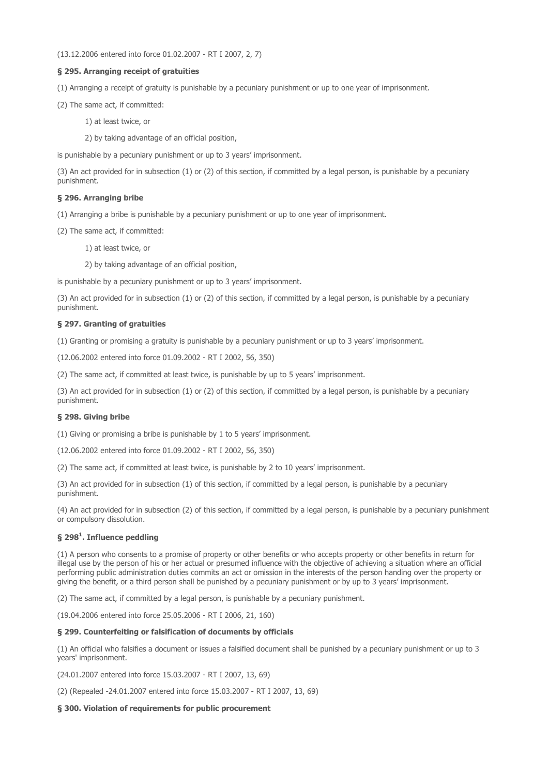(13.12.2006 entered into force 01.02.2007 - RT I 2007, 2, 7)

# § 295. Arranging receipt of gratuities

(1) Arranging a receipt of gratuity is punishable by a pecuniary punishment or up to one year of imprisonment.

(2) The same act, if committed:

1) at least twice, or

2) by taking advantage of an official position,

is punishable by a pecuniary punishment or up to 3 years' imprisonment.

(3) An act provided for in subsection (1) or (2) of this section, if committed by a legal person, is punishable by a pecuniary punishment.

## § 296. Arranging bribe

(1) Arranging a bribe is punishable by a pecuniary punishment or up to one year of imprisonment.

(2) The same act, if committed:

1) at least twice, or

2) by taking advantage of an official position,

is punishable by a pecuniary punishment or up to 3 years' imprisonment.

(3) An act provided for in subsection (1) or (2) of this section, if committed by a legal person, is punishable by a pecuniary punishment.

## § 297. Granting of gratuities

(1) Granting or promising a gratuity is punishable by a pecuniary punishment or up to 3 years' imprisonment.

(12.06.2002 entered into force 01.09.2002 - RT I 2002, 56, 350)

(2) The same act, if committed at least twice, is punishable by up to 5 years' imprisonment.

(3) An act provided for in subsection (1) or (2) of this section, if committed by a legal person, is punishable by a pecuniary punishment.

### § 298. Giving bribe

(1) Giving or promising a bribe is punishable by 1 to 5 years' imprisonment.

(12.06.2002 entered into force 01.09.2002 - RT I 2002, 56, 350)

(2) The same act, if committed at least twice, is punishable by 2 to 10 years' imprisonment.

(3) An act provided for in subsection (1) of this section, if committed by a legal person, is punishable by a pecuniary punishment.

(4) An act provided for in subsection (2) of this section, if committed by a legal person, is punishable by a pecuniary punishment or compulsory dissolution.

## § 298 $^{\rm 1}$ . Influence peddling

(1) A person who consents to a promise of property or other benefits or who accepts property or other benefits in return for illegal use by the person of his or her actual or presumed influence with the objective of achieving a situation where an official performing public administration duties commits an act or omission in the interests of the person handing over the property or giving the benefit, or a third person shall be punished by a pecuniary punishment or by up to 3 years' imprisonment.

(2) The same act, if committed by a legal person, is punishable by a pecuniary punishment.

(19.04.2006 entered into force 25.05.2006 - RT I 2006, 21, 160)

### § 299. Counterfeiting or falsification of documents by officials

(1) An official who falsifies a document or issues a falsified document shall be punished by a pecuniary punishment or up to 3 years' imprisonment.

(24.01.2007 entered into force 15.03.2007 - RT I 2007, 13, 69)

(2) (Repealed -24.01.2007 entered into force 15.03.2007 - RT I 2007, 13, 69)

## § 300. Violation of requirements for public procurement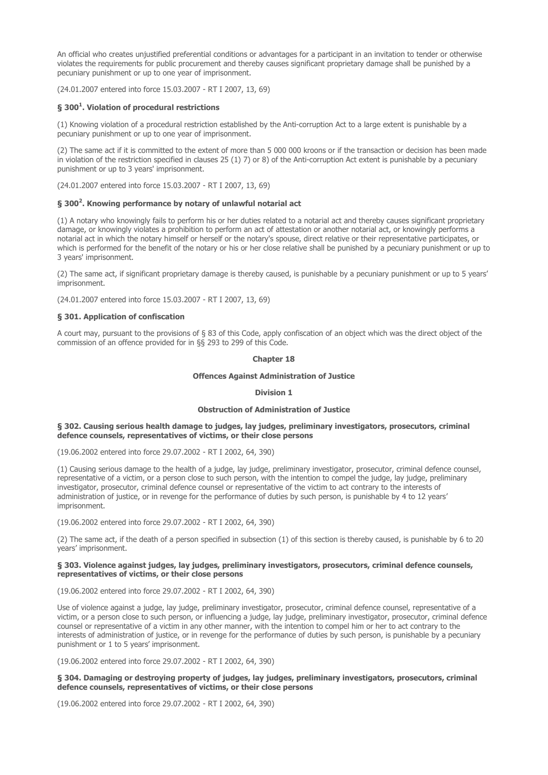An official who creates unjustified preferential conditions or advantages for a participant in an invitation to tender or otherwise violates the requirements for public procurement and thereby causes significant proprietary damage shall be punished by a pecuniary punishment or up to one year of imprisonment.

(24.01.2007 entered into force 15.03.2007 - RT I 2007, 13, 69)

## § 300<sup>1</sup>. Violation of procedural restrictions

(1) Knowing violation of a procedural restriction established by the Anti-corruption Act to a large extent is punishable by a pecuniary punishment or up to one year of imprisonment.

(2) The same act if it is committed to the extent of more than 5 000 000 kroons or if the transaction or decision has been made in violation of the restriction specified in clauses 25 (1) 7) or 8) of the Anti-corruption Act extent is punishable by a pecuniary punishment or up to 3 years' imprisonment.

(24.01.2007 entered into force 15.03.2007 - RT I 2007, 13, 69)

## § 300<sup>2</sup>. Knowing performance by notary of unlawful notarial act

(1) A notary who knowingly fails to perform his or her duties related to a notarial act and thereby causes significant proprietary damage, or knowingly violates a prohibition to perform an act of attestation or another notarial act, or knowingly performs a notarial act in which the notary himself or herself or the notary's spouse, direct relative or their representative participates, or which is performed for the benefit of the notary or his or her close relative shall be punished by a pecuniary punishment or up to 3 years' imprisonment.

(2) The same act, if significant proprietary damage is thereby caused, is punishable by a pecuniary punishment or up to 5 years' imprisonment.

(24.01.2007 entered into force 15.03.2007 - RT I 2007, 13, 69)

## § 301. Application of confiscation

A court may, pursuant to the provisions of § 83 of this Code, apply confiscation of an object which was the direct object of the commission of an offence provided for in §§ 293 to 299 of this Code.

## Chapter 18

## Offences Against Administration of Justice

## Division 1

### Obstruction of Administration of Justice

### § 302. Causing serious health damage to judges, lay judges, preliminary investigators, prosecutors, criminal defence counsels, representatives of victims, or their close persons

(19.06.2002 entered into force 29.07.2002 - RT I 2002, 64, 390)

(1) Causing serious damage to the health of a judge, lay judge, preliminary investigator, prosecutor, criminal defence counsel, representative of a victim, or a person close to such person, with the intention to compel the judge, lay judge, preliminary investigator, prosecutor, criminal defence counsel or representative of the victim to act contrary to the interests of administration of justice, or in revenge for the performance of duties by such person, is punishable by 4 to 12 years' imprisonment.

(19.06.2002 entered into force 29.07.2002 - RT I 2002, 64, 390)

(2) The same act, if the death of a person specified in subsection (1) of this section is thereby caused, is punishable by 6 to 20 years' imprisonment.

### § 303. Violence against judges, lay judges, preliminary investigators, prosecutors, criminal defence counsels, representatives of victims, or their close persons

(19.06.2002 entered into force 29.07.2002 - RT I 2002, 64, 390)

Use of violence against a judge, lay judge, preliminary investigator, prosecutor, criminal defence counsel, representative of a victim, or a person close to such person, or influencing a judge, lay judge, preliminary investigator, prosecutor, criminal defence counsel or representative of a victim in any other manner, with the intention to compel him or her to act contrary to the interests of administration of justice, or in revenge for the performance of duties by such person, is punishable by a pecuniary punishment or 1 to 5 years' imprisonment.

(19.06.2002 entered into force 29.07.2002 - RT I 2002, 64, 390)

## § 304. Damaging or destroying property of judges, lay judges, preliminary investigators, prosecutors, criminal defence counsels, representatives of victims, or their close persons

(19.06.2002 entered into force 29.07.2002 - RT I 2002, 64, 390)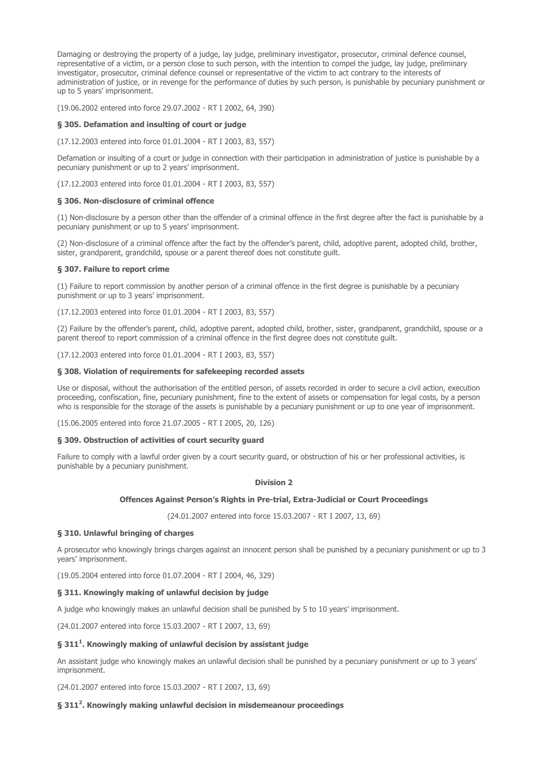Damaging or destroying the property of a judge, lay judge, preliminary investigator, prosecutor, criminal defence counsel, representative of a victim, or a person close to such person, with the intention to compel the judge, lay judge, preliminary investigator, prosecutor, criminal defence counsel or representative of the victim to act contrary to the interests of administration of justice, or in revenge for the performance of duties by such person, is punishable by pecuniary punishment or up to 5 years' imprisonment.

(19.06.2002 entered into force 29.07.2002 - RT I 2002, 64, 390)

## § 305. Defamation and insulting of court or judge

(17.12.2003 entered into force 01.01.2004 - RT I 2003, 83, 557)

Defamation or insulting of a court or judge in connection with their participation in administration of justice is punishable by a pecuniary punishment or up to 2 years' imprisonment.

(17.12.2003 entered into force 01.01.2004 - RT I 2003, 83, 557)

### § 306. Non-disclosure of criminal offence

(1) Non-disclosure by a person other than the offender of a criminal offence in the first degree after the fact is punishable by a pecuniary punishment or up to 5 years' imprisonment.

(2) Non-disclosure of a criminal offence after the fact by the offender's parent, child, adoptive parent, adopted child, brother, sister, grandparent, grandchild, spouse or a parent thereof does not constitute guilt.

#### § 307. Failure to report crime

(1) Failure to report commission by another person of a criminal offence in the first degree is punishable by a pecuniary punishment or up to 3 years' imprisonment.

(17.12.2003 entered into force 01.01.2004 - RT I 2003, 83, 557)

(2) Failure by the offender's parent, child, adoptive parent, adopted child, brother, sister, grandparent, grandchild, spouse or a parent thereof to report commission of a criminal offence in the first degree does not constitute guilt.

(17.12.2003 entered into force 01.01.2004 - RT I 2003, 83, 557)

#### § 308. Violation of requirements for safekeeping recorded assets

Use or disposal, without the authorisation of the entitled person, of assets recorded in order to secure a civil action, execution proceeding, confiscation, fine, pecuniary punishment, fine to the extent of assets or compensation for legal costs, by a person who is responsible for the storage of the assets is punishable by a pecuniary punishment or up to one year of imprisonment.

(15.06.2005 entered into force 21.07.2005 - RT I 2005, 20, 126)

### § 309. Obstruction of activities of court security guard

Failure to comply with a lawful order given by a court security guard, or obstruction of his or her professional activities, is punishable by a pecuniary punishment.

#### Division 2

### Offences Against Person's Rights in Pre-trial, Extra-Judicial or Court Proceedings

(24.01.2007 entered into force 15.03.2007 - RT I 2007, 13, 69)

## § 310. Unlawful bringing of charges

A prosecutor who knowingly brings charges against an innocent person shall be punished by a pecuniary punishment or up to 3 years' imprisonment.

(19.05.2004 entered into force 01.07.2004 - RT I 2004, 46, 329)

### § 311. Knowingly making of unlawful decision by judge

A judge who knowingly makes an unlawful decision shall be punished by 5 to 10 years' imprisonment.

(24.01.2007 entered into force 15.03.2007 - RT I 2007, 13, 69)

# § 311<sup>1</sup>. Knowingly making of unlawful decision by assistant judge

An assistant judge who knowingly makes an unlawful decision shall be punished by a pecuniary punishment or up to 3 years' imprisonment.

(24.01.2007 entered into force 15.03.2007 - RT I 2007, 13, 69)

## § 311<sup>2</sup>. Knowingly making unlawful decision in misdemeanour proceedings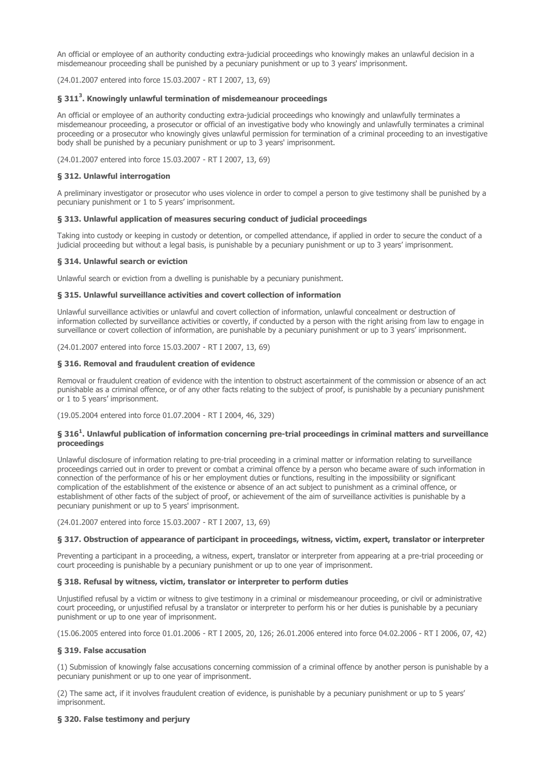An official or employee of an authority conducting extra-judicial proceedings who knowingly makes an unlawful decision in a misdemeanour proceeding shall be punished by a pecuniary punishment or up to 3 years' imprisonment.

(24.01.2007 entered into force 15.03.2007 - RT I 2007, 13, 69)

## § 311<sup>3</sup>. Knowingly unlawful termination of misdemeanour proceedings

An official or employee of an authority conducting extra-judicial proceedings who knowingly and unlawfully terminates a misdemeanour proceeding, a prosecutor or official of an investigative body who knowingly and unlawfully terminates a criminal proceeding or a prosecutor who knowingly gives unlawful permission for termination of a criminal proceeding to an investigative body shall be punished by a pecuniary punishment or up to 3 years' imprisonment.

(24.01.2007 entered into force 15.03.2007 - RT I 2007, 13, 69)

## § 312. Unlawful interrogation

A preliminary investigator or prosecutor who uses violence in order to compel a person to give testimony shall be punished by a pecuniary punishment or 1 to 5 years' imprisonment.

## § 313. Unlawful application of measures securing conduct of judicial proceedings

Taking into custody or keeping in custody or detention, or compelled attendance, if applied in order to secure the conduct of a judicial proceeding but without a legal basis, is punishable by a pecuniary punishment or up to 3 years' imprisonment.

## § 314. Unlawful search or eviction

Unlawful search or eviction from a dwelling is punishable by a pecuniary punishment.

## § 315. Unlawful surveillance activities and covert collection of information

Unlawful surveillance activities or unlawful and covert collection of information, unlawful concealment or destruction of information collected by surveillance activities or covertly, if conducted by a person with the right arising from law to engage in surveillance or covert collection of information, are punishable by a pecuniary punishment or up to 3 years' imprisonment.

(24.01.2007 entered into force 15.03.2007 - RT I 2007, 13, 69)

## § 316. Removal and fraudulent creation of evidence

Removal or fraudulent creation of evidence with the intention to obstruct ascertainment of the commission or absence of an act punishable as a criminal offence, or of any other facts relating to the subject of proof, is punishable by a pecuniary punishment or 1 to 5 years' imprisonment.

(19.05.2004 entered into force 01.07.2004 - RT I 2004, 46, 329)

## § 316<sup>1</sup>. Unlawful publication of information concerning pre-trial proceedings in criminal matters and surveillance proceedings

Unlawful disclosure of information relating to pre-trial proceeding in a criminal matter or information relating to surveillance proceedings carried out in order to prevent or combat a criminal offence by a person who became aware of such information in connection of the performance of his or her employment duties or functions, resulting in the impossibility or significant complication of the establishment of the existence or absence of an act subject to punishment as a criminal offence, or establishment of other facts of the subject of proof, or achievement of the aim of surveillance activities is punishable by a pecuniary punishment or up to 5 years' imprisonment.

(24.01.2007 entered into force 15.03.2007 - RT I 2007, 13, 69)

## § 317. Obstruction of appearance of participant in proceedings, witness, victim, expert, translator or interpreter

Preventing a participant in a proceeding, a witness, expert, translator or interpreter from appearing at a pre-trial proceeding or court proceeding is punishable by a pecuniary punishment or up to one year of imprisonment.

### § 318. Refusal by witness, victim, translator or interpreter to perform duties

Unjustified refusal by a victim or witness to give testimony in a criminal or misdemeanour proceeding, or civil or administrative court proceeding, or unjustified refusal by a translator or interpreter to perform his or her duties is punishable by a pecuniary punishment or up to one year of imprisonment.

(15.06.2005 entered into force 01.01.2006 - RT I 2005, 20, 126; 26.01.2006 entered into force 04.02.2006 - RT I 2006, 07, 42)

## § 319. False accusation

(1) Submission of knowingly false accusations concerning commission of a criminal offence by another person is punishable by a pecuniary punishment or up to one year of imprisonment.

(2) The same act, if it involves fraudulent creation of evidence, is punishable by a pecuniary punishment or up to 5 years' imprisonment.

### § 320. False testimony and perjury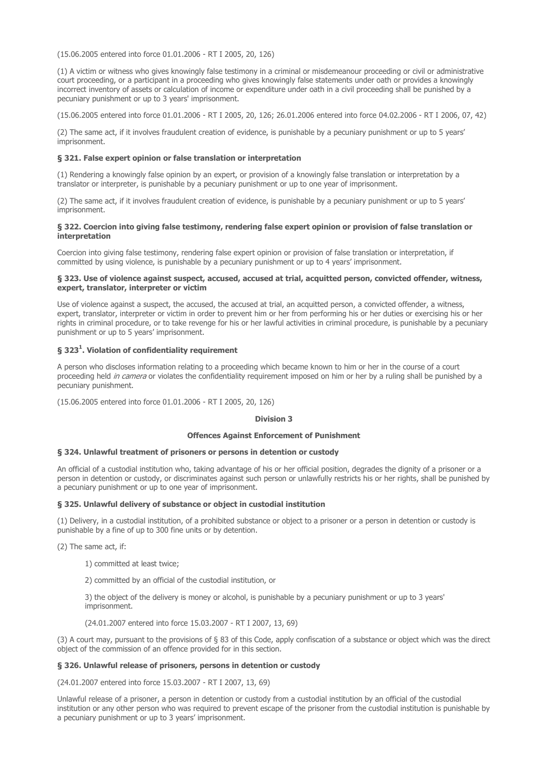(15.06.2005 entered into force 01.01.2006 - RT I 2005, 20, 126)

(1) A victim or witness who gives knowingly false testimony in a criminal or misdemeanour proceeding or civil or administrative court proceeding, or a participant in a proceeding who gives knowingly false statements under oath or provides a knowingly incorrect inventory of assets or calculation of income or expenditure under oath in a civil proceeding shall be punished by a pecuniary punishment or up to 3 years' imprisonment.

(15.06.2005 entered into force 01.01.2006 - RT I 2005, 20, 126; 26.01.2006 entered into force 04.02.2006 - RT I 2006, 07, 42)

(2) The same act, if it involves fraudulent creation of evidence, is punishable by a pecuniary punishment or up to 5 years' imprisonment.

## § 321. False expert opinion or false translation or interpretation

(1) Rendering a knowingly false opinion by an expert, or provision of a knowingly false translation or interpretation by a translator or interpreter, is punishable by a pecuniary punishment or up to one year of imprisonment.

(2) The same act, if it involves fraudulent creation of evidence, is punishable by a pecuniary punishment or up to 5 years' imprisonment.

## § 322. Coercion into giving false testimony, rendering false expert opinion or provision of false translation or interpretation

Coercion into giving false testimony, rendering false expert opinion or provision of false translation or interpretation, if committed by using violence, is punishable by a pecuniary punishment or up to 4 years' imprisonment.

### § 323. Use of violence against suspect, accused, accused at trial, acquitted person, convicted offender, witness, expert, translator, interpreter or victim

Use of violence against a suspect, the accused, the accused at trial, an acquitted person, a convicted offender, a witness, expert, translator, interpreter or victim in order to prevent him or her from performing his or her duties or exercising his or her rights in criminal procedure, or to take revenge for his or her lawful activities in criminal procedure, is punishable by a pecuniary punishment or up to 5 years' imprisonment.

# § 323<sup>1</sup>. Violation of confidentiality requirement

A person who discloses information relating to a proceeding which became known to him or her in the course of a court proceeding held in camera or violates the confidentiality requirement imposed on him or her by a ruling shall be punished by a pecuniary punishment.

(15.06.2005 entered into force 01.01.2006 - RT I 2005, 20, 126)

## Division 3

### Offences Against Enforcement of Punishment

## § 324. Unlawful treatment of prisoners or persons in detention or custody

An official of a custodial institution who, taking advantage of his or her official position, degrades the dignity of a prisoner or a person in detention or custody, or discriminates against such person or unlawfully restricts his or her rights, shall be punished by a pecuniary punishment or up to one year of imprisonment.

## § 325. Unlawful delivery of substance or object in custodial institution

(1) Delivery, in a custodial institution, of a prohibited substance or object to a prisoner or a person in detention or custody is punishable by a fine of up to 300 fine units or by detention.

(2) The same act, if:

1) committed at least twice;

2) committed by an official of the custodial institution, or

3) the object of the delivery is money or alcohol, is punishable by a pecuniary punishment or up to 3 years' imprisonment.

(24.01.2007 entered into force 15.03.2007 - RT I 2007, 13, 69)

(3) A court may, pursuant to the provisions of § 83 of this Code, apply confiscation of a substance or object which was the direct object of the commission of an offence provided for in this section.

## § 326. Unlawful release of prisoners, persons in detention or custody

(24.01.2007 entered into force 15.03.2007 - RT I 2007, 13, 69)

Unlawful release of a prisoner, a person in detention or custody from a custodial institution by an official of the custodial institution or any other person who was required to prevent escape of the prisoner from the custodial institution is punishable by a pecuniary punishment or up to 3 years' imprisonment.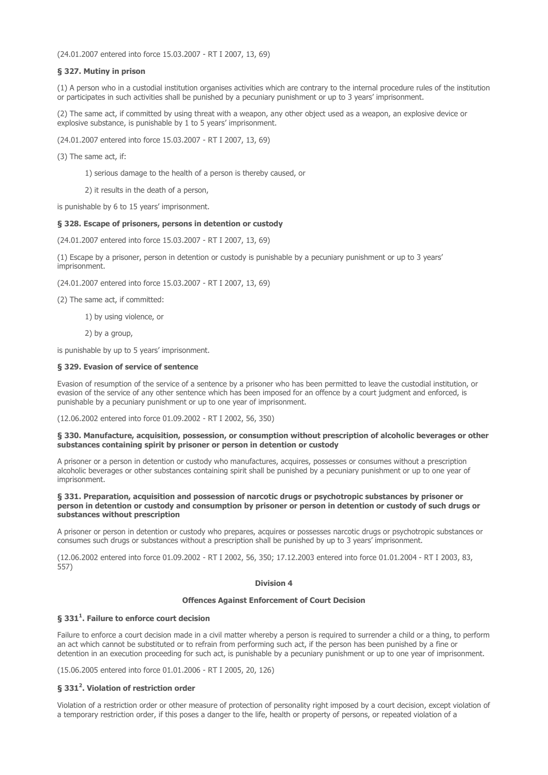(24.01.2007 entered into force 15.03.2007 - RT I 2007, 13, 69)

## § 327. Mutiny in prison

(1) A person who in a custodial institution organises activities which are contrary to the internal procedure rules of the institution or participates in such activities shall be punished by a pecuniary punishment or up to 3 years' imprisonment.

(2) The same act, if committed by using threat with a weapon, any other object used as a weapon, an explosive device or explosive substance, is punishable by 1 to 5 years' imprisonment.

(24.01.2007 entered into force 15.03.2007 - RT I 2007, 13, 69)

(3) The same act, if:

1) serious damage to the health of a person is thereby caused, or

2) it results in the death of a person,

is punishable by 6 to 15 years' imprisonment.

## § 328. Escape of prisoners, persons in detention or custody

(24.01.2007 entered into force 15.03.2007 - RT I 2007, 13, 69)

(1) Escape by a prisoner, person in detention or custody is punishable by a pecuniary punishment or up to 3 years' imprisonment.

(24.01.2007 entered into force 15.03.2007 - RT I 2007, 13, 69)

(2) The same act, if committed:

1) by using violence, or

2) by a group,

is punishable by up to 5 years' imprisonment.

# § 329. Evasion of service of sentence

Evasion of resumption of the service of a sentence by a prisoner who has been permitted to leave the custodial institution, or evasion of the service of any other sentence which has been imposed for an offence by a court judgment and enforced, is punishable by a pecuniary punishment or up to one year of imprisonment.

(12.06.2002 entered into force 01.09.2002 - RT I 2002, 56, 350)

### § 330. Manufacture, acquisition, possession, or consumption without prescription of alcoholic beverages or other substances containing spirit by prisoner or person in detention or custody

A prisoner or a person in detention or custody who manufactures, acquires, possesses or consumes without a prescription alcoholic beverages or other substances containing spirit shall be punished by a pecuniary punishment or up to one year of imprisonment.

### § 331. Preparation, acquisition and possession of narcotic drugs or psychotropic substances by prisoner or person in detention or custody and consumption by prisoner or person in detention or custody of such drugs or substances without prescription

A prisoner or person in detention or custody who prepares, acquires or possesses narcotic drugs or psychotropic substances or consumes such drugs or substances without a prescription shall be punished by up to 3 years' imprisonment.

(12.06.2002 entered into force 01.09.2002 - RT I 2002, 56, 350; 17.12.2003 entered into force 01.01.2004 - RT I 2003, 83, 557)

## Division 4

### Offences Against Enforcement of Court Decision

## § 331 $^{\rm 1}$ . Failure to enforce court decision

Failure to enforce a court decision made in a civil matter whereby a person is required to surrender a child or a thing, to perform an act which cannot be substituted or to refrain from performing such act, if the person has been punished by a fine or detention in an execution proceeding for such act, is punishable by a pecuniary punishment or up to one year of imprisonment.

(15.06.2005 entered into force 01.01.2006 - RT I 2005, 20, 126)

## § 331<sup>2</sup>. Violation of restriction order

Violation of a restriction order or other measure of protection of personality right imposed by a court decision, except violation of a temporary restriction order, if this poses a danger to the life, health or property of persons, or repeated violation of a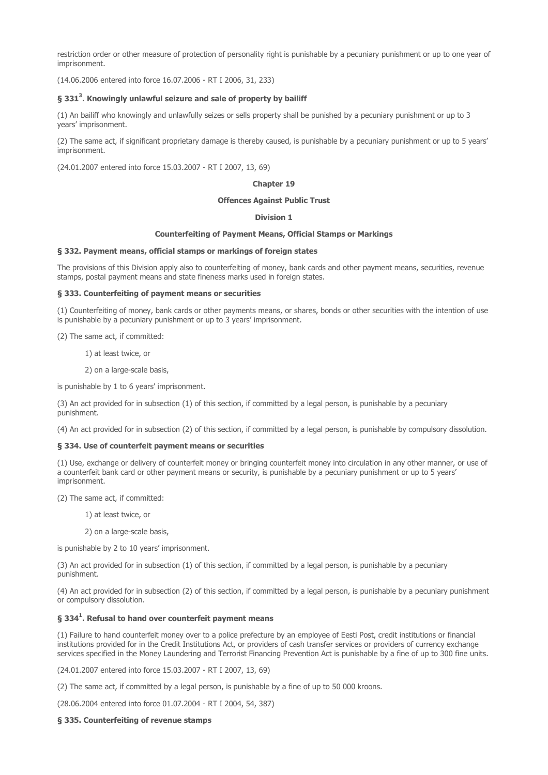restriction order or other measure of protection of personality right is punishable by a pecuniary punishment or up to one year of imprisonment.

(14.06.2006 entered into force 16.07.2006 - RT I 2006, 31, 233)

## § 331<sup>3</sup>. Knowingly unlawful seizure and sale of property by bailiff

(1) An bailiff who knowingly and unlawfully seizes or sells property shall be punished by a pecuniary punishment or up to 3 years' imprisonment.

(2) The same act, if significant proprietary damage is thereby caused, is punishable by a pecuniary punishment or up to 5 years' imprisonment.

(24.01.2007 entered into force 15.03.2007 - RT I 2007, 13, 69)

#### Chapter 19

#### Offences Against Public Trust

### Division 1

### Counterfeiting of Payment Means, Official Stamps or Markings

### § 332. Payment means, official stamps or markings of foreign states

The provisions of this Division apply also to counterfeiting of money, bank cards and other payment means, securities, revenue stamps, postal payment means and state fineness marks used in foreign states.

#### § 333. Counterfeiting of payment means or securities

(1) Counterfeiting of money, bank cards or other payments means, or shares, bonds or other securities with the intention of use is punishable by a pecuniary punishment or up to 3 years' imprisonment.

(2) The same act, if committed:

1) at least twice, or

2) on a large-scale basis,

is punishable by 1 to 6 years' imprisonment.

(3) An act provided for in subsection (1) of this section, if committed by a legal person, is punishable by a pecuniary punishment.

(4) An act provided for in subsection (2) of this section, if committed by a legal person, is punishable by compulsory dissolution.

### § 334. Use of counterfeit payment means or securities

(1) Use, exchange or delivery of counterfeit money or bringing counterfeit money into circulation in any other manner, or use of a counterfeit bank card or other payment means or security, is punishable by a pecuniary punishment or up to 5 years' imprisonment.

(2) The same act, if committed:

1) at least twice, or

2) on a large-scale basis,

is punishable by 2 to 10 years' imprisonment.

(3) An act provided for in subsection (1) of this section, if committed by a legal person, is punishable by a pecuniary punishment.

(4) An act provided for in subsection (2) of this section, if committed by a legal person, is punishable by a pecuniary punishment or compulsory dissolution.

## § 334<sup>1</sup>. Refusal to hand over counterfeit payment means

(1) Failure to hand counterfeit money over to a police prefecture by an employee of Eesti Post, credit institutions or financial institutions provided for in the Credit Institutions Act, or providers of cash transfer services or providers of currency exchange services specified in the Money Laundering and Terrorist Financing Prevention Act is punishable by a fine of up to 300 fine units.

(24.01.2007 entered into force 15.03.2007 - RT I 2007, 13, 69)

(2) The same act, if committed by a legal person, is punishable by a fine of up to 50 000 kroons.

(28.06.2004 entered into force 01.07.2004 - RT I 2004, 54, 387)

## § 335. Counterfeiting of revenue stamps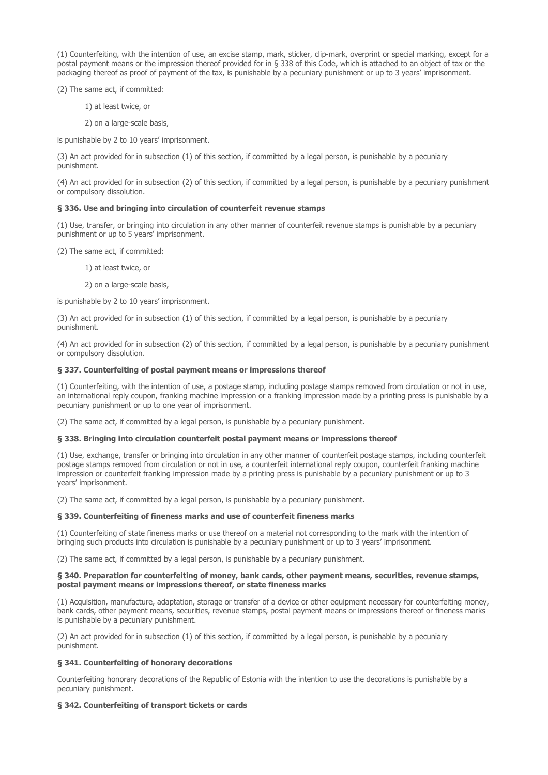(1) Counterfeiting, with the intention of use, an excise stamp, mark, sticker, clip-mark, overprint or special marking, except for a postal payment means or the impression thereof provided for in § 338 of this Code, which is attached to an object of tax or the packaging thereof as proof of payment of the tax, is punishable by a pecuniary punishment or up to 3 years' imprisonment.

(2) The same act, if committed:

- 1) at least twice, or
- 2) on a large-scale basis,

is punishable by 2 to 10 years' imprisonment.

(3) An act provided for in subsection (1) of this section, if committed by a legal person, is punishable by a pecuniary punishment.

(4) An act provided for in subsection (2) of this section, if committed by a legal person, is punishable by a pecuniary punishment or compulsory dissolution.

### § 336. Use and bringing into circulation of counterfeit revenue stamps

(1) Use, transfer, or bringing into circulation in any other manner of counterfeit revenue stamps is punishable by a pecuniary punishment or up to 5 years' imprisonment.

(2) The same act, if committed:

1) at least twice, or

2) on a large-scale basis,

is punishable by 2 to 10 years' imprisonment.

(3) An act provided for in subsection (1) of this section, if committed by a legal person, is punishable by a pecuniary punishment.

(4) An act provided for in subsection (2) of this section, if committed by a legal person, is punishable by a pecuniary punishment or compulsory dissolution.

## § 337. Counterfeiting of postal payment means or impressions thereof

(1) Counterfeiting, with the intention of use, a postage stamp, including postage stamps removed from circulation or not in use, an international reply coupon, franking machine impression or a franking impression made by a printing press is punishable by a pecuniary punishment or up to one year of imprisonment.

(2) The same act, if committed by a legal person, is punishable by a pecuniary punishment.

### § 338. Bringing into circulation counterfeit postal payment means or impressions thereof

(1) Use, exchange, transfer or bringing into circulation in any other manner of counterfeit postage stamps, including counterfeit postage stamps removed from circulation or not in use, a counterfeit international reply coupon, counterfeit franking machine impression or counterfeit franking impression made by a printing press is punishable by a pecuniary punishment or up to 3 years' imprisonment.

(2) The same act, if committed by a legal person, is punishable by a pecuniary punishment.

### § 339. Counterfeiting of fineness marks and use of counterfeit fineness marks

(1) Counterfeiting of state fineness marks or use thereof on a material not corresponding to the mark with the intention of bringing such products into circulation is punishable by a pecuniary punishment or up to 3 years' imprisonment.

(2) The same act, if committed by a legal person, is punishable by a pecuniary punishment.

### § 340. Preparation for counterfeiting of money, bank cards, other payment means, securities, revenue stamps, postal payment means or impressions thereof, or state fineness marks

(1) Acquisition, manufacture, adaptation, storage or transfer of a device or other equipment necessary for counterfeiting money, bank cards, other payment means, securities, revenue stamps, postal payment means or impressions thereof or fineness marks is punishable by a pecuniary punishment.

(2) An act provided for in subsection (1) of this section, if committed by a legal person, is punishable by a pecuniary punishment.

## § 341. Counterfeiting of honorary decorations

Counterfeiting honorary decorations of the Republic of Estonia with the intention to use the decorations is punishable by a pecuniary punishment.

## § 342. Counterfeiting of transport tickets or cards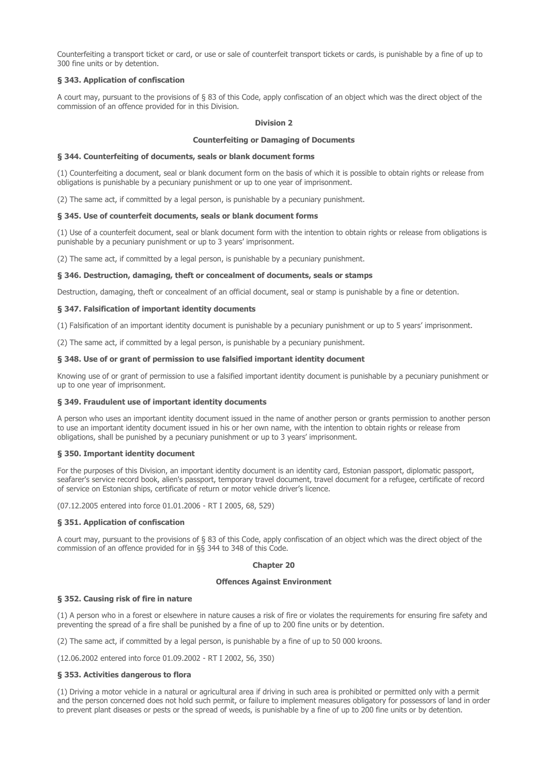Counterfeiting a transport ticket or card, or use or sale of counterfeit transport tickets or cards, is punishable by a fine of up to 300 fine units or by detention.

## § 343. Application of confiscation

A court may, pursuant to the provisions of § 83 of this Code, apply confiscation of an object which was the direct object of the commission of an offence provided for in this Division.

### Division 2

### Counterfeiting or Damaging of Documents

### § 344. Counterfeiting of documents, seals or blank document forms

(1) Counterfeiting a document, seal or blank document form on the basis of which it is possible to obtain rights or release from obligations is punishable by a pecuniary punishment or up to one year of imprisonment.

(2) The same act, if committed by a legal person, is punishable by a pecuniary punishment.

### § 345. Use of counterfeit documents, seals or blank document forms

(1) Use of a counterfeit document, seal or blank document form with the intention to obtain rights or release from obligations is punishable by a pecuniary punishment or up to 3 years' imprisonment.

(2) The same act, if committed by a legal person, is punishable by a pecuniary punishment.

### § 346. Destruction, damaging, theft or concealment of documents, seals or stamps

Destruction, damaging, theft or concealment of an official document, seal or stamp is punishable by a fine or detention.

### § 347. Falsification of important identity documents

(1) Falsification of an important identity document is punishable by a pecuniary punishment or up to 5 years' imprisonment.

(2) The same act, if committed by a legal person, is punishable by a pecuniary punishment.

### § 348. Use of or grant of permission to use falsified important identity document

Knowing use of or grant of permission to use a falsified important identity document is punishable by a pecuniary punishment or up to one year of imprisonment.

### § 349. Fraudulent use of important identity documents

A person who uses an important identity document issued in the name of another person or grants permission to another person to use an important identity document issued in his or her own name, with the intention to obtain rights or release from obligations, shall be punished by a pecuniary punishment or up to 3 years' imprisonment.

### § 350. Important identity document

For the purposes of this Division, an important identity document is an identity card, Estonian passport, diplomatic passport, seafarer's service record book, alien's passport, temporary travel document, travel document for a refugee, certificate of record of service on Estonian ships, certificate of return or motor vehicle driver's licence.

(07.12.2005 entered into force 01.01.2006 - RT I 2005, 68, 529)

## § 351. Application of confiscation

A court may, pursuant to the provisions of § 83 of this Code, apply confiscation of an object which was the direct object of the commission of an offence provided for in §§ 344 to 348 of this Code.

#### Chapter 20

#### Offences Against Environment

### § 352. Causing risk of fire in nature

(1) A person who in a forest or elsewhere in nature causes a risk of fire or violates the requirements for ensuring fire safety and preventing the spread of a fire shall be punished by a fine of up to 200 fine units or by detention.

(2) The same act, if committed by a legal person, is punishable by a fine of up to 50 000 kroons.

(12.06.2002 entered into force 01.09.2002 - RT I 2002, 56, 350)

### § 353. Activities dangerous to flora

(1) Driving a motor vehicle in a natural or agricultural area if driving in such area is prohibited or permitted only with a permit and the person concerned does not hold such permit, or failure to implement measures obligatory for possessors of land in order to prevent plant diseases or pests or the spread of weeds, is punishable by a fine of up to 200 fine units or by detention.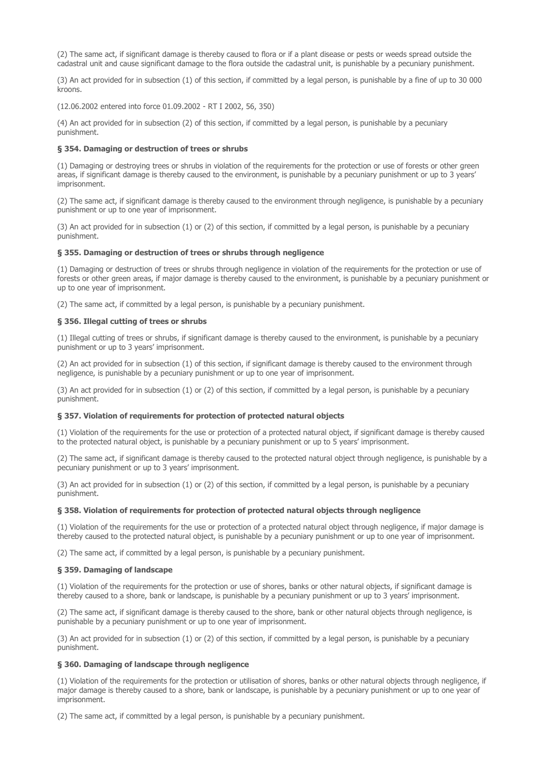(2) The same act, if significant damage is thereby caused to flora or if a plant disease or pests or weeds spread outside the cadastral unit and cause significant damage to the flora outside the cadastral unit, is punishable by a pecuniary punishment.

(3) An act provided for in subsection (1) of this section, if committed by a legal person, is punishable by a fine of up to 30 000 kroons.

(12.06.2002 entered into force 01.09.2002 - RT I 2002, 56, 350)

(4) An act provided for in subsection (2) of this section, if committed by a legal person, is punishable by a pecuniary punishment.

### § 354. Damaging or destruction of trees or shrubs

(1) Damaging or destroying trees or shrubs in violation of the requirements for the protection or use of forests or other green areas, if significant damage is thereby caused to the environment, is punishable by a pecuniary punishment or up to 3 years' imprisonment.

(2) The same act, if significant damage is thereby caused to the environment through negligence, is punishable by a pecuniary punishment or up to one year of imprisonment.

(3) An act provided for in subsection (1) or (2) of this section, if committed by a legal person, is punishable by a pecuniary punishment.

### § 355. Damaging or destruction of trees or shrubs through negligence

(1) Damaging or destruction of trees or shrubs through negligence in violation of the requirements for the protection or use of forests or other green areas, if major damage is thereby caused to the environment, is punishable by a pecuniary punishment or up to one year of imprisonment.

(2) The same act, if committed by a legal person, is punishable by a pecuniary punishment.

## § 356. Illegal cutting of trees or shrubs

(1) Illegal cutting of trees or shrubs, if significant damage is thereby caused to the environment, is punishable by a pecuniary punishment or up to 3 years' imprisonment.

(2) An act provided for in subsection (1) of this section, if significant damage is thereby caused to the environment through negligence, is punishable by a pecuniary punishment or up to one year of imprisonment.

(3) An act provided for in subsection (1) or (2) of this section, if committed by a legal person, is punishable by a pecuniary punishment.

## § 357. Violation of requirements for protection of protected natural objects

(1) Violation of the requirements for the use or protection of a protected natural object, if significant damage is thereby caused to the protected natural object, is punishable by a pecuniary punishment or up to 5 years' imprisonment.

(2) The same act, if significant damage is thereby caused to the protected natural object through negligence, is punishable by a pecuniary punishment or up to 3 years' imprisonment.

(3) An act provided for in subsection (1) or (2) of this section, if committed by a legal person, is punishable by a pecuniary punishment.

### § 358. Violation of requirements for protection of protected natural objects through negligence

(1) Violation of the requirements for the use or protection of a protected natural object through negligence, if major damage is thereby caused to the protected natural object, is punishable by a pecuniary punishment or up to one year of imprisonment.

(2) The same act, if committed by a legal person, is punishable by a pecuniary punishment.

### § 359. Damaging of landscape

(1) Violation of the requirements for the protection or use of shores, banks or other natural objects, if significant damage is thereby caused to a shore, bank or landscape, is punishable by a pecuniary punishment or up to 3 years' imprisonment.

(2) The same act, if significant damage is thereby caused to the shore, bank or other natural objects through negligence, is punishable by a pecuniary punishment or up to one year of imprisonment.

(3) An act provided for in subsection (1) or (2) of this section, if committed by a legal person, is punishable by a pecuniary punishment.

### § 360. Damaging of landscape through negligence

(1) Violation of the requirements for the protection or utilisation of shores, banks or other natural objects through negligence, if major damage is thereby caused to a shore, bank or landscape, is punishable by a pecuniary punishment or up to one year of imprisonment.

(2) The same act, if committed by a legal person, is punishable by a pecuniary punishment.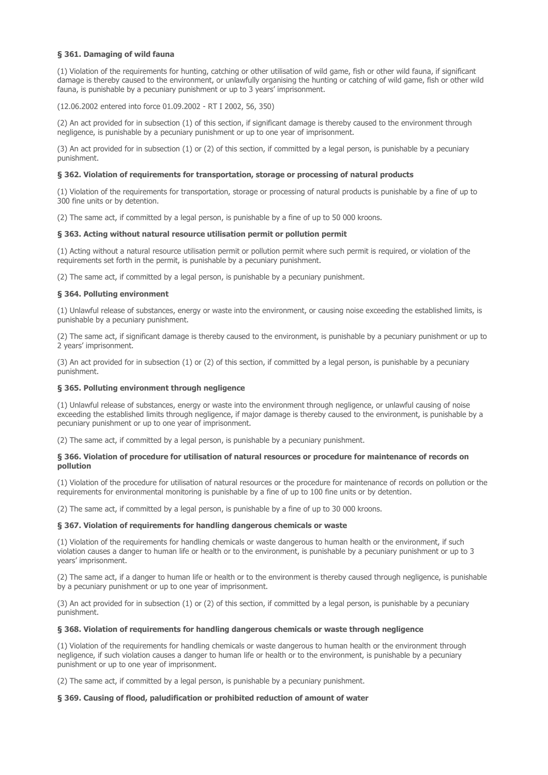## § 361. Damaging of wild fauna

(1) Violation of the requirements for hunting, catching or other utilisation of wild game, fish or other wild fauna, if significant damage is thereby caused to the environment, or unlawfully organising the hunting or catching of wild game, fish or other wild fauna, is punishable by a pecuniary punishment or up to 3 years' imprisonment.

(12.06.2002 entered into force 01.09.2002 - RT I 2002, 56, 350)

(2) An act provided for in subsection (1) of this section, if significant damage is thereby caused to the environment through negligence, is punishable by a pecuniary punishment or up to one year of imprisonment.

(3) An act provided for in subsection (1) or (2) of this section, if committed by a legal person, is punishable by a pecuniary punishment.

## § 362. Violation of requirements for transportation, storage or processing of natural products

(1) Violation of the requirements for transportation, storage or processing of natural products is punishable by a fine of up to 300 fine units or by detention.

(2) The same act, if committed by a legal person, is punishable by a fine of up to 50 000 kroons.

## § 363. Acting without natural resource utilisation permit or pollution permit

(1) Acting without a natural resource utilisation permit or pollution permit where such permit is required, or violation of the requirements set forth in the permit, is punishable by a pecuniary punishment.

(2) The same act, if committed by a legal person, is punishable by a pecuniary punishment.

## § 364. Polluting environment

(1) Unlawful release of substances, energy or waste into the environment, or causing noise exceeding the established limits, is punishable by a pecuniary punishment.

(2) The same act, if significant damage is thereby caused to the environment, is punishable by a pecuniary punishment or up to 2 years' imprisonment.

(3) An act provided for in subsection (1) or (2) of this section, if committed by a legal person, is punishable by a pecuniary punishment.

## § 365. Polluting environment through negligence

(1) Unlawful release of substances, energy or waste into the environment through negligence, or unlawful causing of noise exceeding the established limits through negligence, if major damage is thereby caused to the environment, is punishable by a pecuniary punishment or up to one year of imprisonment.

(2) The same act, if committed by a legal person, is punishable by a pecuniary punishment.

## § 366. Violation of procedure for utilisation of natural resources or procedure for maintenance of records on pollution

(1) Violation of the procedure for utilisation of natural resources or the procedure for maintenance of records on pollution or the requirements for environmental monitoring is punishable by a fine of up to 100 fine units or by detention.

(2) The same act, if committed by a legal person, is punishable by a fine of up to 30 000 kroons.

## § 367. Violation of requirements for handling dangerous chemicals or waste

(1) Violation of the requirements for handling chemicals or waste dangerous to human health or the environment, if such violation causes a danger to human life or health or to the environment, is punishable by a pecuniary punishment or up to 3 years' imprisonment.

(2) The same act, if a danger to human life or health or to the environment is thereby caused through negligence, is punishable by a pecuniary punishment or up to one year of imprisonment.

(3) An act provided for in subsection (1) or (2) of this section, if committed by a legal person, is punishable by a pecuniary punishment.

### § 368. Violation of requirements for handling dangerous chemicals or waste through negligence

(1) Violation of the requirements for handling chemicals or waste dangerous to human health or the environment through negligence, if such violation causes a danger to human life or health or to the environment, is punishable by a pecuniary punishment or up to one year of imprisonment.

(2) The same act, if committed by a legal person, is punishable by a pecuniary punishment.

## § 369. Causing of flood, paludification or prohibited reduction of amount of water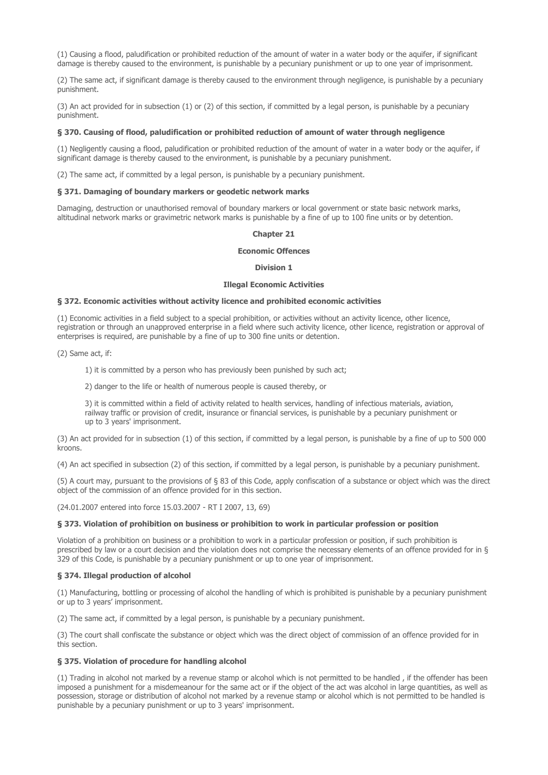(1) Causing a flood, paludification or prohibited reduction of the amount of water in a water body or the aquifer, if significant damage is thereby caused to the environment, is punishable by a pecuniary punishment or up to one year of imprisonment.

(2) The same act, if significant damage is thereby caused to the environment through negligence, is punishable by a pecuniary punishment.

(3) An act provided for in subsection (1) or (2) of this section, if committed by a legal person, is punishable by a pecuniary punishment.

### § 370. Causing of flood, paludification or prohibited reduction of amount of water through negligence

(1) Negligently causing a flood, paludification or prohibited reduction of the amount of water in a water body or the aquifer, if significant damage is thereby caused to the environment, is punishable by a pecuniary punishment.

(2) The same act, if committed by a legal person, is punishable by a pecuniary punishment.

## § 371. Damaging of boundary markers or geodetic network marks

Damaging, destruction or unauthorised removal of boundary markers or local government or state basic network marks, altitudinal network marks or gravimetric network marks is punishable by a fine of up to 100 fine units or by detention.

#### Chapter 21

### Economic Offences

#### Division 1

#### Illegal Economic Activities

#### § 372. Economic activities without activity licence and prohibited economic activities

(1) Economic activities in a field subject to a special prohibition, or activities without an activity licence, other licence, registration or through an unapproved enterprise in a field where such activity licence, other licence, registration or approval of enterprises is required, are punishable by a fine of up to 300 fine units or detention.

(2) Same act, if:

1) it is committed by a person who has previously been punished by such act;

2) danger to the life or health of numerous people is caused thereby, or

3) it is committed within a field of activity related to health services, handling of infectious materials, aviation, railway traffic or provision of credit, insurance or financial services, is punishable by a pecuniary punishment or up to 3 years' imprisonment.

(3) An act provided for in subsection (1) of this section, if committed by a legal person, is punishable by a fine of up to 500 000 kroons.

(4) An act specified in subsection (2) of this section, if committed by a legal person, is punishable by a pecuniary punishment.

(5) A court may, pursuant to the provisions of § 83 of this Code, apply confiscation of a substance or object which was the direct object of the commission of an offence provided for in this section.

(24.01.2007 entered into force 15.03.2007 - RT I 2007, 13, 69)

### § 373. Violation of prohibition on business or prohibition to work in particular profession or position

Violation of a prohibition on business or a prohibition to work in a particular profession or position, if such prohibition is prescribed by law or a court decision and the violation does not comprise the necessary elements of an offence provided for in § 329 of this Code, is punishable by a pecuniary punishment or up to one year of imprisonment.

### § 374. Illegal production of alcohol

(1) Manufacturing, bottling or processing of alcohol the handling of which is prohibited is punishable by a pecuniary punishment or up to 3 years' imprisonment.

(2) The same act, if committed by a legal person, is punishable by a pecuniary punishment.

(3) The court shall confiscate the substance or object which was the direct object of commission of an offence provided for in this section.

### § 375. Violation of procedure for handling alcohol

(1) Trading in alcohol not marked by a revenue stamp or alcohol which is not permitted to be handled , if the offender has been imposed a punishment for a misdemeanour for the same act or if the object of the act was alcohol in large quantities, as well as possession, storage or distribution of alcohol not marked by a revenue stamp or alcohol which is not permitted to be handled is punishable by a pecuniary punishment or up to 3 years' imprisonment.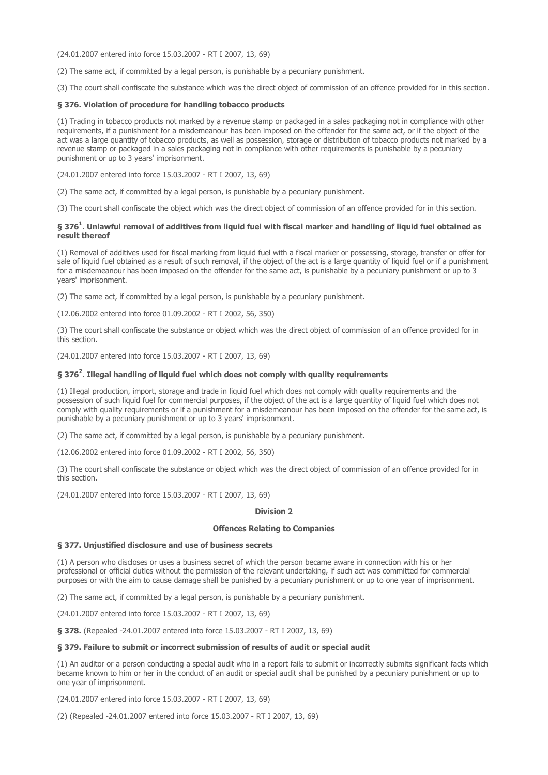(24.01.2007 entered into force 15.03.2007 - RT I 2007, 13, 69)

(2) The same act, if committed by a legal person, is punishable by a pecuniary punishment.

(3) The court shall confiscate the substance which was the direct object of commission of an offence provided for in this section.

## § 376. Violation of procedure for handling tobacco products

(1) Trading in tobacco products not marked by a revenue stamp or packaged in a sales packaging not in compliance with other requirements, if a punishment for a misdemeanour has been imposed on the offender for the same act, or if the object of the act was a large quantity of tobacco products, as well as possession, storage or distribution of tobacco products not marked by a revenue stamp or packaged in a sales packaging not in compliance with other requirements is punishable by a pecuniary punishment or up to 3 years' imprisonment.

(24.01.2007 entered into force 15.03.2007 - RT I 2007, 13, 69)

(2) The same act, if committed by a legal person, is punishable by a pecuniary punishment.

(3) The court shall confiscate the object which was the direct object of commission of an offence provided for in this section.

## § 376<sup>1</sup>. Unlawful removal of additives from liquid fuel with fiscal marker and handling of liquid fuel obtained as result thereof

(1) Removal of additives used for fiscal marking from liquid fuel with a fiscal marker or possessing, storage, transfer or offer for sale of liquid fuel obtained as a result of such removal, if the object of the act is a large quantity of liquid fuel or if a punishment for a misdemeanour has been imposed on the offender for the same act, is punishable by a pecuniary punishment or up to 3 years' imprisonment.

(2) The same act, if committed by a legal person, is punishable by a pecuniary punishment.

(12.06.2002 entered into force 01.09.2002 - RT I 2002, 56, 350)

(3) The court shall confiscate the substance or object which was the direct object of commission of an offence provided for in this section.

(24.01.2007 entered into force 15.03.2007 - RT I 2007, 13, 69)

## § 376<sup>2</sup>. Illegal handling of liquid fuel which does not comply with quality requirements

(1) Illegal production, import, storage and trade in liquid fuel which does not comply with quality requirements and the possession of such liquid fuel for commercial purposes, if the object of the act is a large quantity of liquid fuel which does not comply with quality requirements or if a punishment for a misdemeanour has been imposed on the offender for the same act, is punishable by a pecuniary punishment or up to 3 years' imprisonment.

(2) The same act, if committed by a legal person, is punishable by a pecuniary punishment.

(12.06.2002 entered into force 01.09.2002 - RT I 2002, 56, 350)

(3) The court shall confiscate the substance or object which was the direct object of commission of an offence provided for in this section.

(24.01.2007 entered into force 15.03.2007 - RT I 2007, 13, 69)

### Division 2

## Offences Relating to Companies

## § 377. Unjustified disclosure and use of business secrets

(1) A person who discloses or uses a business secret of which the person became aware in connection with his or her professional or official duties without the permission of the relevant undertaking, if such act was committed for commercial purposes or with the aim to cause damage shall be punished by a pecuniary punishment or up to one year of imprisonment.

(2) The same act, if committed by a legal person, is punishable by a pecuniary punishment.

(24.01.2007 entered into force 15.03.2007 - RT I 2007, 13, 69)

§ 378. (Repealed -24.01.2007 entered into force 15.03.2007 - RT I 2007, 13, 69)

### § 379. Failure to submit or incorrect submission of results of audit or special audit

(1) An auditor or a person conducting a special audit who in a report fails to submit or incorrectly submits significant facts which became known to him or her in the conduct of an audit or special audit shall be punished by a pecuniary punishment or up to one year of imprisonment.

(24.01.2007 entered into force 15.03.2007 - RT I 2007, 13, 69)

(2) (Repealed -24.01.2007 entered into force 15.03.2007 - RT I 2007, 13, 69)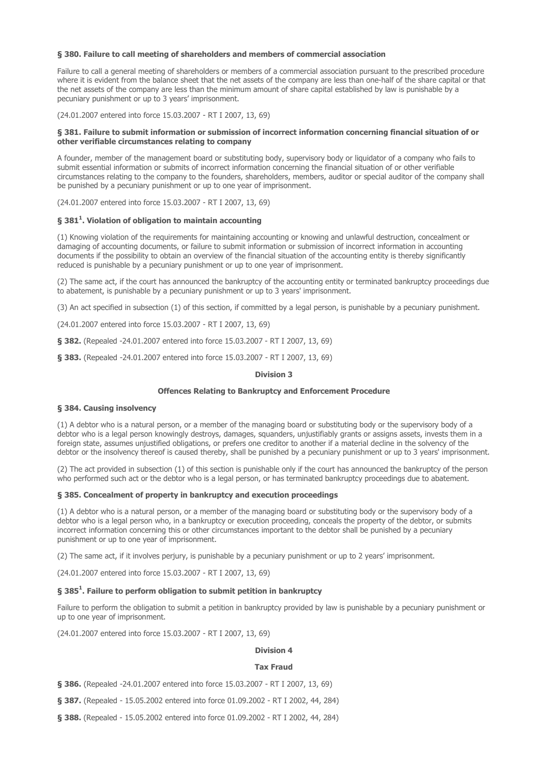## § 380. Failure to call meeting of shareholders and members of commercial association

Failure to call a general meeting of shareholders or members of a commercial association pursuant to the prescribed procedure where it is evident from the balance sheet that the net assets of the company are less than one-half of the share capital or that the net assets of the company are less than the minimum amount of share capital established by law is punishable by a pecuniary punishment or up to 3 years' imprisonment.

(24.01.2007 entered into force 15.03.2007 - RT I 2007, 13, 69)

## § 381. Failure to submit information or submission of incorrect information concerning financial situation of or other verifiable circumstances relating to company

A founder, member of the management board or substituting body, supervisory body or liquidator of a company who fails to submit essential information or submits of incorrect information concerning the financial situation of or other verifiable circumstances relating to the company to the founders, shareholders, members, auditor or special auditor of the company shall be punished by a pecuniary punishment or up to one year of imprisonment.

(24.01.2007 entered into force 15.03.2007 - RT I 2007, 13, 69)

## § 381<sup>1</sup>. Violation of obligation to maintain accounting

(1) Knowing violation of the requirements for maintaining accounting or knowing and unlawful destruction, concealment or damaging of accounting documents, or failure to submit information or submission of incorrect information in accounting documents if the possibility to obtain an overview of the financial situation of the accounting entity is thereby significantly reduced is punishable by a pecuniary punishment or up to one year of imprisonment.

(2) The same act, if the court has announced the bankruptcy of the accounting entity or terminated bankruptcy proceedings due to abatement, is punishable by a pecuniary punishment or up to 3 years' imprisonment.

(3) An act specified in subsection (1) of this section, if committed by a legal person, is punishable by a pecuniary punishment.

(24.01.2007 entered into force 15.03.2007 - RT I 2007, 13, 69)

§ 382. (Repealed -24.01.2007 entered into force 15.03.2007 - RT I 2007, 13, 69)

§ 383. (Repealed -24.01.2007 entered into force 15.03.2007 - RT I 2007, 13, 69)

### Division 3

### Offences Relating to Bankruptcy and Enforcement Procedure

## § 384. Causing insolvency

(1) A debtor who is a natural person, or a member of the managing board or substituting body or the supervisory body of a debtor who is a legal person knowingly destroys, damages, squanders, unjustifiably grants or assigns assets, invests them in a foreign state, assumes unjustified obligations, or prefers one creditor to another if a material decline in the solvency of the debtor or the insolvency thereof is caused thereby, shall be punished by a pecuniary punishment or up to 3 years' imprisonment.

(2) The act provided in subsection (1) of this section is punishable only if the court has announced the bankruptcy of the person who performed such act or the debtor who is a legal person, or has terminated bankruptcy proceedings due to abatement.

### § 385. Concealment of property in bankruptcy and execution proceedings

(1) A debtor who is a natural person, or a member of the managing board or substituting body or the supervisory body of a debtor who is a legal person who, in a bankruptcy or execution proceeding, conceals the property of the debtor, or submits incorrect information concerning this or other circumstances important to the debtor shall be punished by a pecuniary punishment or up to one year of imprisonment.

(2) The same act, if it involves perjury, is punishable by a pecuniary punishment or up to 2 years' imprisonment.

(24.01.2007 entered into force 15.03.2007 - RT I 2007, 13, 69)

# § 385<sup>1</sup>. Failure to perform obligation to submit petition in bankruptcy

Failure to perform the obligation to submit a petition in bankruptcy provided by law is punishable by a pecuniary punishment or up to one year of imprisonment.

(24.01.2007 entered into force 15.03.2007 - RT I 2007, 13, 69)

# Division 4

### Tax Fraud

§ 386. (Repealed -24.01.2007 entered into force 15.03.2007 - RT I 2007, 13, 69)

§ 387. (Repealed - 15.05.2002 entered into force 01.09.2002 - RT I 2002, 44, 284)

§ 388. (Repealed - 15.05.2002 entered into force 01.09.2002 - RT I 2002, 44, 284)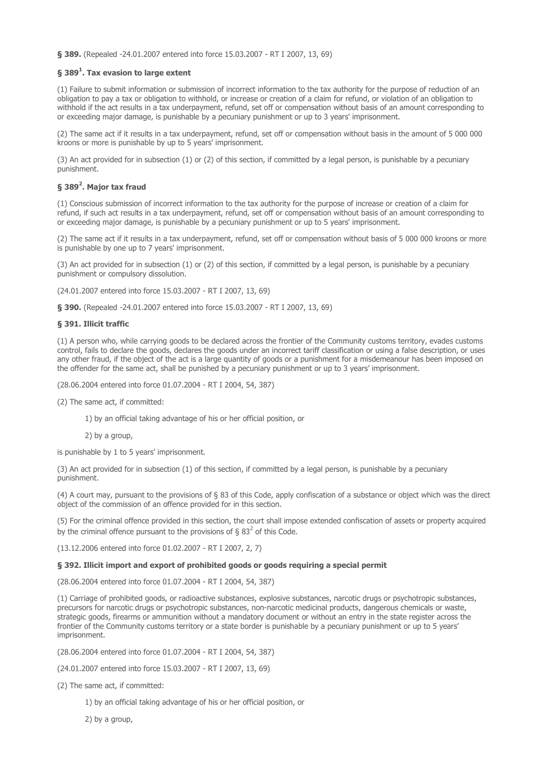§ 389. (Repealed -24.01.2007 entered into force 15.03.2007 - RT I 2007, 13, 69)

## § 389 $^{\rm 1}$ . Tax evasion to large extent

(1) Failure to submit information or submission of incorrect information to the tax authority for the purpose of reduction of an obligation to pay a tax or obligation to withhold, or increase or creation of a claim for refund, or violation of an obligation to withhold if the act results in a tax underpayment, refund, set off or compensation without basis of an amount corresponding to or exceeding major damage, is punishable by a pecuniary punishment or up to 3 years' imprisonment.

(2) The same act if it results in a tax underpayment, refund, set off or compensation without basis in the amount of 5 000 000 kroons or more is punishable by up to 5 years' imprisonment.

(3) An act provided for in subsection (1) or (2) of this section, if committed by a legal person, is punishable by a pecuniary punishment.

# § 389<sup>2</sup>. Major tax fraud

(1) Conscious submission of incorrect information to the tax authority for the purpose of increase or creation of a claim for refund, if such act results in a tax underpayment, refund, set off or compensation without basis of an amount corresponding to or exceeding major damage, is punishable by a pecuniary punishment or up to 5 years' imprisonment.

(2) The same act if it results in a tax underpayment, refund, set off or compensation without basis of 5 000 000 kroons or more is punishable by one up to 7 years' imprisonment.

(3) An act provided for in subsection (1) or (2) of this section, if committed by a legal person, is punishable by a pecuniary punishment or compulsory dissolution.

(24.01.2007 entered into force 15.03.2007 - RT I 2007, 13, 69)

§ 390. (Repealed -24.01.2007 entered into force 15.03.2007 - RT I 2007, 13, 69)

## § 391. Illicit traffic

(1) A person who, while carrying goods to be declared across the frontier of the Community customs territory, evades customs control, fails to declare the goods, declares the goods under an incorrect tariff classification or using a false description, or uses any other fraud, if the object of the act is a large quantity of goods or a punishment for a misdemeanour has been imposed on the offender for the same act, shall be punished by a pecuniary punishment or up to 3 years' imprisonment.

(28.06.2004 entered into force 01.07.2004 - RT I 2004, 54, 387)

(2) The same act, if committed:

1) by an official taking advantage of his or her official position, or

2) by a group,

is punishable by 1 to 5 years' imprisonment.

(3) An act provided for in subsection (1) of this section, if committed by a legal person, is punishable by a pecuniary punishment.

(4) A court may, pursuant to the provisions of § 83 of this Code, apply confiscation of a substance or object which was the direct object of the commission of an offence provided for in this section.

(5) For the criminal offence provided in this section, the court shall impose extended confiscation of assets or property acquired by the criminal offence pursuant to the provisions of § 83<sup>2</sup> of this Code.

(13.12.2006 entered into force 01.02.2007 - RT I 2007, 2, 7)

### § 392. Illicit import and export of prohibited goods or goods requiring a special permit

(28.06.2004 entered into force 01.07.2004 - RT I 2004, 54, 387)

(1) Carriage of prohibited goods, or radioactive substances, explosive substances, narcotic drugs or psychotropic substances, precursors for narcotic drugs or psychotropic substances, non-narcotic medicinal products, dangerous chemicals or waste, strategic goods, firearms or ammunition without a mandatory document or without an entry in the state register across the frontier of the Community customs territory or a state border is punishable by a pecuniary punishment or up to 5 years' imprisonment.

(28.06.2004 entered into force 01.07.2004 - RT I 2004, 54, 387)

(24.01.2007 entered into force 15.03.2007 - RT I 2007, 13, 69)

(2) The same act, if committed:

1) by an official taking advantage of his or her official position, or

2) by a group,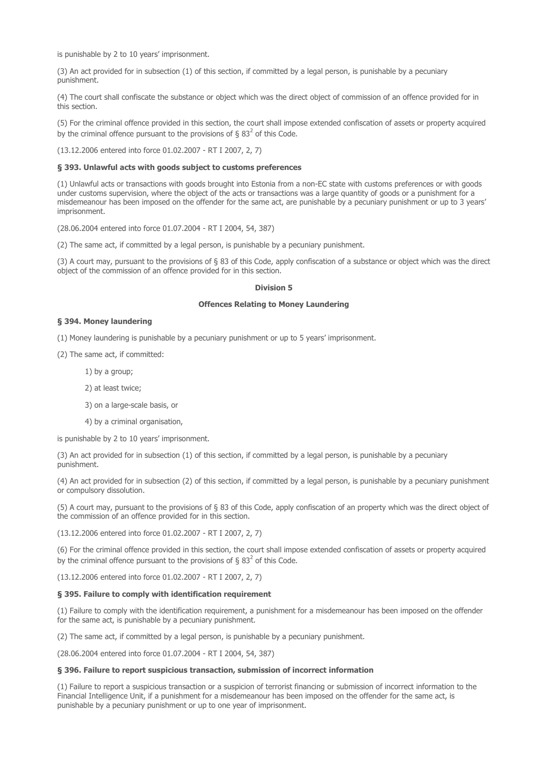is punishable by 2 to 10 years' imprisonment.

(3) An act provided for in subsection (1) of this section, if committed by a legal person, is punishable by a pecuniary punishment.

(4) The court shall confiscate the substance or object which was the direct object of commission of an offence provided for in this section.

(5) For the criminal offence provided in this section, the court shall impose extended confiscation of assets or property acquired by the criminal offence pursuant to the provisions of § 83<sup>2</sup> of this Code.

(13.12.2006 entered into force 01.02.2007 - RT I 2007, 2, 7)

## § 393. Unlawful acts with goods subject to customs preferences

(1) Unlawful acts or transactions with goods brought into Estonia from a non-EC state with customs preferences or with goods under customs supervision, where the object of the acts or transactions was a large quantity of goods or a punishment for a misdemeanour has been imposed on the offender for the same act, are punishable by a pecuniary punishment or up to 3 years' imprisonment.

(28.06.2004 entered into force 01.07.2004 - RT I 2004, 54, 387)

(2) The same act, if committed by a legal person, is punishable by a pecuniary punishment.

(3) A court may, pursuant to the provisions of § 83 of this Code, apply confiscation of a substance or object which was the direct object of the commission of an offence provided for in this section.

## Division 5

## Offences Relating to Money Laundering

## § 394. Money laundering

(1) Money laundering is punishable by a pecuniary punishment or up to 5 years' imprisonment.

(2) The same act, if committed:

1) by a group;

2) at least twice;

3) on a large-scale basis, or

4) by a criminal organisation,

is punishable by 2 to 10 years' imprisonment.

(3) An act provided for in subsection (1) of this section, if committed by a legal person, is punishable by a pecuniary punishment.

(4) An act provided for in subsection (2) of this section, if committed by a legal person, is punishable by a pecuniary punishment or compulsory dissolution.

(5) A court may, pursuant to the provisions of § 83 of this Code, apply confiscation of an property which was the direct object of the commission of an offence provided for in this section.

(13.12.2006 entered into force 01.02.2007 - RT I 2007, 2, 7)

(6) For the criminal offence provided in this section, the court shall impose extended confiscation of assets or property acquired by the criminal offence pursuant to the provisions of § 83<sup>2</sup> of this Code.

(13.12.2006 entered into force 01.02.2007 - RT I 2007, 2, 7)

## § 395. Failure to comply with identification requirement

(1) Failure to comply with the identification requirement, a punishment for a misdemeanour has been imposed on the offender for the same act, is punishable by a pecuniary punishment.

(2) The same act, if committed by a legal person, is punishable by a pecuniary punishment.

(28.06.2004 entered into force 01.07.2004 - RT I 2004, 54, 387)

## § 396. Failure to report suspicious transaction, submission of incorrect information

(1) Failure to report a suspicious transaction or a suspicion of terrorist financing or submission of incorrect information to the Financial Intelligence Unit, if a punishment for a misdemeanour has been imposed on the offender for the same act, is punishable by a pecuniary punishment or up to one year of imprisonment.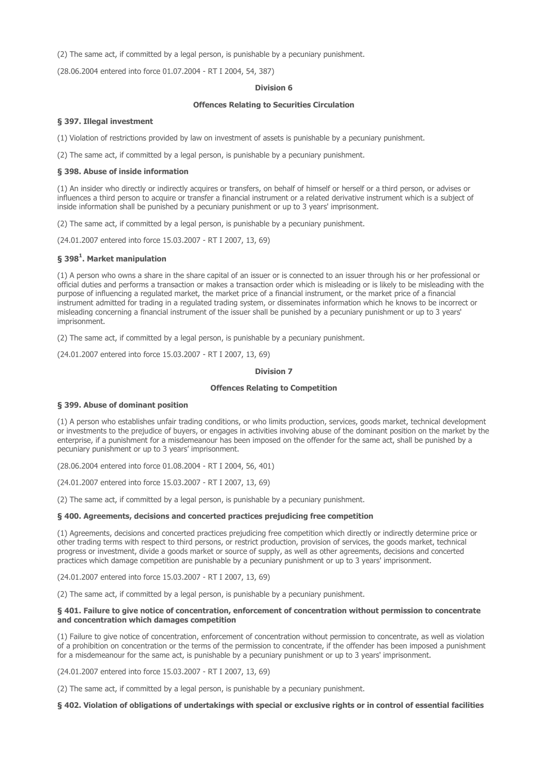(2) The same act, if committed by a legal person, is punishable by a pecuniary punishment.

(28.06.2004 entered into force 01.07.2004 - RT I 2004, 54, 387)

## Division 6

## Offences Relating to Securities Circulation

## § 397. Illegal investment

(1) Violation of restrictions provided by law on investment of assets is punishable by a pecuniary punishment.

(2) The same act, if committed by a legal person, is punishable by a pecuniary punishment.

## § 398. Abuse of inside information

(1) An insider who directly or indirectly acquires or transfers, on behalf of himself or herself or a third person, or advises or influences a third person to acquire or transfer a financial instrument or a related derivative instrument which is a subject of inside information shall be punished by a pecuniary punishment or up to 3 years' imprisonment.

(2) The same act, if committed by a legal person, is punishable by a pecuniary punishment.

(24.01.2007 entered into force 15.03.2007 - RT I 2007, 13, 69)

## § 398 $^{\text{1}}$ . Market manipulation

(1) A person who owns a share in the share capital of an issuer or is connected to an issuer through his or her professional or official duties and performs a transaction or makes a transaction order which is misleading or is likely to be misleading with the purpose of influencing a regulated market, the market price of a financial instrument, or the market price of a financial instrument admitted for trading in a regulated trading system, or disseminates information which he knows to be incorrect or misleading concerning a financial instrument of the issuer shall be punished by a pecuniary punishment or up to 3 years' imprisonment.

(2) The same act, if committed by a legal person, is punishable by a pecuniary punishment.

(24.01.2007 entered into force 15.03.2007 - RT I 2007, 13, 69)

### Division 7

# Offences Relating to Competition

### § 399. Abuse of dominant position

(1) A person who establishes unfair trading conditions, or who limits production, services, goods market, technical development or investments to the prejudice of buyers, or engages in activities involving abuse of the dominant position on the market by the enterprise, if a punishment for a misdemeanour has been imposed on the offender for the same act, shall be punished by a pecuniary punishment or up to 3 years' imprisonment.

(28.06.2004 entered into force 01.08.2004 - RT I 2004, 56, 401)

(24.01.2007 entered into force 15.03.2007 - RT I 2007, 13, 69)

(2) The same act, if committed by a legal person, is punishable by a pecuniary punishment.

### § 400. Agreements, decisions and concerted practices prejudicing free competition

(1) Agreements, decisions and concerted practices prejudicing free competition which directly or indirectly determine price or other trading terms with respect to third persons, or restrict production, provision of services, the goods market, technical progress or investment, divide a goods market or source of supply, as well as other agreements, decisions and concerted practices which damage competition are punishable by a pecuniary punishment or up to 3 years' imprisonment.

(24.01.2007 entered into force 15.03.2007 - RT I 2007, 13, 69)

(2) The same act, if committed by a legal person, is punishable by a pecuniary punishment.

### § 401. Failure to give notice of concentration, enforcement of concentration without permission to concentrate and concentration which damages competition

(1) Failure to give notice of concentration, enforcement of concentration without permission to concentrate, as well as violation of a prohibition on concentration or the terms of the permission to concentrate, if the offender has been imposed a punishment for a misdemeanour for the same act, is punishable by a pecuniary punishment or up to 3 years' imprisonment.

(24.01.2007 entered into force 15.03.2007 - RT I 2007, 13, 69)

(2) The same act, if committed by a legal person, is punishable by a pecuniary punishment.

## § 402. Violation of obligations of undertakings with special or exclusive rights or in control of essential facilities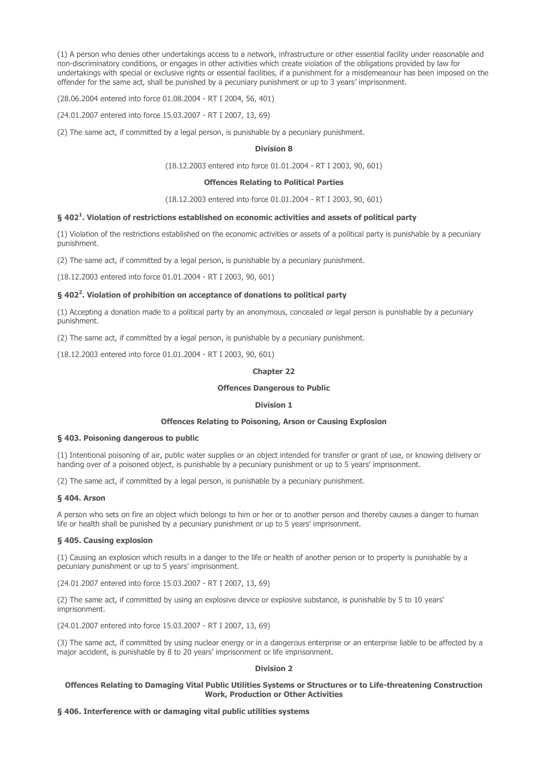(1) A person who denies other undertakings access to a network, infrastructure or other essential facility under reasonable and non-discriminatory conditions, or engages in other activities which create violation of the obligations provided by law for undertakings with special or exclusive rights or essential facilities, if a punishment for a misdemeanour has been imposed on the offender for the same act, shall be punished by a pecuniary punishment or up to 3 years' imprisonment.

(28.06.2004 entered into force 01.08.2004 - RT I 2004, 56, 401)

(24.01.2007 entered into force 15.03.2007 - RT I 2007, 13, 69)

(2) The same act, if committed by a legal person, is punishable by a pecuniary punishment.

### Division 8

(18.12.2003 entered into force 01.01.2004 - RT I 2003, 90, 601)

## Offences Relating to Political Parties

(18.12.2003 entered into force 01.01.2004 - RT I 2003, 90, 601)

## § 402 $^{\rm 1}$ . Violation of restrictions established on economic activities and assets of political party

(1) Violation of the restrictions established on the economic activities or assets of a political party is punishable by a pecuniary punishment.

(2) The same act, if committed by a legal person, is punishable by a pecuniary punishment.

(18.12.2003 entered into force 01.01.2004 - RT I 2003, 90, 601)

## § 402<sup>2</sup>. Violation of prohibition on acceptance of donations to political party

(1) Accepting a donation made to a political party by an anonymous, concealed or legal person is punishable by a pecuniary punishment.

(2) The same act, if committed by a legal person, is punishable by a pecuniary punishment.

(18.12.2003 entered into force 01.01.2004 - RT I 2003, 90, 601)

### Chapter 22

## Offences Dangerous to Public

### Division 1

# Offences Relating to Poisoning, Arson or Causing Explosion

### § 403. Poisoning dangerous to public

(1) Intentional poisoning of air, public water supplies or an object intended for transfer or grant of use, or knowing delivery or handing over of a poisoned object, is punishable by a pecuniary punishment or up to 5 years' imprisonment.

(2) The same act, if committed by a legal person, is punishable by a pecuniary punishment.

## § 404. Arson

A person who sets on fire an object which belongs to him or her or to another person and thereby causes a danger to human life or health shall be punished by a pecuniary punishment or up to 5 years' imprisonment.

## § 405. Causing explosion

(1) Causing an explosion which results in a danger to the life or health of another person or to property is punishable by a pecuniary punishment or up to 5 years' imprisonment.

(24.01.2007 entered into force 15.03.2007 - RT I 2007, 13, 69)

(2) The same act, if committed by using an explosive device or explosive substance, is punishable by 5 to 10 years' imprisonment.

(24.01.2007 entered into force 15.03.2007 - RT I 2007, 13, 69)

(3) The same act, if committed by using nuclear energy or in a dangerous enterprise or an enterprise liable to be affected by a major accident, is punishable by 8 to 20 years' imprisonment or life imprisonment.

## Division 2

## Offences Relating to Damaging Vital Public Utilities Systems or Structures or to Life-threatening Construction Work, Production or Other Activities

## § 406. Interference with or damaging vital public utilities systems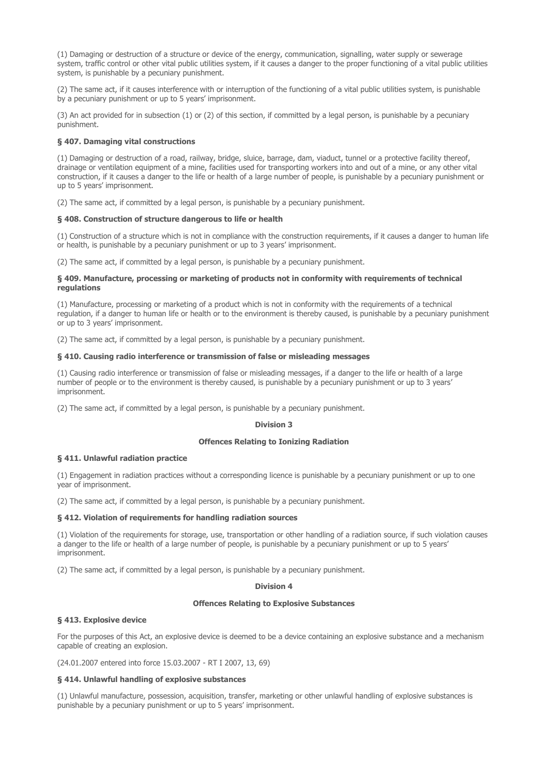(1) Damaging or destruction of a structure or device of the energy, communication, signalling, water supply or sewerage system, traffic control or other vital public utilities system, if it causes a danger to the proper functioning of a vital public utilities system, is punishable by a pecuniary punishment.

(2) The same act, if it causes interference with or interruption of the functioning of a vital public utilities system, is punishable by a pecuniary punishment or up to 5 years' imprisonment.

(3) An act provided for in subsection (1) or (2) of this section, if committed by a legal person, is punishable by a pecuniary punishment.

## § 407. Damaging vital constructions

(1) Damaging or destruction of a road, railway, bridge, sluice, barrage, dam, viaduct, tunnel or a protective facility thereof, drainage or ventilation equipment of a mine, facilities used for transporting workers into and out of a mine, or any other vital construction, if it causes a danger to the life or health of a large number of people, is punishable by a pecuniary punishment or up to 5 years' imprisonment.

(2) The same act, if committed by a legal person, is punishable by a pecuniary punishment.

#### § 408. Construction of structure dangerous to life or health

(1) Construction of a structure which is not in compliance with the construction requirements, if it causes a danger to human life or health, is punishable by a pecuniary punishment or up to 3 years' imprisonment.

(2) The same act, if committed by a legal person, is punishable by a pecuniary punishment.

### § 409. Manufacture, processing or marketing of products not in conformity with requirements of technical regulations

(1) Manufacture, processing or marketing of a product which is not in conformity with the requirements of a technical regulation, if a danger to human life or health or to the environment is thereby caused, is punishable by a pecuniary punishment or up to 3 years' imprisonment.

(2) The same act, if committed by a legal person, is punishable by a pecuniary punishment.

## § 410. Causing radio interference or transmission of false or misleading messages

(1) Causing radio interference or transmission of false or misleading messages, if a danger to the life or health of a large number of people or to the environment is thereby caused, is punishable by a pecuniary punishment or up to 3 years' imprisonment.

(2) The same act, if committed by a legal person, is punishable by a pecuniary punishment.

### Division 3

### Offences Relating to Ionizing Radiation

### § 411. Unlawful radiation practice

(1) Engagement in radiation practices without a corresponding licence is punishable by a pecuniary punishment or up to one year of imprisonment.

(2) The same act, if committed by a legal person, is punishable by a pecuniary punishment.

#### § 412. Violation of requirements for handling radiation sources

(1) Violation of the requirements for storage, use, transportation or other handling of a radiation source, if such violation causes a danger to the life or health of a large number of people, is punishable by a pecuniary punishment or up to 5 years' imprisonment.

(2) The same act, if committed by a legal person, is punishable by a pecuniary punishment.

#### Division 4

#### Offences Relating to Explosive Substances

### § 413. Explosive device

For the purposes of this Act, an explosive device is deemed to be a device containing an explosive substance and a mechanism capable of creating an explosion.

(24.01.2007 entered into force 15.03.2007 - RT I 2007, 13, 69)

## § 414. Unlawful handling of explosive substances

(1) Unlawful manufacture, possession, acquisition, transfer, marketing or other unlawful handling of explosive substances is punishable by a pecuniary punishment or up to 5 years' imprisonment.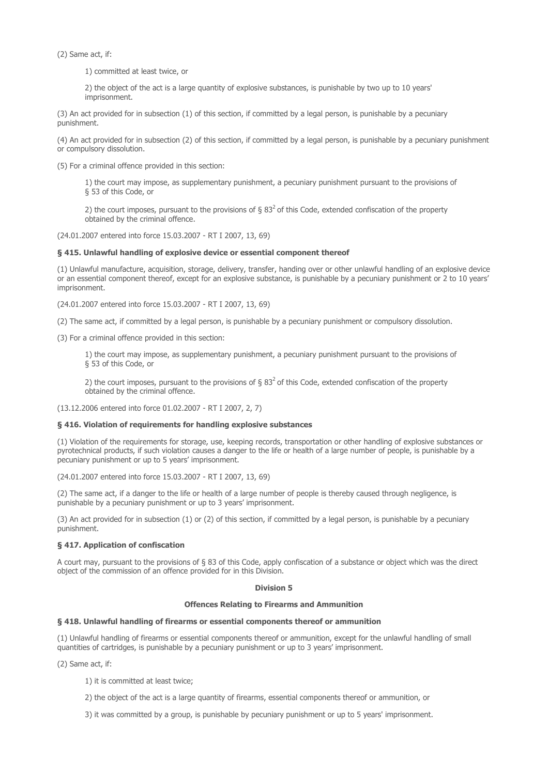(2) Same act, if:

1) committed at least twice, or

2) the object of the act is a large quantity of explosive substances, is punishable by two up to 10 years' imprisonment.

(3) An act provided for in subsection (1) of this section, if committed by a legal person, is punishable by a pecuniary punishment.

(4) An act provided for in subsection (2) of this section, if committed by a legal person, is punishable by a pecuniary punishment or compulsory dissolution.

(5) For a criminal offence provided in this section:

1) the court may impose, as supplementary punishment, a pecuniary punishment pursuant to the provisions of § 53 of this Code, or

2) the court imposes, pursuant to the provisions of  $\S 83<sup>2</sup>$  of this Code, extended confiscation of the property obtained by the criminal offence.

(24.01.2007 entered into force 15.03.2007 - RT I 2007, 13, 69)

## § 415. Unlawful handling of explosive device or essential component thereof

(1) Unlawful manufacture, acquisition, storage, delivery, transfer, handing over or other unlawful handling of an explosive device or an essential component thereof, except for an explosive substance, is punishable by a pecuniary punishment or 2 to 10 years' imprisonment.

(24.01.2007 entered into force 15.03.2007 - RT I 2007, 13, 69)

(2) The same act, if committed by a legal person, is punishable by a pecuniary punishment or compulsory dissolution.

(3) For a criminal offence provided in this section:

1) the court may impose, as supplementary punishment, a pecuniary punishment pursuant to the provisions of § 53 of this Code, or

2) the court imposes, pursuant to the provisions of  $\S 83<sup>2</sup>$  of this Code, extended confiscation of the property obtained by the criminal offence.

(13.12.2006 entered into force 01.02.2007 - RT I 2007, 2, 7)

## § 416. Violation of requirements for handling explosive substances

(1) Violation of the requirements for storage, use, keeping records, transportation or other handling of explosive substances or pyrotechnical products, if such violation causes a danger to the life or health of a large number of people, is punishable by a pecuniary punishment or up to 5 years' imprisonment.

(24.01.2007 entered into force 15.03.2007 - RT I 2007, 13, 69)

(2) The same act, if a danger to the life or health of a large number of people is thereby caused through negligence, is punishable by a pecuniary punishment or up to 3 years' imprisonment.

(3) An act provided for in subsection (1) or (2) of this section, if committed by a legal person, is punishable by a pecuniary punishment.

## § 417. Application of confiscation

A court may, pursuant to the provisions of § 83 of this Code, apply confiscation of a substance or object which was the direct object of the commission of an offence provided for in this Division.

### Division 5

### Offences Relating to Firearms and Ammunition

## § 418. Unlawful handling of firearms or essential components thereof or ammunition

(1) Unlawful handling of firearms or essential components thereof or ammunition, except for the unlawful handling of small quantities of cartridges, is punishable by a pecuniary punishment or up to 3 years' imprisonment.

(2) Same act, if:

1) it is committed at least twice;

2) the object of the act is a large quantity of firearms, essential components thereof or ammunition, or

3) it was committed by a group, is punishable by pecuniary punishment or up to 5 years' imprisonment.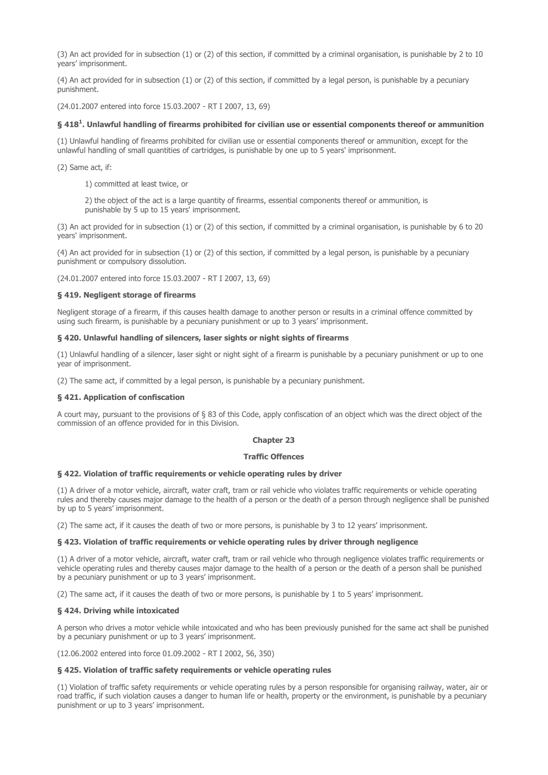(3) An act provided for in subsection (1) or (2) of this section, if committed by a criminal organisation, is punishable by 2 to 10 years' imprisonment.

(4) An act provided for in subsection (1) or (2) of this section, if committed by a legal person, is punishable by a pecuniary punishment.

(24.01.2007 entered into force 15.03.2007 - RT I 2007, 13, 69)

## $\S~418^1$ . Unlawful handling of firearms prohibited for civilian use or essential components thereof or ammunition

(1) Unlawful handling of firearms prohibited for civilian use or essential components thereof or ammunition, except for the unlawful handling of small quantities of cartridges, is punishable by one up to 5 years' imprisonment.

(2) Same act, if:

1) committed at least twice, or

2) the object of the act is a large quantity of firearms, essential components thereof or ammunition, is punishable by 5 up to 15 years' imprisonment.

(3) An act provided for in subsection (1) or (2) of this section, if committed by a criminal organisation, is punishable by 6 to 20 years' imprisonment.

(4) An act provided for in subsection (1) or (2) of this section, if committed by a legal person, is punishable by a pecuniary punishment or compulsory dissolution.

(24.01.2007 entered into force 15.03.2007 - RT I 2007, 13, 69)

## § 419. Negligent storage of firearms

Negligent storage of a firearm, if this causes health damage to another person or results in a criminal offence committed by using such firearm, is punishable by a pecuniary punishment or up to 3 years' imprisonment.

### § 420. Unlawful handling of silencers, laser sights or night sights of firearms

(1) Unlawful handling of a silencer, laser sight or night sight of a firearm is punishable by a pecuniary punishment or up to one year of imprisonment.

(2) The same act, if committed by a legal person, is punishable by a pecuniary punishment.

## § 421. Application of confiscation

A court may, pursuant to the provisions of § 83 of this Code, apply confiscation of an object which was the direct object of the commission of an offence provided for in this Division.

### Chanter 23

### Traffic Offences

### § 422. Violation of traffic requirements or vehicle operating rules by driver

(1) A driver of a motor vehicle, aircraft, water craft, tram or rail vehicle who violates traffic requirements or vehicle operating rules and thereby causes major damage to the health of a person or the death of a person through negligence shall be punished by up to 5 years' imprisonment.

(2) The same act, if it causes the death of two or more persons, is punishable by 3 to 12 years' imprisonment.

### § 423. Violation of traffic requirements or vehicle operating rules by driver through negligence

(1) A driver of a motor vehicle, aircraft, water craft, tram or rail vehicle who through negligence violates traffic requirements or vehicle operating rules and thereby causes major damage to the health of a person or the death of a person shall be punished by a pecuniary punishment or up to 3 years' imprisonment.

(2) The same act, if it causes the death of two or more persons, is punishable by 1 to 5 years' imprisonment.

## § 424. Driving while intoxicated

A person who drives a motor vehicle while intoxicated and who has been previously punished for the same act shall be punished by a pecuniary punishment or up to 3 years' imprisonment.

(12.06.2002 entered into force 01.09.2002 - RT I 2002, 56, 350)

## § 425. Violation of traffic safety requirements or vehicle operating rules

(1) Violation of traffic safety requirements or vehicle operating rules by a person responsible for organising railway, water, air or road traffic, if such violation causes a danger to human life or health, property or the environment, is punishable by a pecuniary punishment or up to 3 years' imprisonment.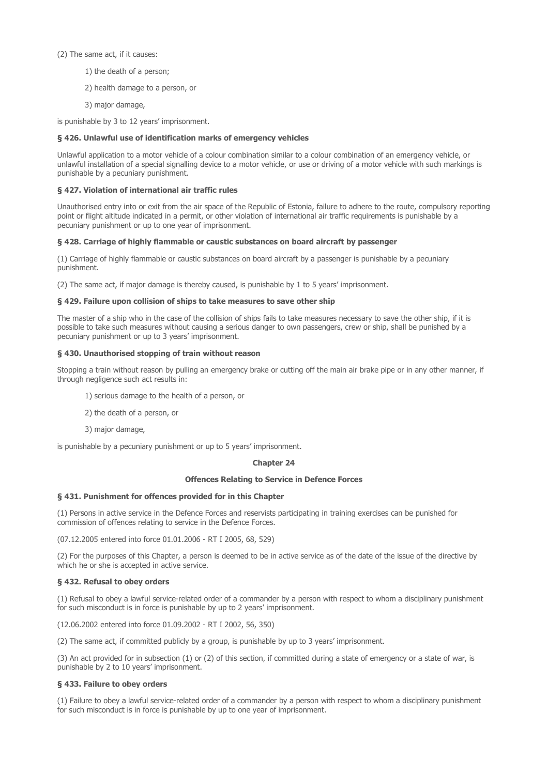## (2) The same act, if it causes:

- 1) the death of a person;
- 2) health damage to a person, or
- 3) major damage,

is punishable by 3 to 12 years' imprisonment.

## § 426. Unlawful use of identification marks of emergency vehicles

Unlawful application to a motor vehicle of a colour combination similar to a colour combination of an emergency vehicle, or unlawful installation of a special signalling device to a motor vehicle, or use or driving of a motor vehicle with such markings is punishable by a pecuniary punishment.

## § 427. Violation of international air traffic rules

Unauthorised entry into or exit from the air space of the Republic of Estonia, failure to adhere to the route, compulsory reporting point or flight altitude indicated in a permit, or other violation of international air traffic requirements is punishable by a pecuniary punishment or up to one year of imprisonment.

## § 428. Carriage of highly flammable or caustic substances on board aircraft by passenger

(1) Carriage of highly flammable or caustic substances on board aircraft by a passenger is punishable by a pecuniary punishment.

(2) The same act, if major damage is thereby caused, is punishable by 1 to 5 years' imprisonment.

## § 429. Failure upon collision of ships to take measures to save other ship

The master of a ship who in the case of the collision of ships fails to take measures necessary to save the other ship, if it is possible to take such measures without causing a serious danger to own passengers, crew or ship, shall be punished by a pecuniary punishment or up to 3 years' imprisonment.

## § 430. Unauthorised stopping of train without reason

Stopping a train without reason by pulling an emergency brake or cutting off the main air brake pipe or in any other manner, if through negligence such act results in:

- 1) serious damage to the health of a person, or
- 2) the death of a person, or
- 3) major damage,

is punishable by a pecuniary punishment or up to 5 years' imprisonment.

## Chapter 24

### Offences Relating to Service in Defence Forces

### § 431. Punishment for offences provided for in this Chapter

(1) Persons in active service in the Defence Forces and reservists participating in training exercises can be punished for commission of offences relating to service in the Defence Forces.

(07.12.2005 entered into force 01.01.2006 - RT I 2005, 68, 529)

(2) For the purposes of this Chapter, a person is deemed to be in active service as of the date of the issue of the directive by which he or she is accepted in active service.

## § 432. Refusal to obey orders

(1) Refusal to obey a lawful service-related order of a commander by a person with respect to whom a disciplinary punishment for such misconduct is in force is punishable by up to 2 years' imprisonment.

(12.06.2002 entered into force 01.09.2002 - RT I 2002, 56, 350)

(2) The same act, if committed publicly by a group, is punishable by up to 3 years' imprisonment.

(3) An act provided for in subsection (1) or (2) of this section, if committed during a state of emergency or a state of war, is punishable by 2 to 10 years' imprisonment.

## § 433. Failure to obey orders

(1) Failure to obey a lawful service-related order of a commander by a person with respect to whom a disciplinary punishment for such misconduct is in force is punishable by up to one year of imprisonment.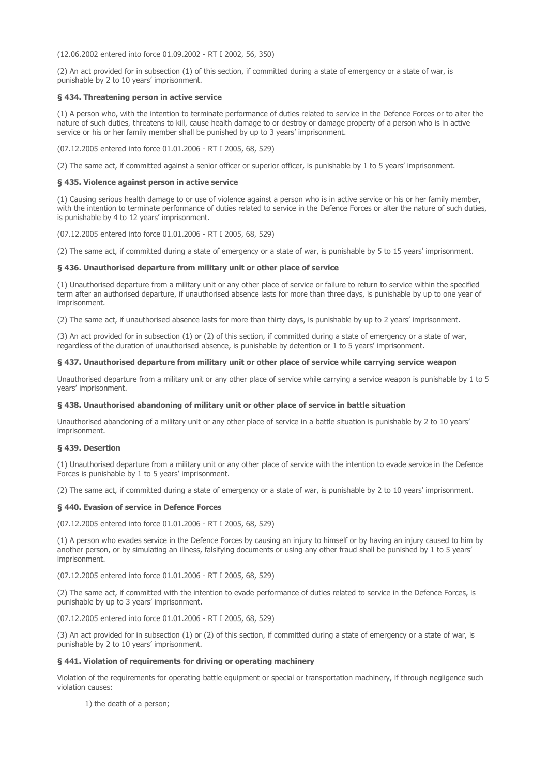(12.06.2002 entered into force 01.09.2002 - RT I 2002, 56, 350)

(2) An act provided for in subsection (1) of this section, if committed during a state of emergency or a state of war, is punishable by 2 to 10 years' imprisonment.

## § 434. Threatening person in active service

(1) A person who, with the intention to terminate performance of duties related to service in the Defence Forces or to alter the nature of such duties, threatens to kill, cause health damage to or destroy or damage property of a person who is in active service or his or her family member shall be punished by up to 3 years' imprisonment.

(07.12.2005 entered into force 01.01.2006 - RT I 2005, 68, 529)

(2) The same act, if committed against a senior officer or superior officer, is punishable by 1 to 5 years' imprisonment.

## § 435. Violence against person in active service

(1) Causing serious health damage to or use of violence against a person who is in active service or his or her family member, with the intention to terminate performance of duties related to service in the Defence Forces or alter the nature of such duties, is punishable by 4 to 12 years' imprisonment.

(07.12.2005 entered into force 01.01.2006 - RT I 2005, 68, 529)

(2) The same act, if committed during a state of emergency or a state of war, is punishable by 5 to 15 years' imprisonment.

## § 436. Unauthorised departure from military unit or other place of service

(1) Unauthorised departure from a military unit or any other place of service or failure to return to service within the specified term after an authorised departure, if unauthorised absence lasts for more than three days, is punishable by up to one year of imprisonment.

(2) The same act, if unauthorised absence lasts for more than thirty days, is punishable by up to 2 years' imprisonment.

(3) An act provided for in subsection (1) or (2) of this section, if committed during a state of emergency or a state of war, regardless of the duration of unauthorised absence, is punishable by detention or 1 to 5 years' imprisonment.

## § 437. Unauthorised departure from military unit or other place of service while carrying service weapon

Unauthorised departure from a military unit or any other place of service while carrying a service weapon is punishable by 1 to 5 years' imprisonment.

#### § 438. Unauthorised abandoning of military unit or other place of service in battle situation

Unauthorised abandoning of a military unit or any other place of service in a battle situation is punishable by 2 to 10 years' imprisonment.

## § 439. Desertion

(1) Unauthorised departure from a military unit or any other place of service with the intention to evade service in the Defence Forces is punishable by 1 to 5 years' imprisonment.

(2) The same act, if committed during a state of emergency or a state of war, is punishable by 2 to 10 years' imprisonment.

#### § 440. Evasion of service in Defence Forces

(07.12.2005 entered into force 01.01.2006 - RT I 2005, 68, 529)

(1) A person who evades service in the Defence Forces by causing an injury to himself or by having an injury caused to him by another person, or by simulating an illness, falsifying documents or using any other fraud shall be punished by 1 to 5 years' imprisonment.

(07.12.2005 entered into force 01.01.2006 - RT I 2005, 68, 529)

(2) The same act, if committed with the intention to evade performance of duties related to service in the Defence Forces, is punishable by up to 3 years' imprisonment.

(07.12.2005 entered into force 01.01.2006 - RT I 2005, 68, 529)

(3) An act provided for in subsection (1) or (2) of this section, if committed during a state of emergency or a state of war, is punishable by 2 to 10 years' imprisonment.

### § 441. Violation of requirements for driving or operating machinery

Violation of the requirements for operating battle equipment or special or transportation machinery, if through negligence such violation causes:

1) the death of a person;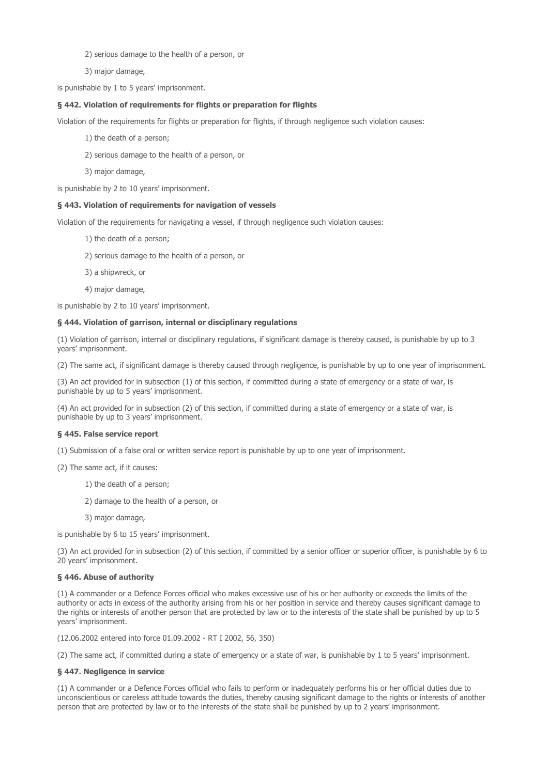2) serious damage to the health of a person, or

3) major damage,

is punishable by 1 to 5 years' imprisonment.

## § 442. Violation of requirements for flights or preparation for flights

Violation of the requirements for flights or preparation for flights, if through negligence such violation causes:

1) the death of a person;

2) serious damage to the health of a person, or

3) major damage,

is punishable by 2 to 10 years' imprisonment.

## § 443. Violation of requirements for navigation of vessels

Violation of the requirements for navigating a vessel, if through negligence such violation causes:

- 1) the death of a person;
- 2) serious damage to the health of a person, or
- 3) a shipwreck, or
- 4) major damage,

is punishable by 2 to 10 years' imprisonment.

#### § 444. Violation of garrison, internal or disciplinary regulations

(1) Violation of garrison, internal or disciplinary regulations, if significant damage is thereby caused, is punishable by up to 3 years' imprisonment.

(2) The same act, if significant damage is thereby caused through negligence, is punishable by up to one year of imprisonment.

(3) An act provided for in subsection (1) of this section, if committed during a state of emergency or a state of war, is punishable by up to 5 years' imprisonment.

(4) An act provided for in subsection (2) of this section, if committed during a state of emergency or a state of war, is punishable by up to 3 years' imprisonment.

#### § 445. False service report

(1) Submission of a false oral or written service report is punishable by up to one year of imprisonment.

- (2) The same act, if it causes:
	- 1) the death of a person;
	- 2) damage to the health of a person, or
	- 3) major damage,

is punishable by 6 to 15 years' imprisonment.

(3) An act provided for in subsection (2) of this section, if committed by a senior officer or superior officer, is punishable by 6 to 20 years' imprisonment.

#### § 446. Abuse of authority

(1) A commander or a Defence Forces official who makes excessive use of his or her authority or exceeds the limits of the authority or acts in excess of the authority arising from his or her position in service and thereby causes significant damage to the rights or interests of another person that are protected by law or to the interests of the state shall be punished by up to 5 years' imprisonment.

(12.06.2002 entered into force 01.09.2002 - RT I 2002, 56, 350)

(2) The same act, if committed during a state of emergency or a state of war, is punishable by 1 to 5 years' imprisonment.

#### § 447. Negligence in service

(1) A commander or a Defence Forces official who fails to perform or inadequately performs his or her official duties due to unconscientious or careless attitude towards the duties, thereby causing significant damage to the rights or interests of another person that are protected by law or to the interests of the state shall be punished by up to 2 years' imprisonment.